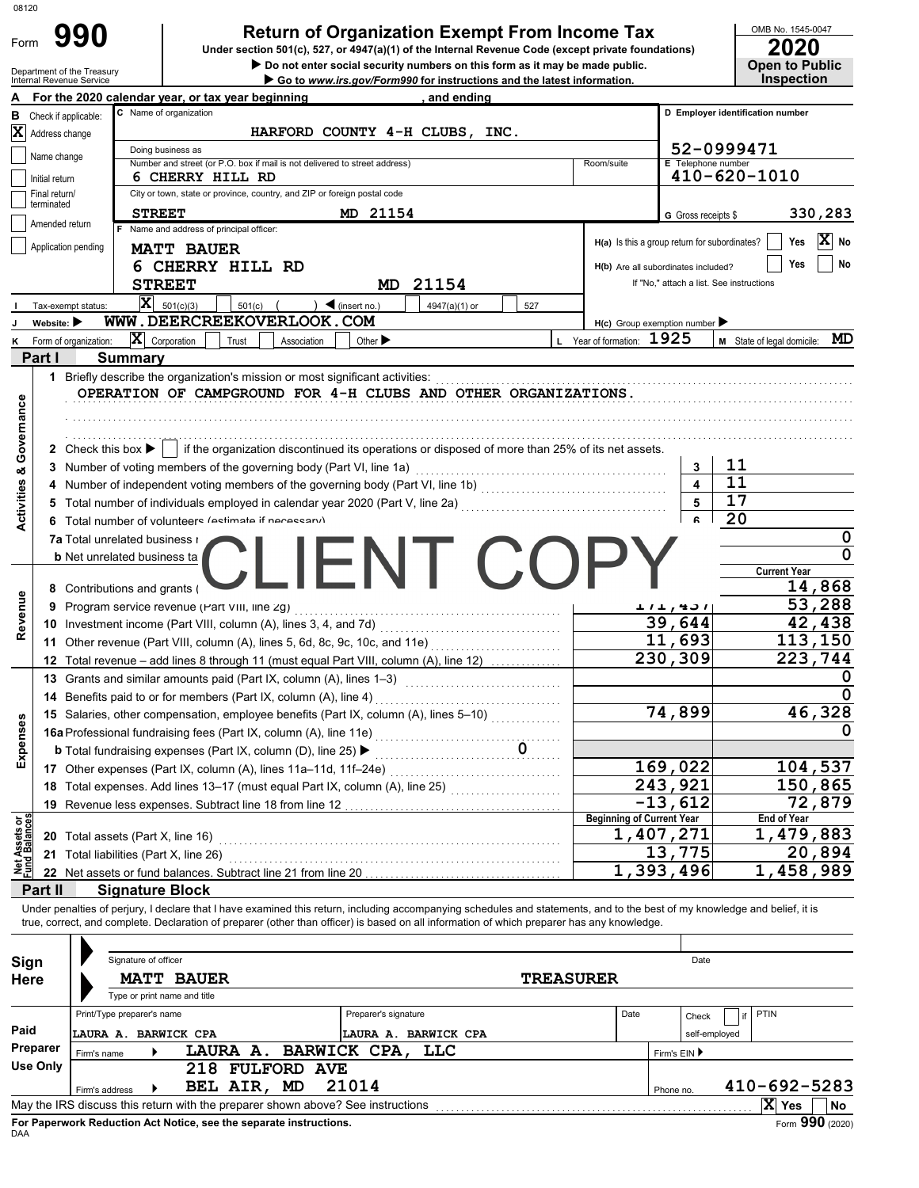| 08120                                  |                                 |                                                                     |                                                                                       |                                                                                                                                                                                                                                                                                                                          |                                  |                                                                                 |                                            |
|----------------------------------------|---------------------------------|---------------------------------------------------------------------|---------------------------------------------------------------------------------------|--------------------------------------------------------------------------------------------------------------------------------------------------------------------------------------------------------------------------------------------------------------------------------------------------------------------------|----------------------------------|---------------------------------------------------------------------------------|--------------------------------------------|
|                                        |                                 | 990                                                                 |                                                                                       | <b>Return of Organization Exempt From Income Tax</b>                                                                                                                                                                                                                                                                     |                                  |                                                                                 | OMB No. 1545-0047                          |
| Form                                   |                                 |                                                                     |                                                                                       | Under section 501(c), 527, or 4947(a)(1) of the Internal Revenue Code (except private foundations)                                                                                                                                                                                                                       |                                  |                                                                                 | 2020                                       |
|                                        | Department of the Treasury      |                                                                     |                                                                                       | Do not enter social security numbers on this form as it may be made public.                                                                                                                                                                                                                                              |                                  |                                                                                 | <b>Open to Public</b><br><b>Inspection</b> |
| A                                      | Internal Revenue Service        |                                                                     | For the 2020 calendar year, or tax year beginning                                     | Go to www.irs.gov/Form990 for instructions and the latest information.<br>and ending                                                                                                                                                                                                                                     |                                  |                                                                                 |                                            |
| в                                      | Check if applicable:            |                                                                     | C Name of organization                                                                |                                                                                                                                                                                                                                                                                                                          |                                  |                                                                                 | D Employer identification number           |
|                                        | X Address change                |                                                                     |                                                                                       | HARFORD COUNTY 4-H CLUBS, INC.                                                                                                                                                                                                                                                                                           |                                  |                                                                                 |                                            |
|                                        |                                 |                                                                     | Doing business as                                                                     |                                                                                                                                                                                                                                                                                                                          |                                  |                                                                                 | 52-0999471                                 |
|                                        | Name change                     |                                                                     | Number and street (or P.O. box if mail is not delivered to street address)            |                                                                                                                                                                                                                                                                                                                          | Room/suite                       | E Telephone number                                                              |                                            |
|                                        | Initial return                  |                                                                     | 6 CHERRY HILL RD                                                                      |                                                                                                                                                                                                                                                                                                                          |                                  |                                                                                 | 410-620-1010                               |
|                                        | Final return/<br>terminated     |                                                                     | City or town, state or province, country, and ZIP or foreign postal code              |                                                                                                                                                                                                                                                                                                                          |                                  |                                                                                 |                                            |
|                                        | Amended return                  |                                                                     | <b>STREET</b><br>Name and address of principal officer:                               | MD 21154                                                                                                                                                                                                                                                                                                                 |                                  | G Gross receipts \$                                                             | 330,283                                    |
|                                        | Application pending             |                                                                     |                                                                                       |                                                                                                                                                                                                                                                                                                                          |                                  | H(a) Is this a group return for subordinates?                                   | $ \mathbf{x} $<br>Yes<br>No                |
|                                        |                                 |                                                                     | <b>MATT BAUER</b>                                                                     |                                                                                                                                                                                                                                                                                                                          |                                  |                                                                                 | No<br>Yes                                  |
|                                        |                                 |                                                                     | 6 CHERRY HILL RD                                                                      |                                                                                                                                                                                                                                                                                                                          |                                  | H(b) Are all subordinates included?<br>If "No," attach a list. See instructions |                                            |
|                                        |                                 | $\mathbf{x}$                                                        | <b>STREET</b>                                                                         | 21154<br>MD.                                                                                                                                                                                                                                                                                                             |                                  |                                                                                 |                                            |
|                                        | Tax-exempt status:              |                                                                     | 501(c)(3)<br>501(c)<br>WWW.DEERCREEKOVERLOOK.COM                                      | $\sum$ (insert no.)<br>4947(a)(1) or<br>527                                                                                                                                                                                                                                                                              |                                  |                                                                                 |                                            |
|                                        | Website: $\blacktriangleright$  |                                                                     | $ \mathbf{X} $ Corporation                                                            | Other $\blacktriangleright$                                                                                                                                                                                                                                                                                              | L Year of formation: 1925        | $H(c)$ Group exemption number                                                   | MD                                         |
| ĸ                                      | Form of organization:<br>Part I | <b>Summary</b>                                                      | Trust<br>Association                                                                  |                                                                                                                                                                                                                                                                                                                          |                                  |                                                                                 | M State of legal domicile:                 |
|                                        |                                 |                                                                     |                                                                                       |                                                                                                                                                                                                                                                                                                                          |                                  |                                                                                 |                                            |
|                                        |                                 |                                                                     | 1 Briefly describe the organization's mission or most significant activities:         | OPERATION OF CAMPGROUND FOR 4-H CLUBS AND OTHER ORGANIZATIONS.                                                                                                                                                                                                                                                           |                                  |                                                                                 |                                            |
|                                        |                                 |                                                                     |                                                                                       |                                                                                                                                                                                                                                                                                                                          |                                  |                                                                                 |                                            |
|                                        |                                 |                                                                     |                                                                                       |                                                                                                                                                                                                                                                                                                                          |                                  |                                                                                 |                                            |
|                                        |                                 |                                                                     |                                                                                       |                                                                                                                                                                                                                                                                                                                          |                                  |                                                                                 |                                            |
|                                        |                                 | 2 Check this box $\blacktriangleright$                              |                                                                                       | if the organization discontinued its operations or disposed of more than 25% of its net assets.                                                                                                                                                                                                                          |                                  |                                                                                 | 11                                         |
|                                        |                                 |                                                                     | 3 Number of voting members of the governing body (Part VI, line 1a)                   |                                                                                                                                                                                                                                                                                                                          |                                  | 3<br>4                                                                          | 11                                         |
|                                        |                                 |                                                                     |                                                                                       | 4 Number of independent voting members of the governing body (Part VI, line 1b) [[[[[[[[[[[[[[[[[[[[[[[[[[[[[[                                                                                                                                                                                                           |                                  | 5                                                                               | 17                                         |
| <b>Activities &amp; Governance</b>     |                                 |                                                                     | 6 Total number of volunteers (estimate if necessary)                                  | 5 Total number of individuals employed in calendar year 2020 (Part V, line 2a) [[[[[[[[[[[[[[[[[[[[[[[[[[[[[[[                                                                                                                                                                                                           |                                  |                                                                                 | 20                                         |
|                                        |                                 |                                                                     |                                                                                       |                                                                                                                                                                                                                                                                                                                          |                                  |                                                                                 | 0                                          |
|                                        |                                 | 7a Total unrelated business r<br><b>b</b> Net unrelated business ta |                                                                                       |                                                                                                                                                                                                                                                                                                                          |                                  |                                                                                 |                                            |
|                                        |                                 |                                                                     |                                                                                       | <b>LIENT COP</b>                                                                                                                                                                                                                                                                                                         |                                  |                                                                                 | <b>Current Year</b>                        |
|                                        |                                 | 8 Contributions and grants (                                        |                                                                                       |                                                                                                                                                                                                                                                                                                                          |                                  |                                                                                 | 14,868                                     |
|                                        | 9                               |                                                                     | Program service revenue (Part VIII, line 2g)                                          |                                                                                                                                                                                                                                                                                                                          |                                  | 171,491                                                                         | 53,288                                     |
| Revenue                                |                                 |                                                                     |                                                                                       |                                                                                                                                                                                                                                                                                                                          |                                  | 39,644                                                                          | 42,438                                     |
|                                        |                                 |                                                                     |                                                                                       | 11 Other revenue (Part VIII, column (A), lines 5, 6d, 8c, 9c, 10c, and 11e)                                                                                                                                                                                                                                              |                                  | 11,693                                                                          | 113,150                                    |
|                                        |                                 |                                                                     | 12 Total revenue - add lines 8 through 11 (must equal Part VIII, column (A), line 12) |                                                                                                                                                                                                                                                                                                                          |                                  | 230,309                                                                         | 223,744                                    |
|                                        |                                 |                                                                     | 13 Grants and similar amounts paid (Part IX, column (A), lines 1-3)                   |                                                                                                                                                                                                                                                                                                                          |                                  |                                                                                 | U                                          |
|                                        |                                 |                                                                     | 14 Benefits paid to or for members (Part IX, column (A), line 4)                      |                                                                                                                                                                                                                                                                                                                          |                                  |                                                                                 | $\Omega$                                   |
|                                        |                                 |                                                                     |                                                                                       | 15 Salaries, other compensation, employee benefits (Part IX, column (A), lines 5-10)                                                                                                                                                                                                                                     |                                  | 74,899                                                                          | 46,328                                     |
| Expenses                               |                                 |                                                                     |                                                                                       |                                                                                                                                                                                                                                                                                                                          |                                  |                                                                                 | O                                          |
|                                        |                                 |                                                                     | <b>b</b> Total fundraising expenses (Part IX, column (D), line 25) ▶                  |                                                                                                                                                                                                                                                                                                                          |                                  |                                                                                 |                                            |
|                                        |                                 |                                                                     | 17 Other expenses (Part IX, column (A), lines 11a-11d, 11f-24e)                       |                                                                                                                                                                                                                                                                                                                          |                                  | 169,022                                                                         | 104,537                                    |
|                                        | 18                              |                                                                     |                                                                                       |                                                                                                                                                                                                                                                                                                                          |                                  | $\overline{2}$ 43,921                                                           | 150,865                                    |
|                                        | 19                              |                                                                     |                                                                                       |                                                                                                                                                                                                                                                                                                                          |                                  | $-13,612$                                                                       | 72,879                                     |
|                                        |                                 |                                                                     |                                                                                       |                                                                                                                                                                                                                                                                                                                          | <b>Beginning of Current Year</b> |                                                                                 | End of Year                                |
| <b>Net Assets or<br/>Fund Balances</b> | 20                              | Total assets (Part X, line 16)                                      |                                                                                       |                                                                                                                                                                                                                                                                                                                          |                                  | 1,407,271                                                                       | 1,479,883                                  |
|                                        | 21                              | Total liabilities (Part X, line 26)                                 |                                                                                       |                                                                                                                                                                                                                                                                                                                          |                                  | 13,775                                                                          | 20,894                                     |
|                                        |                                 |                                                                     |                                                                                       |                                                                                                                                                                                                                                                                                                                          |                                  | 1,393,496                                                                       | 1,458,989                                  |
|                                        | Part II                         | <b>Signature Block</b>                                              |                                                                                       |                                                                                                                                                                                                                                                                                                                          |                                  |                                                                                 |                                            |
|                                        |                                 |                                                                     |                                                                                       | Under penalties of perjury, I declare that I have examined this return, including accompanying schedules and statements, and to the best of my knowledge and belief, it is<br>true, correct, and complete. Declaration of preparer (other than officer) is based on all information of which preparer has any knowledge. |                                  |                                                                                 |                                            |
|                                        |                                 |                                                                     |                                                                                       |                                                                                                                                                                                                                                                                                                                          |                                  |                                                                                 |                                            |
|                                        |                                 | Signature of officer                                                |                                                                                       |                                                                                                                                                                                                                                                                                                                          |                                  | Date                                                                            |                                            |
| Sign                                   |                                 |                                                                     | <b>MATT BAUER</b>                                                                     |                                                                                                                                                                                                                                                                                                                          |                                  |                                                                                 |                                            |
| <b>Here</b>                            |                                 |                                                                     | Type or print name and title                                                          |                                                                                                                                                                                                                                                                                                                          | <b>TREASURER</b>                 |                                                                                 |                                            |
|                                        |                                 | Print/Type preparer's name                                          |                                                                                       | Preparer's signature                                                                                                                                                                                                                                                                                                     | Date                             |                                                                                 | PTIN<br>if                                 |
| Paid                                   |                                 |                                                                     |                                                                                       |                                                                                                                                                                                                                                                                                                                          |                                  | Check                                                                           |                                            |
|                                        | Preparer                        | LAURA A. BARWICK CPA                                                |                                                                                       | LAURA A. BARWICK CPA                                                                                                                                                                                                                                                                                                     |                                  | self-employed                                                                   |                                            |
|                                        | <b>Use Only</b>                 | Firm's name                                                         | LAURA A.<br>218 FULFORD AVE                                                           | <b>BARWICK CPA,</b><br>LLC                                                                                                                                                                                                                                                                                               |                                  | Firm's EIN ▶                                                                    |                                            |
|                                        |                                 |                                                                     | BEL AIR, MD                                                                           | 21014                                                                                                                                                                                                                                                                                                                    |                                  |                                                                                 | 410-692-5283                               |
|                                        |                                 | Firm's address                                                      | May the IRS discuss this return with the preparer shown above? See instructions       |                                                                                                                                                                                                                                                                                                                          |                                  | Phone no.                                                                       | X Yes<br>No                                |
|                                        |                                 |                                                                     |                                                                                       |                                                                                                                                                                                                                                                                                                                          |                                  |                                                                                 |                                            |

| <b>Use Only</b> |                                                                    |  | 218 FULFORD AVE |                                                                                 |           |              |                 |    |
|-----------------|--------------------------------------------------------------------|--|-----------------|---------------------------------------------------------------------------------|-----------|--------------|-----------------|----|
|                 | Firm's address                                                     |  | BEL AIR, MD     | 21014                                                                           | Phone no. | 410-692-5283 |                 |    |
|                 |                                                                    |  |                 | May the IRS discuss this return with the preparer shown above? See instructions |           |              | ∣X∣ Yes         | No |
|                 | For Paperwork Reduction Act Notice, see the separate instructions. |  |                 |                                                                                 |           |              | Form 990 (2020) |    |
| DAA             |                                                                    |  |                 |                                                                                 |           |              |                 |    |

Form **990** (2020)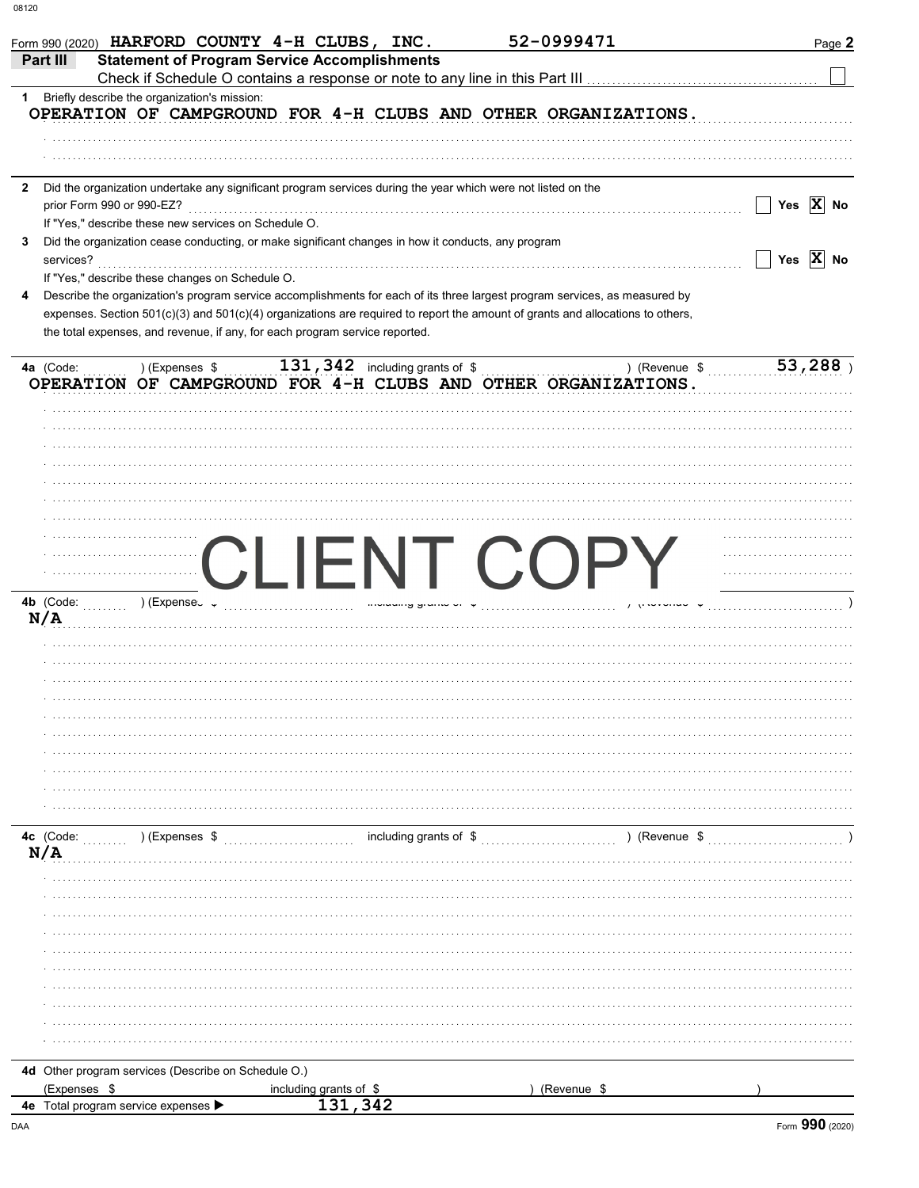|                                                      | Form 990 (2020) HARFORD COUNTY 4-H CLUBS, INC.                                                                                                                                                                 | 52-0999471  | Page 2                |
|------------------------------------------------------|----------------------------------------------------------------------------------------------------------------------------------------------------------------------------------------------------------------|-------------|-----------------------|
| Part III                                             | <b>Statement of Program Service Accomplishments</b><br>Check if Schedule O contains a response or note to any line in this Part III [11] [11] [11] [11] [11] [11] [1                                           |             |                       |
| 1 Briefly describe the organization's mission:       |                                                                                                                                                                                                                |             |                       |
|                                                      | OPERATION OF CAMPGROUND FOR 4-H CLUBS AND OTHER ORGANIZATIONS.                                                                                                                                                 |             |                       |
|                                                      |                                                                                                                                                                                                                |             |                       |
|                                                      |                                                                                                                                                                                                                |             |                       |
| $\mathbf{2}$                                         | Did the organization undertake any significant program services during the year which were not listed on the                                                                                                   |             |                       |
| prior Form 990 or 990-EZ?                            |                                                                                                                                                                                                                |             | Yes $ X $ No          |
| If "Yes," describe these new services on Schedule O. |                                                                                                                                                                                                                |             |                       |
| 3                                                    | Did the organization cease conducting, or make significant changes in how it conducts, any program                                                                                                             |             |                       |
| services?                                            |                                                                                                                                                                                                                |             | Yes $\overline{X}$ No |
| If "Yes," describe these changes on Schedule O.      |                                                                                                                                                                                                                |             |                       |
| 4                                                    | Describe the organization's program service accomplishments for each of its three largest program services, as measured by                                                                                     |             |                       |
|                                                      | expenses. Section 501(c)(3) and 501(c)(4) organizations are required to report the amount of grants and allocations to others,<br>the total expenses, and revenue, if any, for each program service reported.  |             |                       |
| 4a (Code:                                            | ) (Expenses $\sqrt[6]{\begin{array}{cc} 1.31,342 \end{array}}}$ including grants of $\sqrt[6]{\begin{array}{cc} 5.1,1.1,1.1.1 \end{array}}}$ (Revenue $\sqrt[6]{\begin{array}{cc} 5.1,1.1,1.1.1 \end{array}}}$ |             | 53,288                |
|                                                      | OPERATION OF CAMPGROUND FOR 4-H CLUBS AND OTHER ORGANIZATIONS.                                                                                                                                                 |             |                       |
|                                                      |                                                                                                                                                                                                                |             |                       |
|                                                      |                                                                                                                                                                                                                |             |                       |
|                                                      |                                                                                                                                                                                                                |             |                       |
|                                                      |                                                                                                                                                                                                                |             |                       |
|                                                      |                                                                                                                                                                                                                |             |                       |
|                                                      |                                                                                                                                                                                                                |             |                       |
|                                                      |                                                                                                                                                                                                                |             |                       |
|                                                      |                                                                                                                                                                                                                |             |                       |
|                                                      | CLIENT COPY                                                                                                                                                                                                    |             |                       |
|                                                      |                                                                                                                                                                                                                |             |                       |
| $4b$ (Code:<br>ب    ) (Expense) (                    |                                                                                                                                                                                                                |             |                       |
| N/A                                                  |                                                                                                                                                                                                                |             |                       |
|                                                      |                                                                                                                                                                                                                |             |                       |
|                                                      |                                                                                                                                                                                                                |             |                       |
|                                                      |                                                                                                                                                                                                                |             |                       |
|                                                      |                                                                                                                                                                                                                |             |                       |
|                                                      |                                                                                                                                                                                                                |             |                       |
|                                                      |                                                                                                                                                                                                                |             |                       |
|                                                      |                                                                                                                                                                                                                |             |                       |
|                                                      |                                                                                                                                                                                                                |             |                       |
|                                                      |                                                                                                                                                                                                                |             |                       |
|                                                      |                                                                                                                                                                                                                |             |                       |
| ) (Expenses \$<br><b>4c</b> (Code:                   |                                                                                                                                                                                                                |             |                       |
| N/A                                                  |                                                                                                                                                                                                                |             |                       |
|                                                      |                                                                                                                                                                                                                |             |                       |
|                                                      |                                                                                                                                                                                                                |             |                       |
|                                                      |                                                                                                                                                                                                                |             |                       |
|                                                      |                                                                                                                                                                                                                |             |                       |
|                                                      |                                                                                                                                                                                                                |             |                       |
|                                                      |                                                                                                                                                                                                                |             |                       |
|                                                      |                                                                                                                                                                                                                |             |                       |
|                                                      |                                                                                                                                                                                                                |             |                       |
|                                                      |                                                                                                                                                                                                                |             |                       |
|                                                      |                                                                                                                                                                                                                |             |                       |
| 4d Other program services (Describe on Schedule O.)  |                                                                                                                                                                                                                |             |                       |
| (Expenses \$                                         | including grants of \$                                                                                                                                                                                         | (Revenue \$ |                       |
| 4e Total program service expenses ▶                  | 131,342                                                                                                                                                                                                        |             |                       |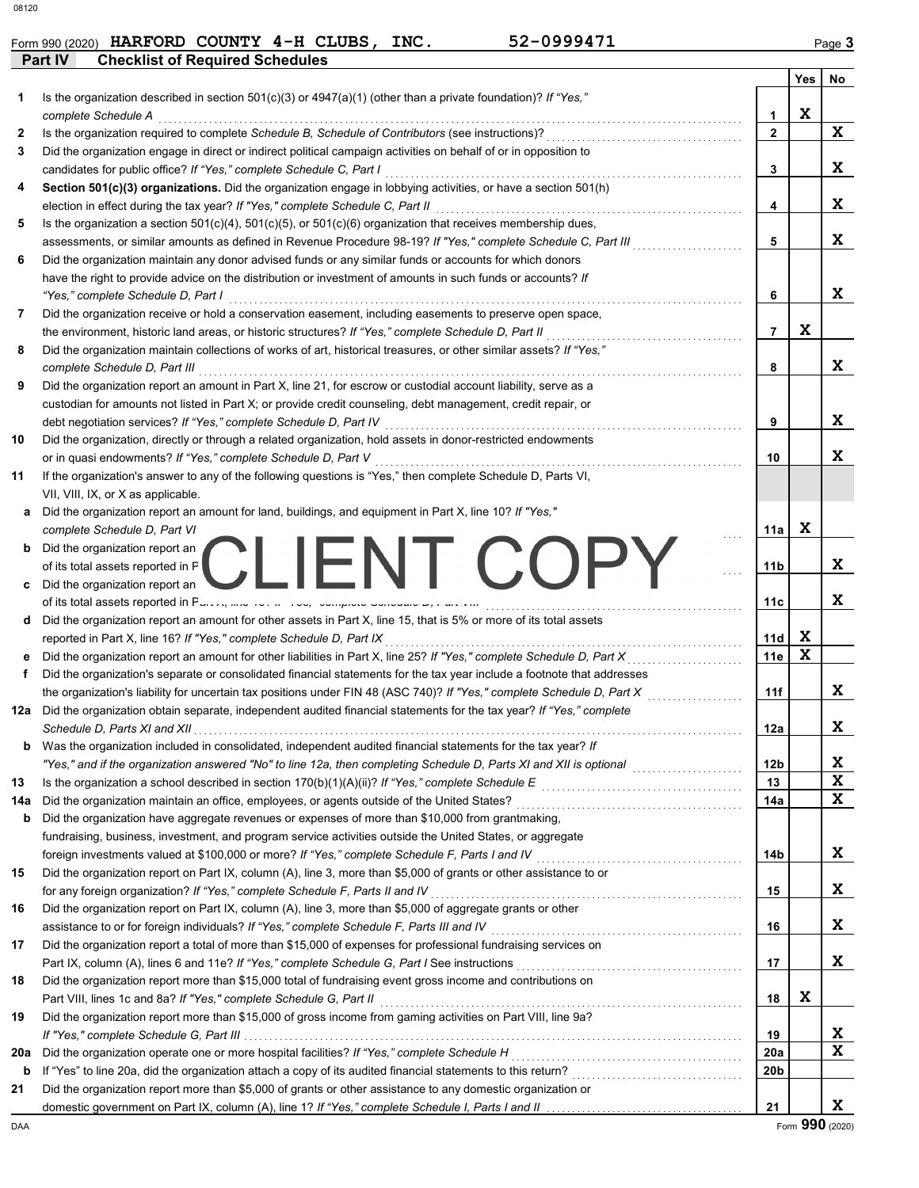|         | Form 990 (2020) HARFORD COUNTY 4-H CLUBS, | INC. | 52-0999471 | $P$ ade $\sim$ |
|---------|-------------------------------------------|------|------------|----------------|
| Part IV | Chackliet of Damirad Schadulae            |      |            |                |

|     | rait IV<br>Checking of Reddited Schedules                                                                                                                                                                                           |                 |     |                         |
|-----|-------------------------------------------------------------------------------------------------------------------------------------------------------------------------------------------------------------------------------------|-----------------|-----|-------------------------|
|     |                                                                                                                                                                                                                                     |                 | Yes | No                      |
| 1   | Is the organization described in section 501(c)(3) or 4947(a)(1) (other than a private foundation)? If "Yes,"                                                                                                                       |                 |     |                         |
|     | complete Schedule A                                                                                                                                                                                                                 | 1               | X   |                         |
| 2   | Is the organization required to complete Schedule B, Schedule of Contributors (see instructions)?                                                                                                                                   | $\overline{2}$  |     | X                       |
| 3   | Did the organization engage in direct or indirect political campaign activities on behalf of or in opposition to                                                                                                                    |                 |     |                         |
|     | candidates for public office? If "Yes," complete Schedule C, Part I                                                                                                                                                                 | 3               |     | X                       |
| 4   | Section 501(c)(3) organizations. Did the organization engage in lobbying activities, or have a section 501(h)                                                                                                                       |                 |     | X                       |
|     | election in effect during the tax year? If "Yes," complete Schedule C, Part II                                                                                                                                                      | 4               |     |                         |
| 5   | Is the organization a section $501(c)(4)$ , $501(c)(5)$ , or $501(c)(6)$ organization that receives membership dues,                                                                                                                | 5               |     | X                       |
| 6   | assessments, or similar amounts as defined in Revenue Procedure 98-19? If "Yes," complete Schedule C, Part III<br>Did the organization maintain any donor advised funds or any similar funds or accounts for which donors           |                 |     |                         |
|     | have the right to provide advice on the distribution or investment of amounts in such funds or accounts? If                                                                                                                         |                 |     |                         |
|     | "Yes," complete Schedule D, Part I                                                                                                                                                                                                  | 6               |     | X                       |
| 7   | Did the organization receive or hold a conservation easement, including easements to preserve open space,                                                                                                                           |                 |     |                         |
|     | the environment, historic land areas, or historic structures? If "Yes," complete Schedule D, Part II                                                                                                                                | $\overline{7}$  | X   |                         |
| 8   | Did the organization maintain collections of works of art, historical treasures, or other similar assets? If "Yes,"                                                                                                                 |                 |     |                         |
|     | complete Schedule D, Part III                                                                                                                                                                                                       | 8               |     | X                       |
| 9   | Did the organization report an amount in Part X, line 21, for escrow or custodial account liability, serve as a                                                                                                                     |                 |     |                         |
|     | custodian for amounts not listed in Part X; or provide credit counseling, debt management, credit repair, or                                                                                                                        |                 |     |                         |
|     | debt negotiation services? If "Yes," complete Schedule D, Part IV                                                                                                                                                                   | 9               |     | X                       |
| 10  | Did the organization, directly or through a related organization, hold assets in donor-restricted endowments                                                                                                                        |                 |     |                         |
|     | or in quasi endowments? If "Yes," complete Schedule D, Part V                                                                                                                                                                       | 10              |     | X                       |
| 11  | If the organization's answer to any of the following questions is "Yes," then complete Schedule D, Parts VI,                                                                                                                        |                 |     |                         |
|     | VII, VIII, IX, or X as applicable.                                                                                                                                                                                                  |                 |     |                         |
| а   | Did the organization report an amount for land, buildings, and equipment in Part X, line 10? If "Yes,"                                                                                                                              |                 |     |                         |
|     | complete Schedule D, Part VI                                                                                                                                                                                                        | 11a             | X   |                         |
| b   | Did the organization report an                                                                                                                                                                                                      |                 |     |                         |
|     | CLIENT COF<br>of its total assets reported in $F$                                                                                                                                                                                   | 11 <sub>b</sub> |     | X                       |
| c   | Did the organization report an                                                                                                                                                                                                      |                 |     |                         |
|     | of its total assets reported in Parco, and room now, complete concurrence, range m                                                                                                                                                  | 11c             |     | X                       |
| d   | Did the organization report an amount for other assets in Part X, line 15, that is 5% or more of its total assets                                                                                                                   |                 |     |                         |
|     | reported in Part X, line 16? If "Yes," complete Schedule D, Part IX                                                                                                                                                                 | 11d             | x   |                         |
|     | Did the organization report an amount for other liabilities in Part X, line 25? If "Yes," complete Schedule D, Part X                                                                                                               | 11e             | X   |                         |
| f   | Did the organization's separate or consolidated financial statements for the tax year include a footnote that addresses                                                                                                             |                 |     |                         |
|     | the organization's liability for uncertain tax positions under FIN 48 (ASC 740)? If "Yes," complete Schedule D, Part X                                                                                                              | 11f             |     | X                       |
|     | 12a Did the organization obtain separate, independent audited financial statements for the tax year? If "Yes," complete                                                                                                             |                 |     |                         |
|     | Schedule D, Parts XI and XII                                                                                                                                                                                                        | 12a             |     | x                       |
| b   | Was the organization included in consolidated, independent audited financial statements for the tax year? If                                                                                                                        |                 |     |                         |
|     |                                                                                                                                                                                                                                     | 12 <sub>b</sub> |     | X<br>$\mathbf{x}$       |
| 13  |                                                                                                                                                                                                                                     | 13              |     | $\mathbf{x}$            |
| 14a | Did the organization maintain an office, employees, or agents outside of the United States?                                                                                                                                         | 14a             |     |                         |
| b   | Did the organization have aggregate revenues or expenses of more than \$10,000 from grantmaking,                                                                                                                                    |                 |     |                         |
|     | fundraising, business, investment, and program service activities outside the United States, or aggregate                                                                                                                           |                 |     | X                       |
|     | foreign investments valued at \$100,000 or more? If "Yes," complete Schedule F, Parts I and IV [[[[[[[[[[[[[[[<br>Did the organization report on Part IX, column (A), line 3, more than \$5,000 of grants or other assistance to or | 14b             |     |                         |
| 15  | for any foreign organization? If "Yes," complete Schedule F, Parts II and IV                                                                                                                                                        | 15              |     | X                       |
| 16  | Did the organization report on Part IX, column (A), line 3, more than \$5,000 of aggregate grants or other                                                                                                                          |                 |     |                         |
|     |                                                                                                                                                                                                                                     | 16              |     | X                       |
| 17  | Did the organization report a total of more than \$15,000 of expenses for professional fundraising services on                                                                                                                      |                 |     |                         |
|     |                                                                                                                                                                                                                                     | 17              |     | X                       |
| 18  | Did the organization report more than \$15,000 total of fundraising event gross income and contributions on                                                                                                                         |                 |     |                         |
|     |                                                                                                                                                                                                                                     | 18              | X   |                         |
| 19  | Did the organization report more than \$15,000 of gross income from gaming activities on Part VIII, line 9a?                                                                                                                        |                 |     |                         |
|     |                                                                                                                                                                                                                                     | 19              |     | X                       |
| 20a |                                                                                                                                                                                                                                     | 20a             |     | $\overline{\mathbf{x}}$ |
| b   | If "Yes" to line 20a, did the organization attach a copy of its audited financial statements to this return?                                                                                                                        | 20 <sub>b</sub> |     |                         |
| 21  | Did the organization report more than \$5,000 of grants or other assistance to any domestic organization or                                                                                                                         |                 |     |                         |
|     |                                                                                                                                                                                                                                     | 21              |     | X                       |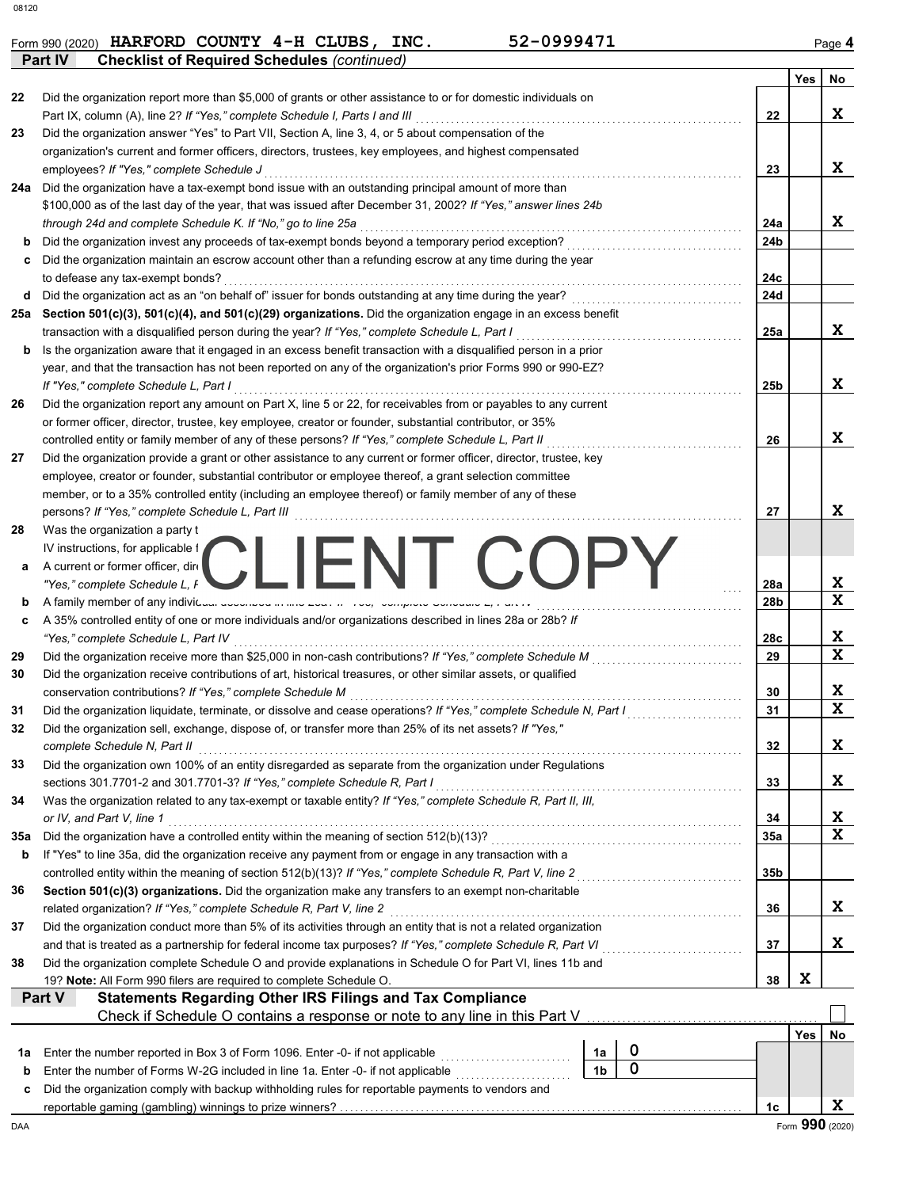**Part IV** Checklist of Required Schedules *(continued)* 

|     |                                                                                                                                                                                                                                  |                 | Yes             | No           |
|-----|----------------------------------------------------------------------------------------------------------------------------------------------------------------------------------------------------------------------------------|-----------------|-----------------|--------------|
| 22  | Did the organization report more than \$5,000 of grants or other assistance to or for domestic individuals on                                                                                                                    |                 |                 |              |
|     | Part IX, column (A), line 2? If "Yes," complete Schedule I, Parts I and III [11]                                                                                                                                                 | 22              |                 | X            |
| 23  | Did the organization answer "Yes" to Part VII, Section A, line 3, 4, or 5 about compensation of the                                                                                                                              |                 |                 |              |
|     | organization's current and former officers, directors, trustees, key employees, and highest compensated                                                                                                                          |                 |                 |              |
|     | employees? If "Yes," complete Schedule J                                                                                                                                                                                         | 23              |                 | X            |
|     | 24a Did the organization have a tax-exempt bond issue with an outstanding principal amount of more than                                                                                                                          |                 |                 |              |
|     | \$100,000 as of the last day of the year, that was issued after December 31, 2002? If "Yes," answer lines 24b                                                                                                                    |                 |                 |              |
|     | through 24d and complete Schedule K. If "No," go to line 25a                                                                                                                                                                     | 24a             |                 | X            |
| b   |                                                                                                                                                                                                                                  | 24b             |                 |              |
| c   | Did the organization maintain an escrow account other than a refunding escrow at any time during the year                                                                                                                        |                 |                 |              |
|     | to defease any tax-exempt bonds?<br>Did the organization act as an "on behalf of" issuer for bonds outstanding at any time during the year?                                                                                      | 24c             |                 |              |
| d   |                                                                                                                                                                                                                                  | 24d             |                 |              |
| 25a | Section 501(c)(3), 501(c)(4), and 501(c)(29) organizations. Did the organization engage in an excess benefit                                                                                                                     | 25a             |                 | X            |
|     | transaction with a disqualified person during the year? If "Yes," complete Schedule L, Part I                                                                                                                                    |                 |                 |              |
| b   | Is the organization aware that it engaged in an excess benefit transaction with a disqualified person in a prior<br>year, and that the transaction has not been reported on any of the organization's prior Forms 990 or 990-EZ? |                 |                 |              |
|     |                                                                                                                                                                                                                                  |                 |                 | X            |
|     | If "Yes," complete Schedule L, Part I<br>Did the organization report any amount on Part X, line 5 or 22, for receivables from or payables to any current                                                                         | 25 <sub>b</sub> |                 |              |
| 26  |                                                                                                                                                                                                                                  |                 |                 |              |
|     | or former officer, director, trustee, key employee, creator or founder, substantial contributor, or 35%<br>controlled entity or family member of any of these persons? If "Yes," complete Schedule L, Part II                    | 26              |                 | X            |
| 27  | Did the organization provide a grant or other assistance to any current or former officer, director, trustee, key                                                                                                                |                 |                 |              |
|     | employee, creator or founder, substantial contributor or employee thereof, a grant selection committee                                                                                                                           |                 |                 |              |
|     | member, or to a 35% controlled entity (including an employee thereof) or family member of any of these                                                                                                                           |                 |                 |              |
|     | persons? If "Yes," complete Schedule L, Part III                                                                                                                                                                                 | 27              |                 | X            |
| 28  | Was the organization a party t                                                                                                                                                                                                   |                 |                 |              |
|     | IV instructions, for applicable f                                                                                                                                                                                                |                 |                 |              |
| a   | CLIENT COPY<br>A current or former officer, dire                                                                                                                                                                                 |                 |                 |              |
|     | "Yes," complete Schedule L, F                                                                                                                                                                                                    | 28a             |                 | X            |
| b   | A family member of any individual according to the code in the complete concurrence, that                                                                                                                                        | 28 <sub>b</sub> |                 | $\mathbf x$  |
| c   | A 35% controlled entity of one or more individuals and/or organizations described in lines 28a or 28b? If                                                                                                                        |                 |                 |              |
|     | "Yes," complete Schedule L, Part IV                                                                                                                                                                                              | 28c             |                 | X            |
| 29  | Did the organization receive more than \$25,000 in non-cash contributions? If "Yes," complete Schedule M                                                                                                                         | 29              |                 | X            |
| 30  | Did the organization receive contributions of art, historical treasures, or other similar assets, or qualified                                                                                                                   |                 |                 |              |
|     | conservation contributions? If "Yes," complete Schedule M                                                                                                                                                                        | 30              |                 | X            |
| 31  | Did the organization liquidate, terminate, or dissolve and cease operations? If "Yes," complete Schedule N, Part I                                                                                                               | 31              |                 | $\mathbf{x}$ |
| 32  | Did the organization sell, exchange, dispose of, or transfer more than 25% of its net assets? If "Yes,"                                                                                                                          |                 |                 |              |
|     | complete Schedule N, Part II                                                                                                                                                                                                     | 32              |                 | X            |
| 33  | Did the organization own 100% of an entity disregarded as separate from the organization under Regulations                                                                                                                       |                 |                 |              |
|     | sections 301.7701-2 and 301.7701-3? If "Yes," complete Schedule R, Part I                                                                                                                                                        | 33              |                 | X            |
| 34  | Was the organization related to any tax-exempt or taxable entity? If "Yes," complete Schedule R, Part II, III,                                                                                                                   |                 |                 |              |
|     | or IV, and Part V, line 1                                                                                                                                                                                                        | 34              |                 | X            |
| 35a |                                                                                                                                                                                                                                  | 35a             |                 | $\mathbf x$  |
| b   | If "Yes" to line 35a, did the organization receive any payment from or engage in any transaction with a                                                                                                                          |                 |                 |              |
|     | controlled entity within the meaning of section 512(b)(13)? If "Yes," complete Schedule R, Part V, line 2                                                                                                                        | 35 <sub>b</sub> |                 |              |
| 36  | Section 501(c)(3) organizations. Did the organization make any transfers to an exempt non-charitable                                                                                                                             |                 |                 |              |
|     | related organization? If "Yes," complete Schedule R, Part V, line 2                                                                                                                                                              | 36              |                 | X            |
| 37  | Did the organization conduct more than 5% of its activities through an entity that is not a related organization                                                                                                                 |                 |                 |              |
|     |                                                                                                                                                                                                                                  | 37              |                 | X            |
| 38  | Did the organization complete Schedule O and provide explanations in Schedule O for Part VI, lines 11b and                                                                                                                       |                 |                 |              |
|     | 19? Note: All Form 990 filers are required to complete Schedule O.                                                                                                                                                               | 38              | X               |              |
|     | <b>Statements Regarding Other IRS Filings and Tax Compliance</b><br>Part V                                                                                                                                                       |                 |                 |              |
|     | Check if Schedule O contains a response or note to any line in this Part V.                                                                                                                                                      |                 |                 |              |
|     |                                                                                                                                                                                                                                  |                 | Yes             | No           |
| 1a  | $\mathbf 0$<br>Enter the number reported in Box 3 of Form 1096. Enter -0- if not applicable [[[[[[[[[[[[[[[[[[[[[[[[[[[[[[[[<br>1а                                                                                               |                 |                 |              |
| b   | $\mathbf 0$<br>1 <sub>b</sub><br>Enter the number of Forms W-2G included in line 1a. Enter -0- if not applicable <i>manus contained</i>                                                                                          |                 |                 |              |
| c   | Did the organization comply with backup withholding rules for reportable payments to vendors and                                                                                                                                 |                 |                 |              |
|     |                                                                                                                                                                                                                                  | 1c              |                 | x            |
| DAA |                                                                                                                                                                                                                                  |                 | Form 990 (2020) |              |

**Form 990 (2020) HARFORD COUNTY 4-H CLUBS, INC.** 52-0999471 Page 4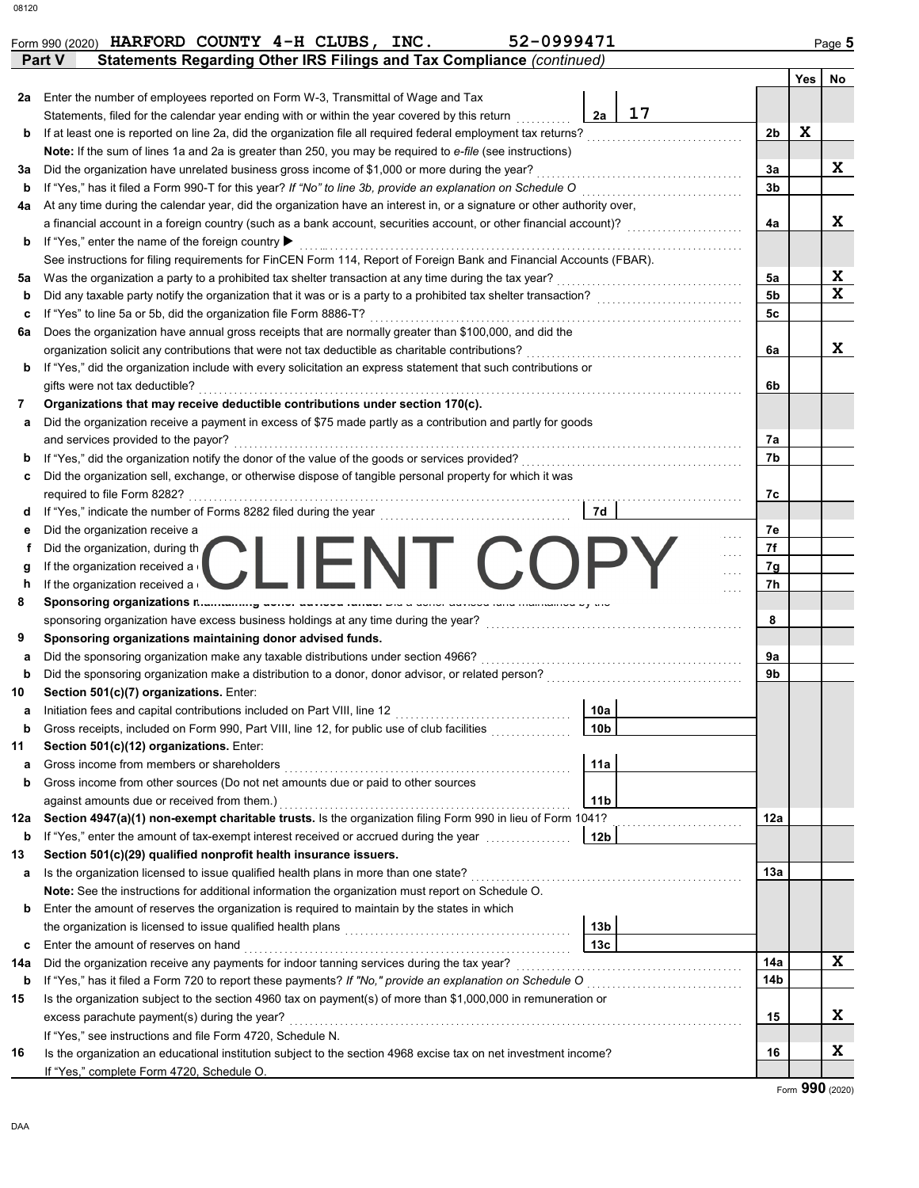|                  | 52-0999471<br>HARFORD COUNTY 4-H CLUBS, INC.<br>Form 990 (2020)                                                                                                                                                                               |                |     | Page 5       |
|------------------|-----------------------------------------------------------------------------------------------------------------------------------------------------------------------------------------------------------------------------------------------|----------------|-----|--------------|
|                  | Statements Regarding Other IRS Filings and Tax Compliance (continued)<br>Part V                                                                                                                                                               |                |     |              |
|                  |                                                                                                                                                                                                                                               |                | Yes | No           |
| 2a               | Enter the number of employees reported on Form W-3, Transmittal of Wage and Tax                                                                                                                                                               |                |     |              |
|                  | 17<br>2a<br>Statements, filed for the calendar year ending with or within the year covered by this return                                                                                                                                     |                |     |              |
| b                | If at least one is reported on line 2a, did the organization file all required federal employment tax returns?                                                                                                                                | 2b             | X   |              |
|                  | Note: If the sum of lines 1a and 2a is greater than 250, you may be required to e-file (see instructions)                                                                                                                                     |                |     |              |
| За               | Did the organization have unrelated business gross income of \$1,000 or more during the year?                                                                                                                                                 | За             |     | X            |
| b                | If "Yes," has it filed a Form 990-T for this year? If "No" to line 3b, provide an explanation on Schedule O                                                                                                                                   | 3b             |     |              |
| 4a               | At any time during the calendar year, did the organization have an interest in, or a signature or other authority over,<br>a financial account in a foreign country (such as a bank account, securities account, or other financial account)? | 4a             |     | X            |
| b                | If "Yes," enter the name of the foreign country ▶                                                                                                                                                                                             |                |     |              |
|                  | See instructions for filing requirements for FinCEN Form 114, Report of Foreign Bank and Financial Accounts (FBAR).                                                                                                                           |                |     |              |
| 5a               | Was the organization a party to a prohibited tax shelter transaction at any time during the tax year?                                                                                                                                         | 5a             |     | X            |
| b                | Did any taxable party notify the organization that it was or is a party to a prohibited tax shelter transaction?                                                                                                                              | 5 <sub>b</sub> |     | $\mathbf{x}$ |
| с                | If "Yes" to line 5a or 5b, did the organization file Form 8886-T?                                                                                                                                                                             | 5c             |     |              |
| 6a               | Does the organization have annual gross receipts that are normally greater than \$100,000, and did the                                                                                                                                        |                |     |              |
|                  | organization solicit any contributions that were not tax deductible as charitable contributions?                                                                                                                                              | 6a             |     | X            |
| b                | If "Yes," did the organization include with every solicitation an express statement that such contributions or                                                                                                                                |                |     |              |
|                  | gifts were not tax deductible?                                                                                                                                                                                                                | 6b             |     |              |
| 7                | Organizations that may receive deductible contributions under section 170(c).                                                                                                                                                                 |                |     |              |
| а                | Did the organization receive a payment in excess of \$75 made partly as a contribution and partly for goods                                                                                                                                   |                |     |              |
|                  | and services provided to the payor?                                                                                                                                                                                                           | 7a             |     |              |
| b                | If "Yes," did the organization notify the donor of the value of the goods or services provided?                                                                                                                                               | 7b             |     |              |
| с                | Did the organization sell, exchange, or otherwise dispose of tangible personal property for which it was                                                                                                                                      |                |     |              |
|                  | required to file Form 8282?                                                                                                                                                                                                                   | 7c             |     |              |
| d                | If "Yes," indicate the number of Forms 8282 filed during the year<br>[[[[[[[[[[[[[[[]]]]]<br>7d                                                                                                                                               |                |     |              |
| е                | Did the organization receive a                                                                                                                                                                                                                | 7е             |     |              |
| f                | Did the organization, during th                                                                                                                                                                                                               | 7f             |     |              |
| g                | <b>JUENT COF</b><br>If the organization received a                                                                                                                                                                                            | 7g             |     |              |
| h                | If the organization received a                                                                                                                                                                                                                | 7h             |     |              |
| 8                | Sponsoring organizations numerous world were consumed that<br>au nanu mummumuu ay una                                                                                                                                                         |                |     |              |
|                  | sponsoring organization have excess business holdings at any time during the year?                                                                                                                                                            | 8              |     |              |
| 9                | Sponsoring organizations maintaining donor advised funds.                                                                                                                                                                                     | 9a             |     |              |
| а<br>$\mathbf b$ | Did the sponsoring organization make any taxable distributions under section 4966?<br>Did the sponsoring organization make a distribution to a donor, donor advisor, or related person?                                                       | 9b             |     |              |
| 10               | Section 501(c)(7) organizations. Enter:                                                                                                                                                                                                       |                |     |              |
| a                | 10a<br>Initiation fees and capital contributions included on Part VIII, line 12                                                                                                                                                               |                |     |              |
| b                | 10 <sub>b</sub><br>Gross receipts, included on Form 990, Part VIII, line 12, for public use of club facilities                                                                                                                                |                |     |              |
| 11               | Section 501(c)(12) organizations. Enter:                                                                                                                                                                                                      |                |     |              |
| а                | 11a<br>Gross income from members or shareholders                                                                                                                                                                                              |                |     |              |
| b                | Gross income from other sources (Do not net amounts due or paid to other sources                                                                                                                                                              |                |     |              |
|                  | 11 <sub>b</sub><br>against amounts due or received from them.)                                                                                                                                                                                |                |     |              |
| 12a              | Section 4947(a)(1) non-exempt charitable trusts. Is the organization filing Form 990 in lieu of Form 1041?                                                                                                                                    | 12a            |     |              |
| b                | 12 <sub>b</sub><br>If "Yes," enter the amount of tax-exempt interest received or accrued during the year conservance of                                                                                                                       |                |     |              |
| 13               | Section 501(c)(29) qualified nonprofit health insurance issuers.                                                                                                                                                                              |                |     |              |
| а                | Is the organization licensed to issue qualified health plans in more than one state?                                                                                                                                                          | 13a            |     |              |
|                  | Note: See the instructions for additional information the organization must report on Schedule O.                                                                                                                                             |                |     |              |
| b                | Enter the amount of reserves the organization is required to maintain by the states in which                                                                                                                                                  |                |     |              |
|                  | 13 <sub>b</sub><br>the organization is licensed to issue qualified health plans                                                                                                                                                               |                |     |              |
| c                | 13 <sub>c</sub><br>Enter the amount of reserves on hand                                                                                                                                                                                       |                |     |              |
| 14a              | Did the organization receive any payments for indoor tanning services during the tax year?                                                                                                                                                    | 14a            |     | X            |
| b                | If "Yes," has it filed a Form 720 to report these payments? If "No," provide an explanation on Schedule O                                                                                                                                     | 14b            |     |              |
| 15               | Is the organization subject to the section 4960 tax on payment(s) of more than \$1,000,000 in remuneration or                                                                                                                                 |                |     |              |
|                  | excess parachute payment(s) during the year?                                                                                                                                                                                                  | 15             |     | X            |
|                  | If "Yes," see instructions and file Form 4720, Schedule N.                                                                                                                                                                                    |                |     |              |
| 16               | Is the organization an educational institution subject to the section 4968 excise tax on net investment income?                                                                                                                               | 16             |     | X            |
|                  | If "Yes," complete Form 4720, Schedule O.                                                                                                                                                                                                     |                |     |              |

Form **990** (2020)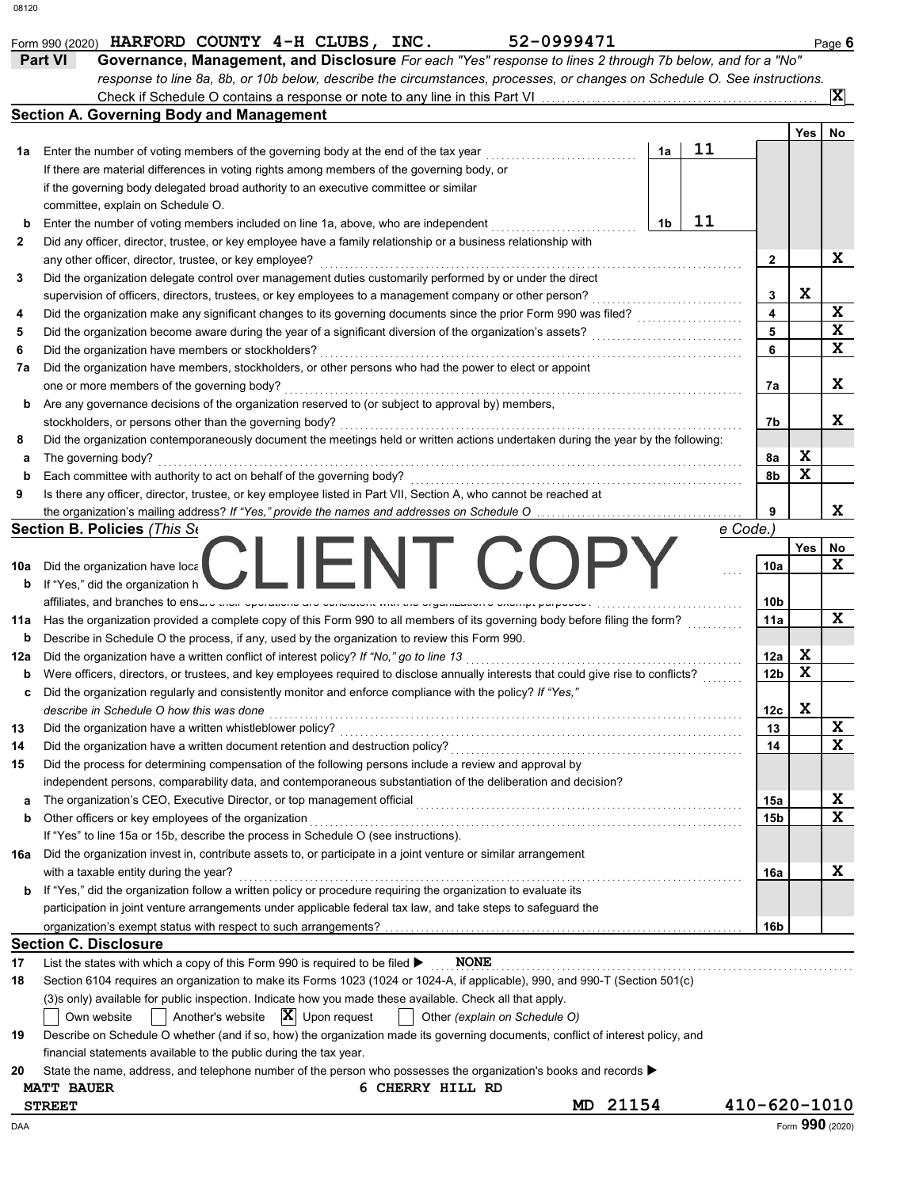|     | 52-0999471<br>Form 990 (2020) HARFORD COUNTY 4-H CLUBS, INC.<br>Governance, Management, and Disclosure For each "Yes" response to lines 2 through 7b below, and for a "No"<br><b>Part VI</b><br>response to line 8a, 8b, or 10b below, describe the circumstances, processes, or changes on Schedule O. See instructions. |                |    |                 |     | Page 6          |
|-----|---------------------------------------------------------------------------------------------------------------------------------------------------------------------------------------------------------------------------------------------------------------------------------------------------------------------------|----------------|----|-----------------|-----|-----------------|
|     | Check if Schedule O contains a response or note to any line in this Part VI                                                                                                                                                                                                                                               |                |    |                 |     | $ \mathbf{x} $  |
|     | <b>Section A. Governing Body and Management</b>                                                                                                                                                                                                                                                                           |                |    |                 |     |                 |
|     |                                                                                                                                                                                                                                                                                                                           |                |    |                 | Yes | No              |
| 1а  | Enter the number of voting members of the governing body at the end of the tax year                                                                                                                                                                                                                                       | 1a             | 11 |                 |     |                 |
|     | If there are material differences in voting rights among members of the governing body, or                                                                                                                                                                                                                                |                |    |                 |     |                 |
|     | if the governing body delegated broad authority to an executive committee or similar                                                                                                                                                                                                                                      |                |    |                 |     |                 |
|     | committee, explain on Schedule O.                                                                                                                                                                                                                                                                                         |                |    |                 |     |                 |
| b   | Enter the number of voting members included on line 1a, above, who are independent                                                                                                                                                                                                                                        | 1 <sub>b</sub> | 11 |                 |     |                 |
| 2   | Did any officer, director, trustee, or key employee have a family relationship or a business relationship with                                                                                                                                                                                                            |                |    |                 |     |                 |
|     | any other officer, director, trustee, or key employee?                                                                                                                                                                                                                                                                    |                |    | 2               |     | X               |
| 3   | Did the organization delegate control over management duties customarily performed by or under the direct                                                                                                                                                                                                                 |                |    |                 |     |                 |
|     | supervision of officers, directors, trustees, or key employees to a management company or other person?                                                                                                                                                                                                                   |                |    | 3               | X   |                 |
| 4   | Did the organization make any significant changes to its governing documents since the prior Form 990 was filed?                                                                                                                                                                                                          |                |    | 4               |     | X               |
| 5   | Did the organization become aware during the year of a significant diversion of the organization's assets?                                                                                                                                                                                                                |                |    | 5               |     | X               |
| 6   | Did the organization have members or stockholders?                                                                                                                                                                                                                                                                        |                |    | 6               |     | X               |
| 7a  | Did the organization have members, stockholders, or other persons who had the power to elect or appoint                                                                                                                                                                                                                   |                |    |                 |     |                 |
|     | one or more members of the governing body?                                                                                                                                                                                                                                                                                |                |    | 7a              |     | x               |
| b   | Are any governance decisions of the organization reserved to (or subject to approval by) members,                                                                                                                                                                                                                         |                |    |                 |     |                 |
|     | stockholders, or persons other than the governing body?                                                                                                                                                                                                                                                                   |                |    | 7b              |     | X               |
| 8   | Did the organization contemporaneously document the meetings held or written actions undertaken during the year by the following:                                                                                                                                                                                         |                |    |                 |     |                 |
| а   | The governing body?                                                                                                                                                                                                                                                                                                       |                |    | 8a              | X   |                 |
| b   | Each committee with authority to act on behalf of the governing body?                                                                                                                                                                                                                                                     |                |    | 8b              | X   |                 |
| 9   | Is there any officer, director, trustee, or key employee listed in Part VII, Section A, who cannot be reached at                                                                                                                                                                                                          |                |    |                 |     |                 |
|     |                                                                                                                                                                                                                                                                                                                           |                |    |                 |     | X               |
|     | Section B. Policies (This Se                                                                                                                                                                                                                                                                                              |                |    | e Code.)        |     |                 |
|     | IFNI (X)                                                                                                                                                                                                                                                                                                                  |                |    |                 | Yes | No              |
| 10a | Did the organization have loca                                                                                                                                                                                                                                                                                            |                |    | 10a             |     | X               |
| b   | If "Yes," did the organization h                                                                                                                                                                                                                                                                                          |                |    |                 |     |                 |
| 11a | affiliates, and branches to ensure and operations are concluded marrare organization o overript parpool<br>Has the organization provided a complete copy of this Form 990 to all members of its governing body before filing the form?                                                                                    |                |    | 10b<br>11a      |     | X               |
| b   | Describe in Schedule O the process, if any, used by the organization to review this Form 990.                                                                                                                                                                                                                             |                |    |                 |     |                 |
| 12a | Did the organization have a written conflict of interest policy? If "No," go to line 13                                                                                                                                                                                                                                   |                |    | 12a             | X   |                 |
| b   | Were officers, directors, or trustees, and key employees required to disclose annually interests that could give rise to conflicts?                                                                                                                                                                                       |                |    | 12 <sub>b</sub> | X   |                 |
| c   | Did the organization regularly and consistently monitor and enforce compliance with the policy? If "Yes,"                                                                                                                                                                                                                 |                |    |                 |     |                 |
|     | describe in Schedule O how this was done                                                                                                                                                                                                                                                                                  |                |    | 12c             | X   |                 |
| 13  | Did the organization have a written whistleblower policy?                                                                                                                                                                                                                                                                 |                |    | 13              |     | X               |
| 14  | Did the organization have a written document retention and destruction policy?                                                                                                                                                                                                                                            |                |    | 14              |     | X               |
| 15  | Did the process for determining compensation of the following persons include a review and approval by                                                                                                                                                                                                                    |                |    |                 |     |                 |
|     | independent persons, comparability data, and contemporaneous substantiation of the deliberation and decision?                                                                                                                                                                                                             |                |    |                 |     |                 |
| а   |                                                                                                                                                                                                                                                                                                                           |                |    | 15a             |     | X               |
| b   | Other officers or key employees of the organization                                                                                                                                                                                                                                                                       |                |    | 15 <sub>b</sub> |     | X               |
|     | If "Yes" to line 15a or 15b, describe the process in Schedule O (see instructions).                                                                                                                                                                                                                                       |                |    |                 |     |                 |
| 16a | Did the organization invest in, contribute assets to, or participate in a joint venture or similar arrangement                                                                                                                                                                                                            |                |    |                 |     |                 |
|     | with a taxable entity during the year?                                                                                                                                                                                                                                                                                    |                |    | 16a             |     | X               |
| b   | If "Yes," did the organization follow a written policy or procedure requiring the organization to evaluate its                                                                                                                                                                                                            |                |    |                 |     |                 |
|     | participation in joint venture arrangements under applicable federal tax law, and take steps to safeguard the                                                                                                                                                                                                             |                |    |                 |     |                 |
|     |                                                                                                                                                                                                                                                                                                                           |                |    | 16b             |     |                 |
|     | <b>Section C. Disclosure</b>                                                                                                                                                                                                                                                                                              |                |    |                 |     |                 |
| 17  | List the states with which a copy of this Form 990 is required to be filed ▶<br><b>NONE</b>                                                                                                                                                                                                                               |                |    |                 |     |                 |
| 18  | Section 6104 requires an organization to make its Forms 1023 (1024 or 1024-A, if applicable), 990, and 990-T (Section 501(c)                                                                                                                                                                                              |                |    |                 |     |                 |
|     | (3)s only) available for public inspection. Indicate how you made these available. Check all that apply.                                                                                                                                                                                                                  |                |    |                 |     |                 |
|     | Another's website $\ \mathbf{X}\ $ Upon request<br>Other (explain on Schedule O)<br>Own website                                                                                                                                                                                                                           |                |    |                 |     |                 |
| 19  | Describe on Schedule O whether (and if so, how) the organization made its governing documents, conflict of interest policy, and                                                                                                                                                                                           |                |    |                 |     |                 |
|     | financial statements available to the public during the tax year.                                                                                                                                                                                                                                                         |                |    |                 |     |                 |
| 20  | State the name, address, and telephone number of the person who possesses the organization's books and records ▶                                                                                                                                                                                                          |                |    |                 |     |                 |
|     | <b>MATT BAUER</b><br>6 CHERRY HILL RD                                                                                                                                                                                                                                                                                     |                |    |                 |     |                 |
|     | MD 21154<br><b>STREET</b>                                                                                                                                                                                                                                                                                                 |                |    | 410-620-1010    |     |                 |
| DAA |                                                                                                                                                                                                                                                                                                                           |                |    |                 |     | Form 990 (2020) |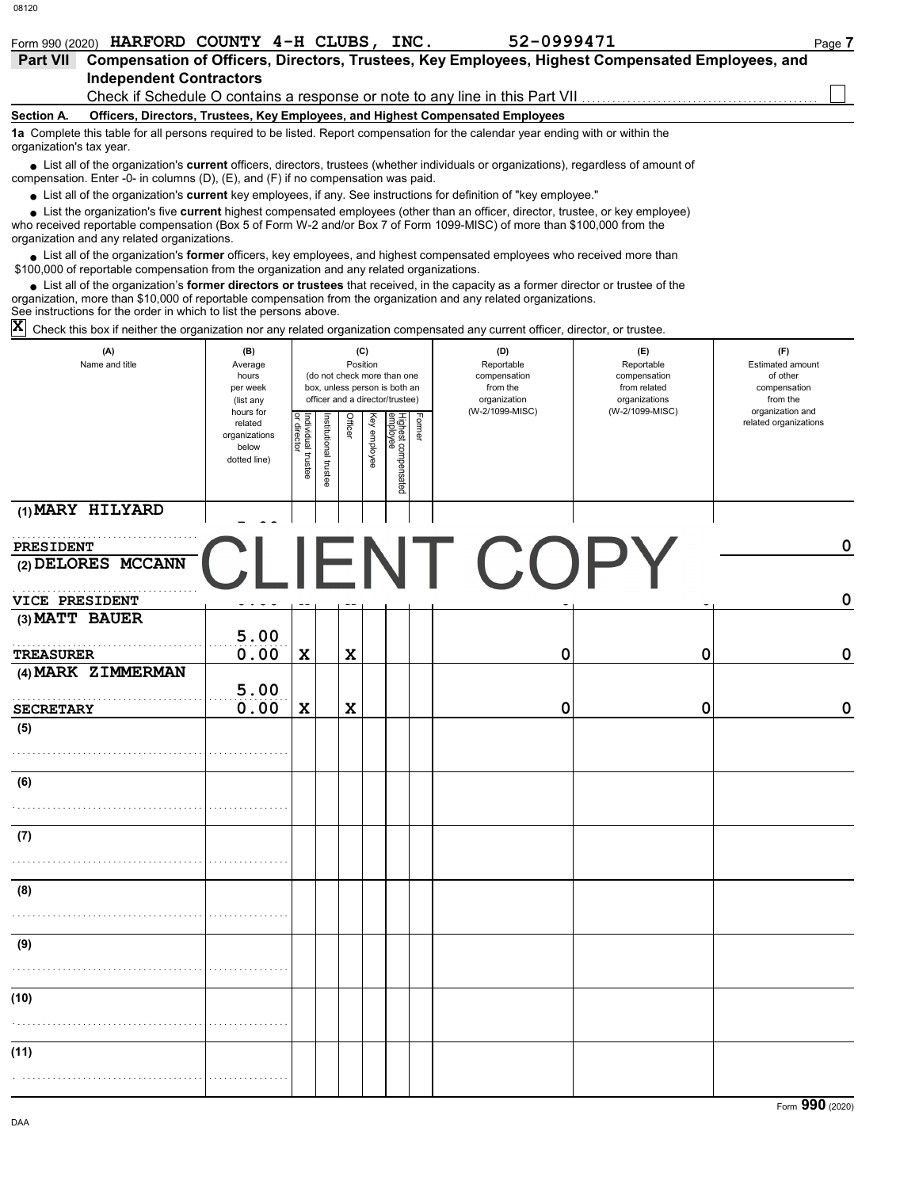| Form 990 (2020)                                                                                                                                                                                                                                                                                          |         | HARFORD COUNTY 4-H CLUBS, INC.                                                                   | 52-0999471 |            | Page 7                  |
|----------------------------------------------------------------------------------------------------------------------------------------------------------------------------------------------------------------------------------------------------------------------------------------------------------|---------|--------------------------------------------------------------------------------------------------|------------|------------|-------------------------|
| <b>Part VII</b>                                                                                                                                                                                                                                                                                          |         | Compensation of Officers, Directors, Trustees, Key Employees, Highest Compensated Employees, and |            |            |                         |
| <b>Independent Contractors</b>                                                                                                                                                                                                                                                                           |         |                                                                                                  |            |            |                         |
|                                                                                                                                                                                                                                                                                                          |         | Check if Schedule O contains a response or note to any line in this Part VII                     |            |            |                         |
| Section A.                                                                                                                                                                                                                                                                                               |         | Officers, Directors, Trustees, Key Employees, and Highest Compensated Employees                  |            |            |                         |
| 1a Complete this table for all persons required to be listed. Report compensation for the calendar year ending with or within the<br>organization's tax year.                                                                                                                                            |         |                                                                                                  |            |            |                         |
| • List all of the organization's <b>current</b> officers, directors, trustees (whether individuals or organizations), regardless of amount of<br>compensation. Enter -0- in columns $(D)$ , $(E)$ , and $(F)$ if no compensation was paid.                                                               |         |                                                                                                  |            |            |                         |
| • List all of the organization's current key employees, if any. See instructions for definition of "key employee."                                                                                                                                                                                       |         |                                                                                                  |            |            |                         |
| List the organization's five current highest compensated employees (other than an officer, director, trustee, or key employee)<br>who received reportable compensation (Box 5 of Form W-2 and/or Box 7 of Form 1099-MISC) of more than \$100,000 from the<br>organization and any related organizations. |         |                                                                                                  |            |            |                         |
| List all of the organization's former officers, key employees, and highest compensated employees who received more than<br>\$100,000 of reportable compensation from the organization and any related organizations.                                                                                     |         |                                                                                                  |            |            |                         |
| • List all of the organization's former directors or trustees that received, in the capacity as a former director or trustee of the<br>organization, more than \$10,000 of reportable compensation from the organization and any related organizations.                                                  |         |                                                                                                  |            |            |                         |
| See instructions for the order in which to list the persons above.                                                                                                                                                                                                                                       |         |                                                                                                  |            |            |                         |
| X<br>Check this box if neither the organization nor any related organization compensated any current officer, director, or trustee.                                                                                                                                                                      |         |                                                                                                  |            |            |                         |
| (A)                                                                                                                                                                                                                                                                                                      | (B)     | (C)                                                                                              | (D)        | (E)        | (F)                     |
| Name and title                                                                                                                                                                                                                                                                                           | Average | Position                                                                                         | Reportable | Reportable | <b>Estimated amount</b> |

| Name and title                  | Average<br>hours<br>per week<br>(list any                      |                                   |                      | Position                | (do not check more than one<br>box, unless person is both an<br>officer and a director/trustee) | Reportable<br>compensation<br>from the<br>organization | Reportable<br>Estimated amount<br>compensation<br>of other<br>from related<br>compensation<br>organizations<br>from the<br>(W-2/1099-MISC) |                                           |
|---------------------------------|----------------------------------------------------------------|-----------------------------------|----------------------|-------------------------|-------------------------------------------------------------------------------------------------|--------------------------------------------------------|--------------------------------------------------------------------------------------------------------------------------------------------|-------------------------------------------|
|                                 | hours for<br>related<br>organizations<br>below<br>dotted line) | Individual trustee<br>or director | nstitutional trustee | Officer<br>Key employee | Former<br>Highest compensated<br>employee                                                       | (W-2/1099-MISC)                                        |                                                                                                                                            | organization and<br>related organizations |
| (1) MARY HILYARD                |                                                                |                                   |                      |                         |                                                                                                 |                                                        |                                                                                                                                            |                                           |
| PRESIDENT<br>(2) DELORES MCCANN | $\mathbf{L}$                                                   |                                   |                      |                         |                                                                                                 | <b>JENT COPY</b>                                       |                                                                                                                                            | $\mathbf 0$                               |
| <b>VICE PRESIDENT</b>           |                                                                |                                   |                      |                         |                                                                                                 |                                                        |                                                                                                                                            | $\mathbf 0$                               |
| $(3)$ MATT BAUER                | 5.00                                                           |                                   |                      |                         |                                                                                                 |                                                        |                                                                                                                                            |                                           |
| <b>TREASURER</b>                | 0.00                                                           | $\mathbf x$                       |                      | $\mathbf x$             |                                                                                                 | 0                                                      | $\mathbf 0$                                                                                                                                | $\pmb{0}$                                 |
| (4) MARK ZIMMERMAN              | 5.00                                                           |                                   |                      |                         |                                                                                                 |                                                        |                                                                                                                                            |                                           |
| <b>SECRETARY</b>                | 0.00                                                           | $\mathbf x$                       |                      | $\mathbf x$             |                                                                                                 | 0                                                      | 0                                                                                                                                          | $\pmb{0}$                                 |
| (5)                             |                                                                |                                   |                      |                         |                                                                                                 |                                                        |                                                                                                                                            |                                           |
| (6)                             |                                                                |                                   |                      |                         |                                                                                                 |                                                        |                                                                                                                                            |                                           |
| (7)                             |                                                                |                                   |                      |                         |                                                                                                 |                                                        |                                                                                                                                            |                                           |
| (8)                             |                                                                |                                   |                      |                         |                                                                                                 |                                                        |                                                                                                                                            |                                           |
| (9)                             |                                                                |                                   |                      |                         |                                                                                                 |                                                        |                                                                                                                                            |                                           |
| (10)                            |                                                                |                                   |                      |                         |                                                                                                 |                                                        |                                                                                                                                            |                                           |
| (11)                            |                                                                |                                   |                      |                         |                                                                                                 |                                                        |                                                                                                                                            |                                           |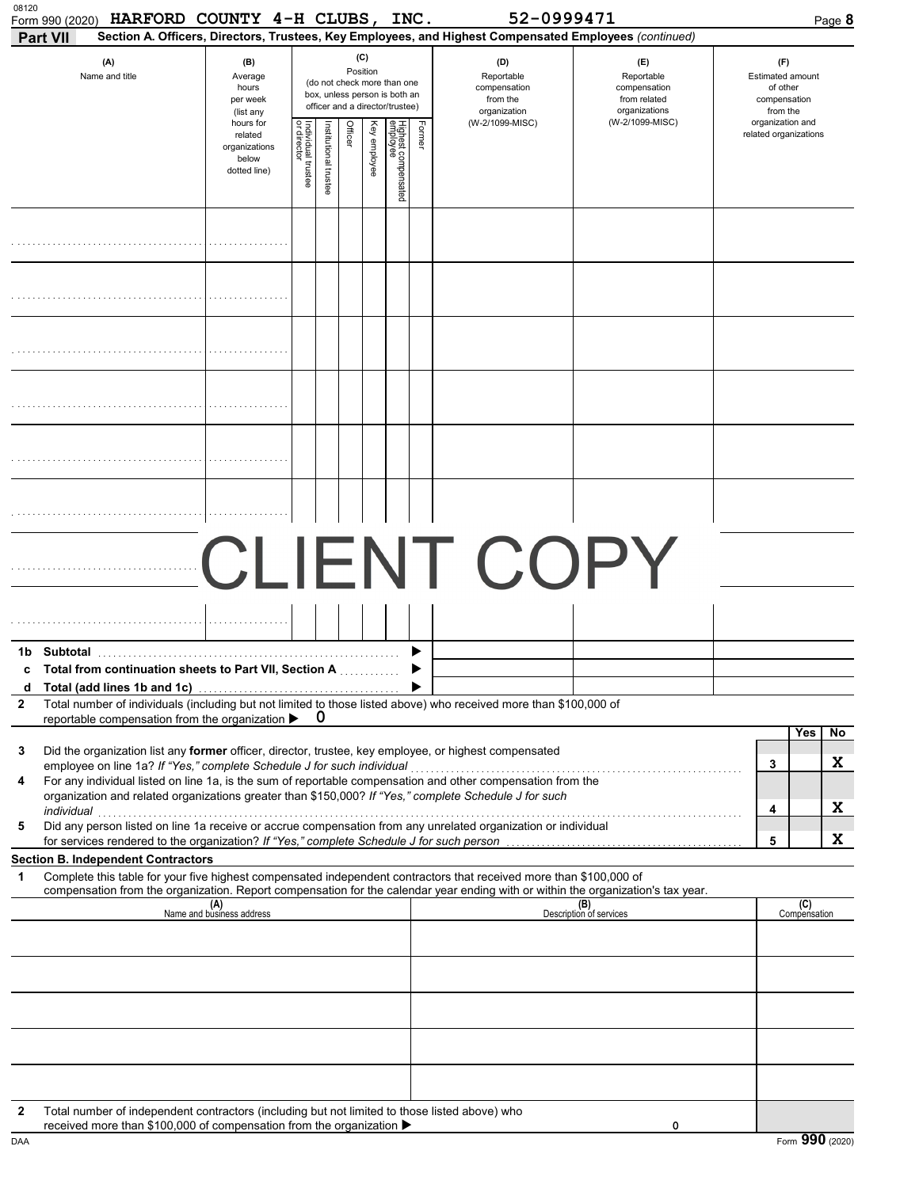| 08120        | HARFORD COUNTY 4-H CLUBS, INC.<br>Form 990 (2020)<br><b>Part VII</b>                                                                                                                                                                                                                                                                                                                                                                                                                                                                                            |                                                                |                                  |                      |         |              |                                 |        | 52-0999471<br>Section A. Officers, Directors, Trustees, Key Employees, and Highest Compensated Employees (continued) |                                | Page 8                                    |  |  |  |  |                                                                                                 |  |  |  |  |  |                                                               |                                                                    |                                                                 |
|--------------|-----------------------------------------------------------------------------------------------------------------------------------------------------------------------------------------------------------------------------------------------------------------------------------------------------------------------------------------------------------------------------------------------------------------------------------------------------------------------------------------------------------------------------------------------------------------|----------------------------------------------------------------|----------------------------------|----------------------|---------|--------------|---------------------------------|--------|----------------------------------------------------------------------------------------------------------------------|--------------------------------|-------------------------------------------|--|--|--|--|-------------------------------------------------------------------------------------------------|--|--|--|--|--|---------------------------------------------------------------|--------------------------------------------------------------------|-----------------------------------------------------------------|
|              | (A)<br>Name and title                                                                                                                                                                                                                                                                                                                                                                                                                                                                                                                                           | (B)<br>Average<br>hours<br>per week<br>(list any               | (C)<br>Position                  |                      |         |              |                                 |        |                                                                                                                      |                                |                                           |  |  |  |  | (do not check more than one<br>box, unless person is both an<br>officer and a director/trustee) |  |  |  |  |  | (D)<br>Reportable<br>compensation<br>from the<br>organization | (E)<br>Reportable<br>compensation<br>from related<br>organizations | (F)<br>Estimated amount<br>of other<br>compensation<br>from the |
|              |                                                                                                                                                                                                                                                                                                                                                                                                                                                                                                                                                                 | hours for<br>related<br>organizations<br>below<br>dotted line) | ndividual trustee<br>or director | nstitutional trustee | Officer | Key employee | Highest compensated<br>employee | Former | (W-2/1099-MISC)                                                                                                      | (W-2/1099-MISC)                | organization and<br>related organizations |  |  |  |  |                                                                                                 |  |  |  |  |  |                                                               |                                                                    |                                                                 |
|              |                                                                                                                                                                                                                                                                                                                                                                                                                                                                                                                                                                 |                                                                |                                  |                      |         |              |                                 |        |                                                                                                                      |                                |                                           |  |  |  |  |                                                                                                 |  |  |  |  |  |                                                               |                                                                    |                                                                 |
|              |                                                                                                                                                                                                                                                                                                                                                                                                                                                                                                                                                                 |                                                                |                                  |                      |         |              |                                 |        |                                                                                                                      |                                |                                           |  |  |  |  |                                                                                                 |  |  |  |  |  |                                                               |                                                                    |                                                                 |
|              |                                                                                                                                                                                                                                                                                                                                                                                                                                                                                                                                                                 |                                                                |                                  |                      |         |              |                                 |        |                                                                                                                      |                                |                                           |  |  |  |  |                                                                                                 |  |  |  |  |  |                                                               |                                                                    |                                                                 |
|              |                                                                                                                                                                                                                                                                                                                                                                                                                                                                                                                                                                 |                                                                |                                  |                      |         |              |                                 |        |                                                                                                                      |                                |                                           |  |  |  |  |                                                                                                 |  |  |  |  |  |                                                               |                                                                    |                                                                 |
|              |                                                                                                                                                                                                                                                                                                                                                                                                                                                                                                                                                                 |                                                                |                                  |                      |         |              |                                 |        |                                                                                                                      |                                |                                           |  |  |  |  |                                                                                                 |  |  |  |  |  |                                                               |                                                                    |                                                                 |
|              |                                                                                                                                                                                                                                                                                                                                                                                                                                                                                                                                                                 |                                                                |                                  |                      |         |              |                                 |        |                                                                                                                      |                                |                                           |  |  |  |  |                                                                                                 |  |  |  |  |  |                                                               |                                                                    |                                                                 |
|              |                                                                                                                                                                                                                                                                                                                                                                                                                                                                                                                                                                 |                                                                |                                  |                      |         |              |                                 |        | <b>CLIENT COPY</b>                                                                                                   |                                |                                           |  |  |  |  |                                                                                                 |  |  |  |  |  |                                                               |                                                                    |                                                                 |
| 1b           | Subtotal                                                                                                                                                                                                                                                                                                                                                                                                                                                                                                                                                        |                                                                |                                  |                      |         |              |                                 |        |                                                                                                                      |                                |                                           |  |  |  |  |                                                                                                 |  |  |  |  |  |                                                               |                                                                    |                                                                 |
| c<br>d       | Total from continuation sheets to Part VII, Section A.<br>Total (add lines 1b and 1c)                                                                                                                                                                                                                                                                                                                                                                                                                                                                           |                                                                |                                  |                      |         |              |                                 |        |                                                                                                                      |                                |                                           |  |  |  |  |                                                                                                 |  |  |  |  |  |                                                               |                                                                    |                                                                 |
| $\mathbf{2}$ | Total number of individuals (including but not limited to those listed above) who received more than \$100,000 of<br>reportable compensation from the organization ▶                                                                                                                                                                                                                                                                                                                                                                                            |                                                                |                                  | 0                    |         |              |                                 |        |                                                                                                                      |                                |                                           |  |  |  |  |                                                                                                 |  |  |  |  |  |                                                               |                                                                    |                                                                 |
| 3<br>4       | Did the organization list any former officer, director, trustee, key employee, or highest compensated<br>For any individual listed on line 1a, is the sum of reportable compensation and other compensation from the<br>organization and related organizations greater than \$150,000? If "Yes," complete Schedule J for such<br>individual with a construction of the construction of the construction of the construction of the construction of the construction of the construction of the construction of the construction of the construction of the cons |                                                                |                                  |                      |         |              |                                 |        |                                                                                                                      |                                | Yes<br>No<br>X<br>3<br>X<br>4             |  |  |  |  |                                                                                                 |  |  |  |  |  |                                                               |                                                                    |                                                                 |
| 5            | Did any person listed on line 1a receive or accrue compensation from any unrelated organization or individual<br>for services rendered to the organization? If "Yes," complete Schedule J for such person                                                                                                                                                                                                                                                                                                                                                       |                                                                |                                  |                      |         |              |                                 |        |                                                                                                                      |                                | x<br>5                                    |  |  |  |  |                                                                                                 |  |  |  |  |  |                                                               |                                                                    |                                                                 |
| 1            | <b>Section B. Independent Contractors</b><br>Complete this table for your five highest compensated independent contractors that received more than \$100,000 of                                                                                                                                                                                                                                                                                                                                                                                                 |                                                                |                                  |                      |         |              |                                 |        |                                                                                                                      |                                |                                           |  |  |  |  |                                                                                                 |  |  |  |  |  |                                                               |                                                                    |                                                                 |
|              | compensation from the organization. Report compensation for the calendar year ending with or within the organization's tax year.                                                                                                                                                                                                                                                                                                                                                                                                                                | (A)<br>Name and business address                               |                                  |                      |         |              |                                 |        |                                                                                                                      | (B)<br>Description of services | (C)<br>Compensation                       |  |  |  |  |                                                                                                 |  |  |  |  |  |                                                               |                                                                    |                                                                 |
|              |                                                                                                                                                                                                                                                                                                                                                                                                                                                                                                                                                                 |                                                                |                                  |                      |         |              |                                 |        |                                                                                                                      |                                |                                           |  |  |  |  |                                                                                                 |  |  |  |  |  |                                                               |                                                                    |                                                                 |
|              |                                                                                                                                                                                                                                                                                                                                                                                                                                                                                                                                                                 |                                                                |                                  |                      |         |              |                                 |        |                                                                                                                      |                                |                                           |  |  |  |  |                                                                                                 |  |  |  |  |  |                                                               |                                                                    |                                                                 |
|              |                                                                                                                                                                                                                                                                                                                                                                                                                                                                                                                                                                 |                                                                |                                  |                      |         |              |                                 |        |                                                                                                                      |                                |                                           |  |  |  |  |                                                                                                 |  |  |  |  |  |                                                               |                                                                    |                                                                 |
|              |                                                                                                                                                                                                                                                                                                                                                                                                                                                                                                                                                                 |                                                                |                                  |                      |         |              |                                 |        |                                                                                                                      |                                |                                           |  |  |  |  |                                                                                                 |  |  |  |  |  |                                                               |                                                                    |                                                                 |
| 2            | Total number of independent contractors (including but not limited to those listed above) who<br>received more than \$100,000 of compensation from the organization ▶                                                                                                                                                                                                                                                                                                                                                                                           |                                                                |                                  |                      |         |              |                                 |        |                                                                                                                      | 0                              |                                           |  |  |  |  |                                                                                                 |  |  |  |  |  |                                                               |                                                                    |                                                                 |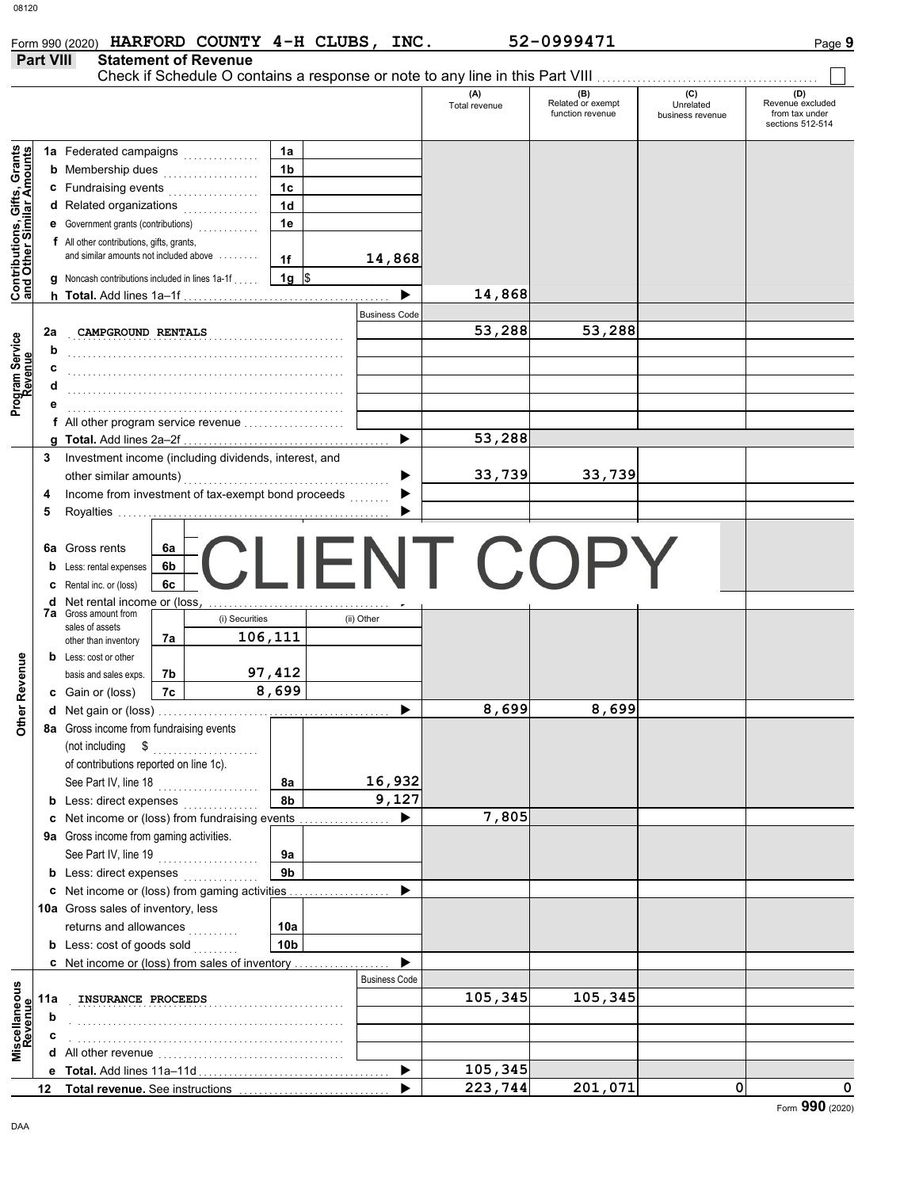| $-$ |
|-----|
|-----|

|                                          |                  | Form 990 (2020) HARFORD COUNTY 4-H CLUBS, INC.                                 |                 |                      |                                           | 52-0999471                                   |                                      | Page 9                                                        |
|------------------------------------------|------------------|--------------------------------------------------------------------------------|-----------------|----------------------|-------------------------------------------|----------------------------------------------|--------------------------------------|---------------------------------------------------------------|
|                                          | <b>Part VIII</b> | <b>Statement of Revenue</b>                                                    |                 |                      |                                           |                                              |                                      |                                                               |
|                                          |                  |                                                                                |                 |                      |                                           |                                              |                                      |                                                               |
|                                          |                  |                                                                                |                 |                      | (A)<br>Total revenue                      | (B)<br>Related or exempt<br>function revenue | (C)<br>Unrelated<br>business revenue | (D)<br>Revenue excluded<br>from tax under<br>sections 512-514 |
|                                          |                  | 1a Federated campaigns                                                         | 1a              |                      |                                           |                                              |                                      |                                                               |
| , Grants<br>mounts                       |                  | <b>b</b> Membership dues<br>.                                                  | 1 <sub>b</sub>  |                      |                                           |                                              |                                      |                                                               |
|                                          |                  | c Fundraising events<br>.                                                      | 1 <sub>c</sub>  |                      |                                           |                                              |                                      |                                                               |
| Gifts,<br>ilar Ar                        |                  | d Related organizations<br>.                                                   | 1 <sub>d</sub>  |                      |                                           |                                              |                                      |                                                               |
|                                          |                  | e Government grants (contributions)                                            | 1e              |                      |                                           |                                              |                                      |                                                               |
|                                          |                  | f All other contributions, gifts, grants,                                      |                 |                      |                                           |                                              |                                      |                                                               |
| <b>Contributions,<br/>and Other Simi</b> |                  | and similar amounts not included above                                         | 1f              | 14,868               |                                           |                                              |                                      |                                                               |
|                                          |                  | <b>g</b> Noncash contributions included in lines 1a-1f                         | $1g$ \$         |                      |                                           |                                              |                                      |                                                               |
|                                          |                  |                                                                                |                 |                      | 14,868                                    |                                              |                                      |                                                               |
|                                          |                  |                                                                                |                 | <b>Business Code</b> | 53,288                                    | 53,288                                       |                                      |                                                               |
|                                          | 2a               | CAMPGROUND RENTALS                                                             |                 |                      |                                           |                                              |                                      |                                                               |
|                                          | b<br>c           |                                                                                |                 |                      |                                           |                                              |                                      |                                                               |
| evenue                                   |                  |                                                                                |                 |                      |                                           |                                              |                                      |                                                               |
| Program Service                          |                  |                                                                                |                 |                      |                                           |                                              |                                      |                                                               |
|                                          |                  | f All other program service revenue $\ldots, \ldots, \ldots, \ldots$           |                 |                      |                                           |                                              |                                      |                                                               |
|                                          |                  |                                                                                |                 | ▶                    | 53,288                                    |                                              |                                      |                                                               |
|                                          | 3                | Investment income (including dividends, interest, and                          |                 |                      |                                           |                                              |                                      |                                                               |
|                                          |                  | other similar amounts)                                                         |                 |                      | 33,739                                    | 33,739                                       |                                      |                                                               |
|                                          | 4                | Income from investment of tax-exempt bond proceeds                             |                 |                      |                                           |                                              |                                      |                                                               |
|                                          | 5                |                                                                                |                 |                      |                                           |                                              |                                      |                                                               |
|                                          |                  |                                                                                |                 |                      |                                           |                                              |                                      |                                                               |
|                                          |                  | <b>6a</b> Gross rents<br>6a                                                    |                 |                      |                                           |                                              |                                      |                                                               |
|                                          |                  | 6b<br>Less: rental expenses                                                    |                 |                      | $N$ $\vdash$ $($ $\ldots$ $\vdash$ $\lor$ |                                              |                                      |                                                               |
|                                          |                  | 6c<br><b>C</b> Rental inc. or (loss)                                           |                 |                      |                                           |                                              |                                      |                                                               |
|                                          |                  | d Net rental income or (loss)<br><b>7a</b> Gross amount from<br>(i) Securities |                 | (ii) Other           |                                           |                                              |                                      |                                                               |
|                                          |                  | sales of assets<br>7a                                                          | 106,111         |                      |                                           |                                              |                                      |                                                               |
|                                          |                  | other than inventory<br><b>b</b> Less: cost or other                           |                 |                      |                                           |                                              |                                      |                                                               |
| Revenue                                  |                  | 7b<br>basis and sales exps.                                                    | 97,412          |                      |                                           |                                              |                                      |                                                               |
|                                          |                  | 7c<br>c Gain or (loss)                                                         | 8,699           |                      |                                           |                                              |                                      |                                                               |
|                                          |                  |                                                                                |                 |                      | 8,699                                     | 8,699                                        |                                      |                                                               |
| Other                                    |                  | 8a Gross income from fundraising events                                        |                 |                      |                                           |                                              |                                      |                                                               |
|                                          |                  |                                                                                |                 |                      |                                           |                                              |                                      |                                                               |
|                                          |                  | of contributions reported on line 1c).                                         |                 |                      |                                           |                                              |                                      |                                                               |
|                                          |                  | See Part IV, line 18                                                           | 8a              | 16,932               |                                           |                                              |                                      |                                                               |
|                                          |                  | <b>b</b> Less: direct expenses <i>minimum</i>                                  | 8b              | 9,127                |                                           |                                              |                                      |                                                               |
|                                          |                  | c Net income or (loss) from fundraising events                                 |                 |                      | 7,805                                     |                                              |                                      |                                                               |
|                                          |                  | 9a Gross income from gaming activities.                                        | 9а              |                      |                                           |                                              |                                      |                                                               |
|                                          |                  | See Part IV, line 19<br><b>b</b> Less: direct expenses                         | 9b              |                      |                                           |                                              |                                      |                                                               |
|                                          |                  | c Net income or (loss) from gaming activities                                  |                 |                      |                                           |                                              |                                      |                                                               |
|                                          |                  | 10a Gross sales of inventory, less                                             |                 |                      |                                           |                                              |                                      |                                                               |
|                                          |                  | returns and allowances<br>.                                                    | 10a             |                      |                                           |                                              |                                      |                                                               |
|                                          |                  | <b>b</b> Less: cost of goods sold                                              | 10 <sub>b</sub> |                      |                                           |                                              |                                      |                                                               |
|                                          |                  | <b>c</b> Net income or (loss) from sales of inventory                          |                 |                      |                                           |                                              |                                      |                                                               |
|                                          |                  |                                                                                |                 | <b>Business Code</b> |                                           |                                              |                                      |                                                               |
|                                          | 11a              | INSURANCE PROCEEDS                                                             |                 |                      | 105,345                                   | 105,345                                      |                                      |                                                               |
| scellaneous<br>Revenue                   | b                |                                                                                |                 |                      |                                           |                                              |                                      |                                                               |
|                                          |                  |                                                                                |                 |                      |                                           |                                              |                                      |                                                               |
| Nis                                      |                  |                                                                                |                 |                      |                                           |                                              |                                      |                                                               |
|                                          |                  |                                                                                |                 | ▶                    | 105,345                                   |                                              |                                      |                                                               |
|                                          |                  |                                                                                |                 |                      | 223,744                                   | 201,071                                      | 0                                    | 0                                                             |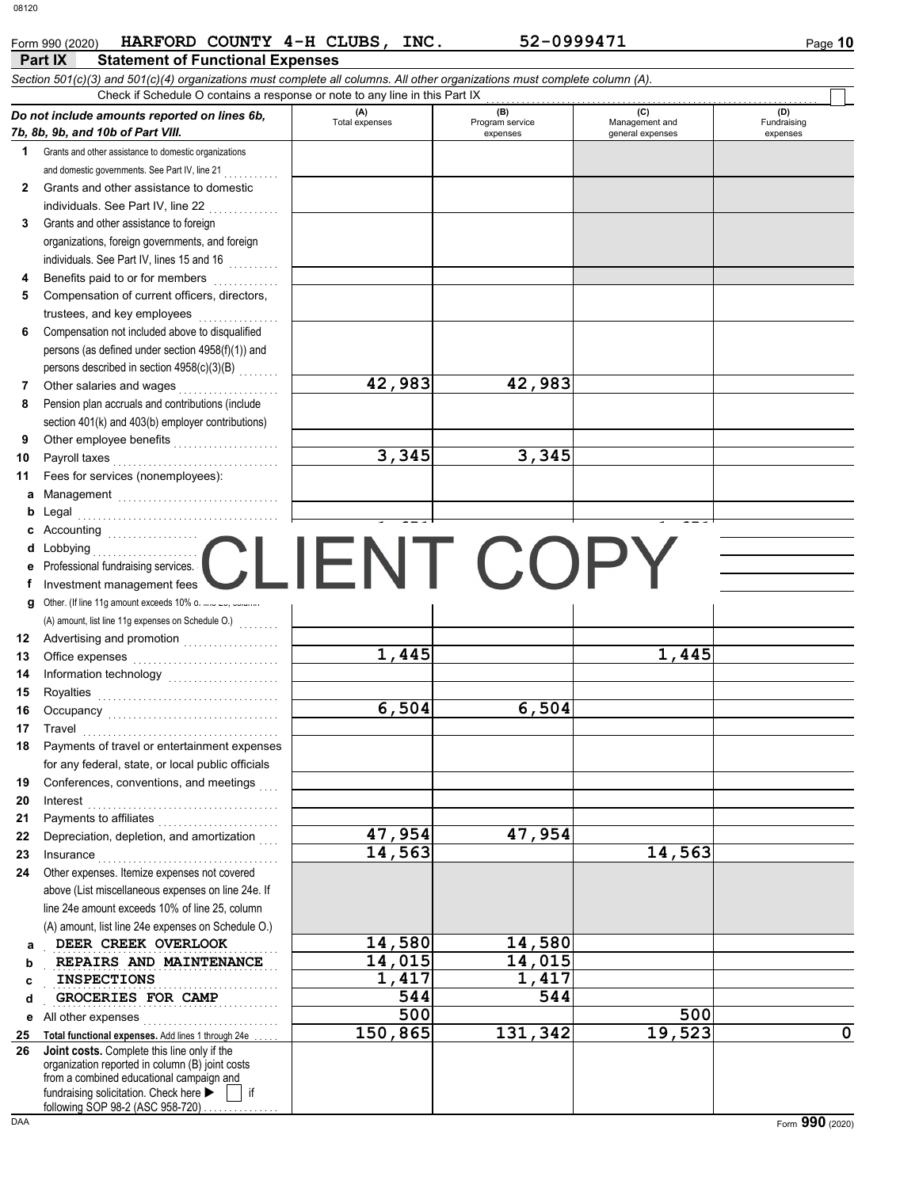|              | HARFORD COUNTY 4-H CLUBS, INC.<br>Form 990 (2020)                                                                          |                       | 52-0999471                         |                                           | Page 10                        |
|--------------|----------------------------------------------------------------------------------------------------------------------------|-----------------------|------------------------------------|-------------------------------------------|--------------------------------|
|              | Part IX<br><b>Statement of Functional Expenses</b>                                                                         |                       |                                    |                                           |                                |
|              | Section 501(c)(3) and 501(c)(4) organizations must complete all columns. All other organizations must complete column (A). |                       |                                    |                                           |                                |
|              | Check if Schedule O contains a response or note to any line in this Part IX                                                |                       |                                    |                                           |                                |
|              | Do not include amounts reported on lines 6b,<br>7b, 8b, 9b, and 10b of Part VIII.                                          | (A)<br>Total expenses | (B)<br>Program service<br>expenses | (C)<br>Management and<br>general expenses | (D)<br>Fundraising<br>expenses |
| 1.           | Grants and other assistance to domestic organizations                                                                      |                       |                                    |                                           |                                |
|              | and domestic governments. See Part IV, line 21                                                                             |                       |                                    |                                           |                                |
| $\mathbf{2}$ | Grants and other assistance to domestic                                                                                    |                       |                                    |                                           |                                |
|              | individuals. See Part IV, line 22                                                                                          |                       |                                    |                                           |                                |
| 3            | Grants and other assistance to foreign                                                                                     |                       |                                    |                                           |                                |
|              | organizations, foreign governments, and foreign                                                                            |                       |                                    |                                           |                                |
|              | individuals. See Part IV, lines 15 and 16                                                                                  |                       |                                    |                                           |                                |
| 4            | Benefits paid to or for members                                                                                            |                       |                                    |                                           |                                |
| 5            | Compensation of current officers, directors,                                                                               |                       |                                    |                                           |                                |
|              | trustees, and key employees                                                                                                |                       |                                    |                                           |                                |
| 6            | Compensation not included above to disqualified<br>persons (as defined under section 4958(f)(1)) and                       |                       |                                    |                                           |                                |
|              | persons described in section 4958(c)(3)(B)                                                                                 |                       |                                    |                                           |                                |
| 7            | Other salaries and wages                                                                                                   | 42,983                | 42,983                             |                                           |                                |
| 8            | Pension plan accruals and contributions (include                                                                           |                       |                                    |                                           |                                |
|              | section 401(k) and 403(b) employer contributions)                                                                          |                       |                                    |                                           |                                |
| 9            | Other employee benefits                                                                                                    |                       |                                    |                                           |                                |
| 10           | Payroll taxes                                                                                                              | 3,345                 | 3,345                              |                                           |                                |
| 11           | Fees for services (nonemployees):                                                                                          |                       |                                    |                                           |                                |
| а            |                                                                                                                            |                       |                                    |                                           |                                |
| b            | Legal                                                                                                                      |                       |                                    |                                           |                                |
| c            | Accounting                                                                                                                 |                       |                                    |                                           |                                |
| d            | Lobbying<br>. 1                                                                                                            | CI IFNT COP'          |                                    |                                           |                                |
| е            | Professional fundraising services.                                                                                         |                       |                                    |                                           |                                |
| f            | Investment management fees                                                                                                 |                       |                                    |                                           |                                |
| g            | Other. (If line 11g amount exceeds 10% o.                                                                                  |                       |                                    |                                           |                                |
|              |                                                                                                                            |                       |                                    |                                           |                                |
| 12<br>13     | Office expenses                                                                                                            | 1,445                 |                                    | 1,445                                     |                                |
| 14           |                                                                                                                            |                       |                                    |                                           |                                |
| 15           |                                                                                                                            |                       |                                    |                                           |                                |
| 16           | Occupancy                                                                                                                  | 6,504                 | 6,504                              |                                           |                                |
| 17           | Travel                                                                                                                     |                       |                                    |                                           |                                |
|              | 18 Payments of travel or entertainment expenses                                                                            |                       |                                    |                                           |                                |
|              | for any federal, state, or local public officials                                                                          |                       |                                    |                                           |                                |
| 19           | Conferences, conventions, and meetings                                                                                     |                       |                                    |                                           |                                |
| 20           | Interest                                                                                                                   |                       |                                    |                                           |                                |
| 21           | Payments to affiliates                                                                                                     |                       |                                    |                                           |                                |
| 22           | Depreciation, depletion, and amortization                                                                                  | 47,954                | 47,954                             |                                           |                                |
| 23           | Insurance                                                                                                                  | 14,563                |                                    | 14,563                                    |                                |
| 24           | Other expenses. Itemize expenses not covered                                                                               |                       |                                    |                                           |                                |
|              | above (List miscellaneous expenses on line 24e. If<br>line 24e amount exceeds 10% of line 25, column                       |                       |                                    |                                           |                                |
|              | (A) amount, list line 24e expenses on Schedule O.)                                                                         |                       |                                    |                                           |                                |
| а            | DEER CREEK OVERLOOK                                                                                                        | 14,580                | 14,580                             |                                           |                                |
| b            | REPAIRS AND MAINTENANCE                                                                                                    | 14,015                | 14,015                             |                                           |                                |
| c            | <b>INSPECTIONS</b>                                                                                                         | 1,417                 | 1,417                              |                                           |                                |
| d            | GROCERIES FOR CAMP                                                                                                         | 544                   | 544                                |                                           |                                |
| е            | All other expenses                                                                                                         | 500                   |                                    | 500                                       |                                |
| 25           | Total functional expenses. Add lines 1 through 24e                                                                         | 150,865               | 131,342                            | 19,523                                    | $\mathbf 0$                    |
| 26           | Joint costs. Complete this line only if the                                                                                |                       |                                    |                                           |                                |
|              | organization reported in column (B) joint costs<br>from a combined educational campaign and                                |                       |                                    |                                           |                                |
|              | fundraising solicitation. Check here<br>if                                                                                 |                       |                                    |                                           |                                |
|              | following SOP 98-2 (ASC 958-720)                                                                                           |                       |                                    |                                           |                                |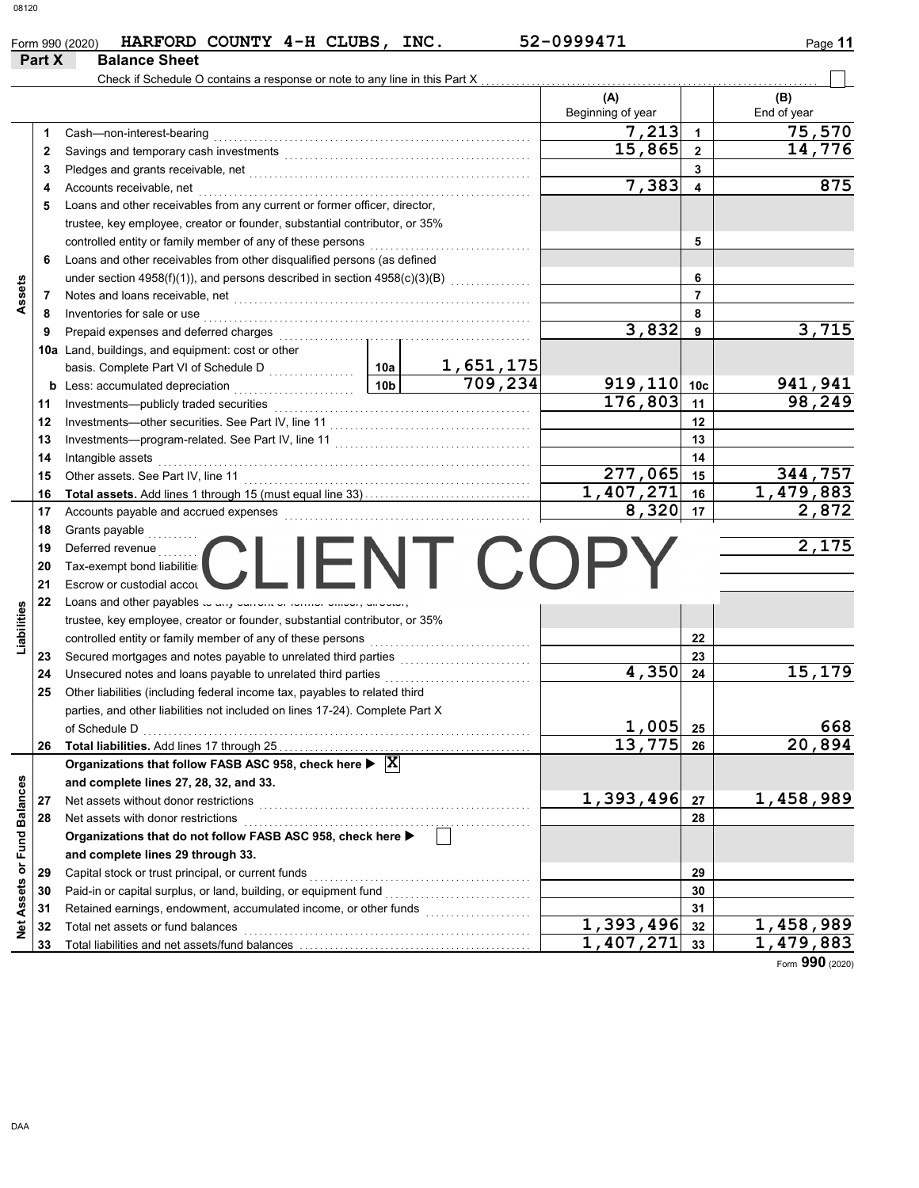|                             |        | HARFORD COUNTY 4-H CLUBS, INC.<br>Form 990 (2020)                                                   |                 |                | 52-0999471               |                         | Page 11            |     |
|-----------------------------|--------|-----------------------------------------------------------------------------------------------------|-----------------|----------------|--------------------------|-------------------------|--------------------|-----|
|                             | Part X | <b>Balance Sheet</b>                                                                                |                 |                |                          |                         |                    |     |
|                             |        | Check if Schedule O contains a response or note to any line in this Part X.                         |                 |                |                          |                         |                    |     |
|                             |        |                                                                                                     |                 |                | (A)<br>Beginning of year |                         | (B)<br>End of year |     |
|                             | 1      | Cash-non-interest-bearing                                                                           |                 |                | 7,213                    | $\overline{1}$          | 75,570             |     |
|                             | 2      |                                                                                                     |                 |                | 15,865                   | $\mathbf{2}$            | 14,776             |     |
|                             | 3      |                                                                                                     |                 |                |                          | 3                       |                    |     |
|                             | 4      | Accounts receivable, net                                                                            |                 |                | 7,383                    | $\overline{\mathbf{4}}$ |                    | 875 |
|                             | 5      | Loans and other receivables from any current or former officer, director,                           |                 |                |                          |                         |                    |     |
|                             |        | trustee, key employee, creator or founder, substantial contributor, or 35%                          |                 |                |                          |                         |                    |     |
|                             |        | controlled entity or family member of any of these persons                                          |                 |                |                          | 5                       |                    |     |
|                             | 6      | Loans and other receivables from other disqualified persons (as defined                             |                 |                |                          |                         |                    |     |
|                             |        |                                                                                                     |                 |                |                          | 6                       |                    |     |
| Assets                      | 7      | Notes and loans receivable, net                                                                     |                 |                |                          | $\overline{7}$          |                    |     |
|                             | 8      | Inventories for sale or use                                                                         |                 |                |                          | 8                       |                    |     |
|                             | 9      | Prepaid expenses and deferred charges                                                               |                 |                | 3,832                    | 9                       | 3,715              |     |
|                             |        | 10a Land, buildings, and equipment: cost or other                                                   |                 |                |                          |                         |                    |     |
|                             |        | basis. Complete Part VI of Schedule D                                                               | 10a             | 1,651,175      |                          |                         |                    |     |
|                             | b      | Less: accumulated depreciation<br>.                                                                 | 10 <sub>b</sub> | 709,234        | $919, 110$ 10c           |                         | 941,941            |     |
|                             | 11     |                                                                                                     |                 |                | 176,803                  | 11                      | 98,249             |     |
|                             | 12     |                                                                                                     |                 |                |                          | 12                      |                    |     |
|                             | 13     |                                                                                                     |                 |                |                          | 13                      |                    |     |
|                             | 14     | Intangible assets                                                                                   |                 |                |                          | 14                      |                    |     |
|                             | 15     | Other assets. See Part IV, line 11                                                                  |                 |                | 277,065                  | 15                      | 344,757            |     |
|                             | 16     |                                                                                                     |                 |                | 1,407,271                | 16                      | 1,479,883          |     |
|                             | 17     |                                                                                                     |                 |                | 8,320                    | 17                      | 2,872              |     |
|                             | 18     | Grants payable                                                                                      |                 |                |                          |                         |                    |     |
|                             | 19     | Deferred revenue                                                                                    |                 |                |                          |                         | 2,175              |     |
|                             | 20     | Tax-exempt bond liabilitie:                                                                         |                 | $\sqrt{1+(1)}$ |                          |                         |                    |     |
|                             | 21     | Escrow or custodial accou                                                                           |                 |                |                          |                         |                    |     |
|                             | 22     | Loans and other payables to dry burrout or routing binoon, unboast,                                 |                 |                |                          |                         |                    |     |
|                             |        | trustee, key employee, creator or founder, substantial contributor, or 35%                          |                 |                |                          |                         |                    |     |
| Liabilities                 |        | controlled entity or family member of any of these persons                                          |                 |                |                          | 22                      |                    |     |
|                             | 23     | Secured mortgages and notes payable to unrelated third parties                                      |                 |                |                          | 23                      |                    |     |
|                             | 24     | Unsecured notes and loans payable to unrelated third parties                                        |                 | .              | 4,350                    | 24                      | 15,179             |     |
|                             | 25     | Other liabilities (including federal income tax, payables to related third                          |                 |                |                          |                         |                    |     |
|                             |        | parties, and other liabilities not included on lines 17-24). Complete Part X                        |                 |                |                          |                         |                    |     |
|                             |        | of Schedule D                                                                                       |                 |                | 1,005                    | 25                      |                    | 668 |
|                             | 26     | Total liabilities. Add lines 17 through 25                                                          |                 |                | $\overline{13}$ , 775    | 26                      | 20,894             |     |
|                             |        | Organizations that follow FASB ASC 958, check here $\blacktriangleright \; [\overline{\mathbf{X}}]$ |                 |                |                          |                         |                    |     |
|                             |        | and complete lines 27, 28, 32, and 33.                                                              |                 |                |                          |                         |                    |     |
|                             | 27     | Net assets without donor restrictions                                                               |                 |                | 1,393,496                | 27                      | 1,458,989          |     |
|                             | 28     | Net assets with donor restrictions                                                                  |                 |                |                          | 28                      |                    |     |
|                             |        | Organizations that do not follow FASB ASC 958, check here >                                         |                 |                |                          |                         |                    |     |
|                             |        | and complete lines 29 through 33.                                                                   |                 |                |                          |                         |                    |     |
|                             | 29     | Capital stock or trust principal, or current funds                                                  |                 |                |                          | 29                      |                    |     |
|                             | 30     | Paid-in or capital surplus, or land, building, or equipment fund                                    |                 |                |                          | 30                      |                    |     |
| Net Assets or Fund Balances | 31     | Retained earnings, endowment, accumulated income, or other funds                                    |                 |                |                          | 31                      |                    |     |
|                             | 32     | Total net assets or fund balances                                                                   |                 |                | 1,393,496                | 32                      | 1,458,989          |     |
|                             | 33     |                                                                                                     |                 |                | 1,407,271                | 33                      | 1,479,883          |     |

Form **990** (2020)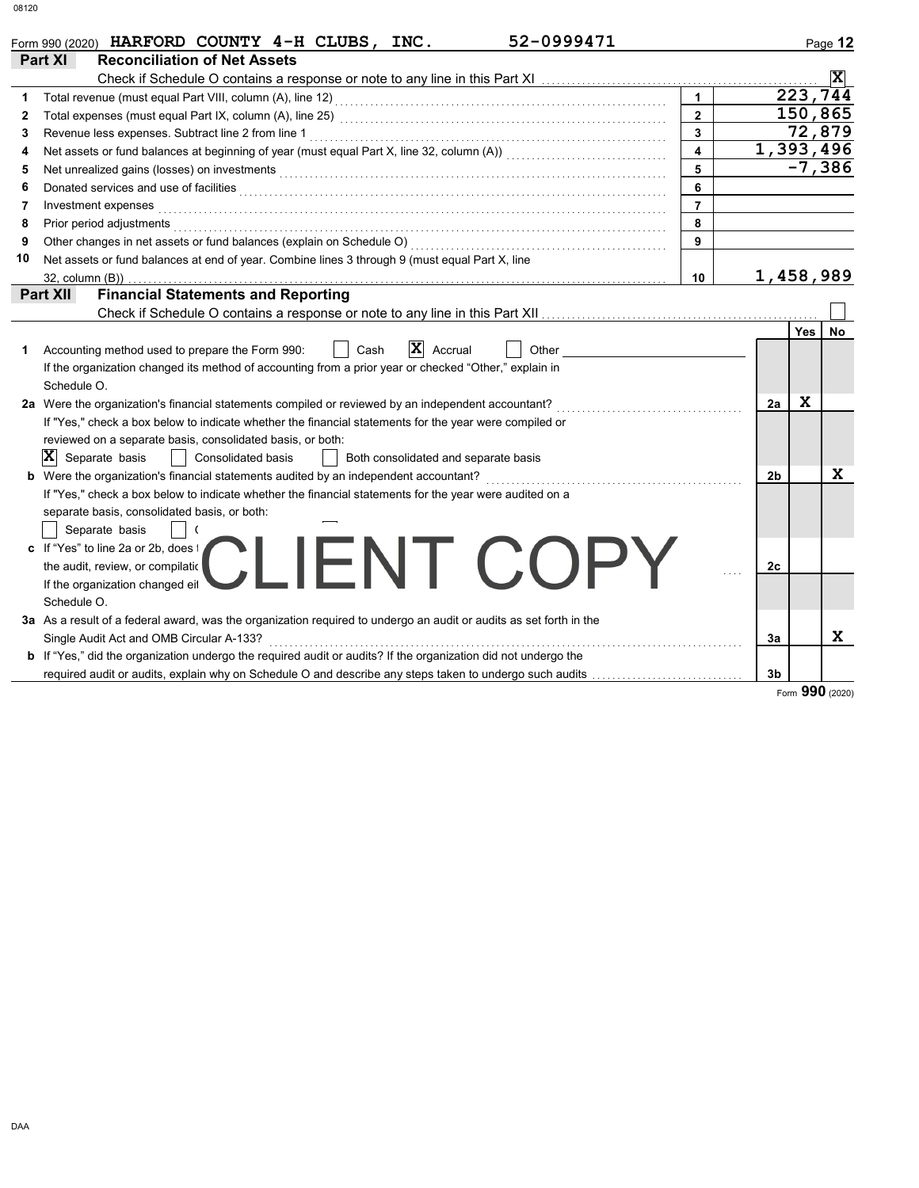|    | 52-0999471<br>Form 990 (2020) HARFORD COUNTY 4-H CLUBS, INC.                                                                                                                                                                         |                         |                |            | Page 12        |
|----|--------------------------------------------------------------------------------------------------------------------------------------------------------------------------------------------------------------------------------------|-------------------------|----------------|------------|----------------|
|    | Part XI<br><b>Reconciliation of Net Assets</b>                                                                                                                                                                                       |                         |                |            |                |
|    |                                                                                                                                                                                                                                      |                         |                |            | $ \mathbf{x} $ |
|    |                                                                                                                                                                                                                                      | $\overline{1}$          |                | 223,744    |                |
| 2  |                                                                                                                                                                                                                                      | $\overline{2}$          |                | 150,865    |                |
| 3  |                                                                                                                                                                                                                                      | $\mathbf{3}$            |                | 72,879     |                |
| 4  |                                                                                                                                                                                                                                      | $\overline{\mathbf{4}}$ | 1,393,496      |            |                |
| 5  |                                                                                                                                                                                                                                      | 5                       |                | $-7,386$   |                |
| 6  | Donated services and use of facilities <b>constant of the constant of the constant of the constant of the constant of the constant of the constant of the constant of the constant of the constant of the constant of the consta</b> | 6                       |                |            |                |
| 7  | Investment expenses                                                                                                                                                                                                                  | $\overline{7}$          |                |            |                |
| 8  | Prior period adjustments                                                                                                                                                                                                             | 8                       |                |            |                |
| 9  | Other changes in net assets or fund balances (explain on Schedule O)                                                                                                                                                                 | 9                       |                |            |                |
| 10 | Net assets or fund balances at end of year. Combine lines 3 through 9 (must equal Part X, line                                                                                                                                       |                         |                |            |                |
|    | 32, column (B))                                                                                                                                                                                                                      | 10                      | 1,458,989      |            |                |
|    | <b>Financial Statements and Reporting</b><br><b>Part XII</b>                                                                                                                                                                         |                         |                |            |                |
|    | Check if Schedule O contains a response or note to any line in this Part XII                                                                                                                                                         |                         |                |            |                |
|    |                                                                                                                                                                                                                                      |                         |                | <b>Yes</b> | No             |
| 1. | $ \mathbf{X} $<br>Cash<br>Accrual<br>Other<br>Accounting method used to prepare the Form 990:                                                                                                                                        |                         |                |            |                |
|    | If the organization changed its method of accounting from a prior year or checked "Other," explain in                                                                                                                                |                         |                |            |                |
|    | Schedule O.                                                                                                                                                                                                                          |                         |                |            |                |
|    | 2a Were the organization's financial statements compiled or reviewed by an independent accountant?                                                                                                                                   |                         | 2a             | X          |                |
|    | If "Yes," check a box below to indicate whether the financial statements for the year were compiled or                                                                                                                               |                         |                |            |                |
|    | reviewed on a separate basis, consolidated basis, or both:                                                                                                                                                                           |                         |                |            |                |
|    | $ \mathbf{X} $ Separate basis<br><b>Consolidated basis</b><br>Both consolidated and separate basis                                                                                                                                   |                         |                |            |                |
|    | b Were the organization's financial statements audited by an independent accountant?                                                                                                                                                 |                         | 2 <sub>b</sub> |            | X              |
|    | If "Yes," check a box below to indicate whether the financial statements for the year were audited on a                                                                                                                              |                         |                |            |                |
|    | separate basis, consolidated basis, or both:                                                                                                                                                                                         |                         |                |            |                |
|    | Separate basis                                                                                                                                                                                                                       |                         |                |            |                |
|    | c If "Yes" to line 2a or 2b, does t                                                                                                                                                                                                  |                         |                |            |                |
|    | CI IFNT COPY<br>the audit, review, or compilation                                                                                                                                                                                    |                         | 2c             |            |                |
|    | If the organization changed eil                                                                                                                                                                                                      |                         |                |            |                |
|    | Schedule O.                                                                                                                                                                                                                          |                         |                |            |                |
|    | 3a As a result of a federal award, was the organization required to undergo an audit or audits as set forth in the                                                                                                                   |                         |                |            |                |
|    | Single Audit Act and OMB Circular A-133?                                                                                                                                                                                             |                         | За             |            | X              |
|    | b If "Yes," did the organization undergo the required audit or audits? If the organization did not undergo the                                                                                                                       |                         |                |            |                |
|    | required audit or audits, explain why on Schedule O and describe any steps taken to undergo such audits                                                                                                                              |                         | 3 <sub>b</sub> |            |                |

Form **990** (2020)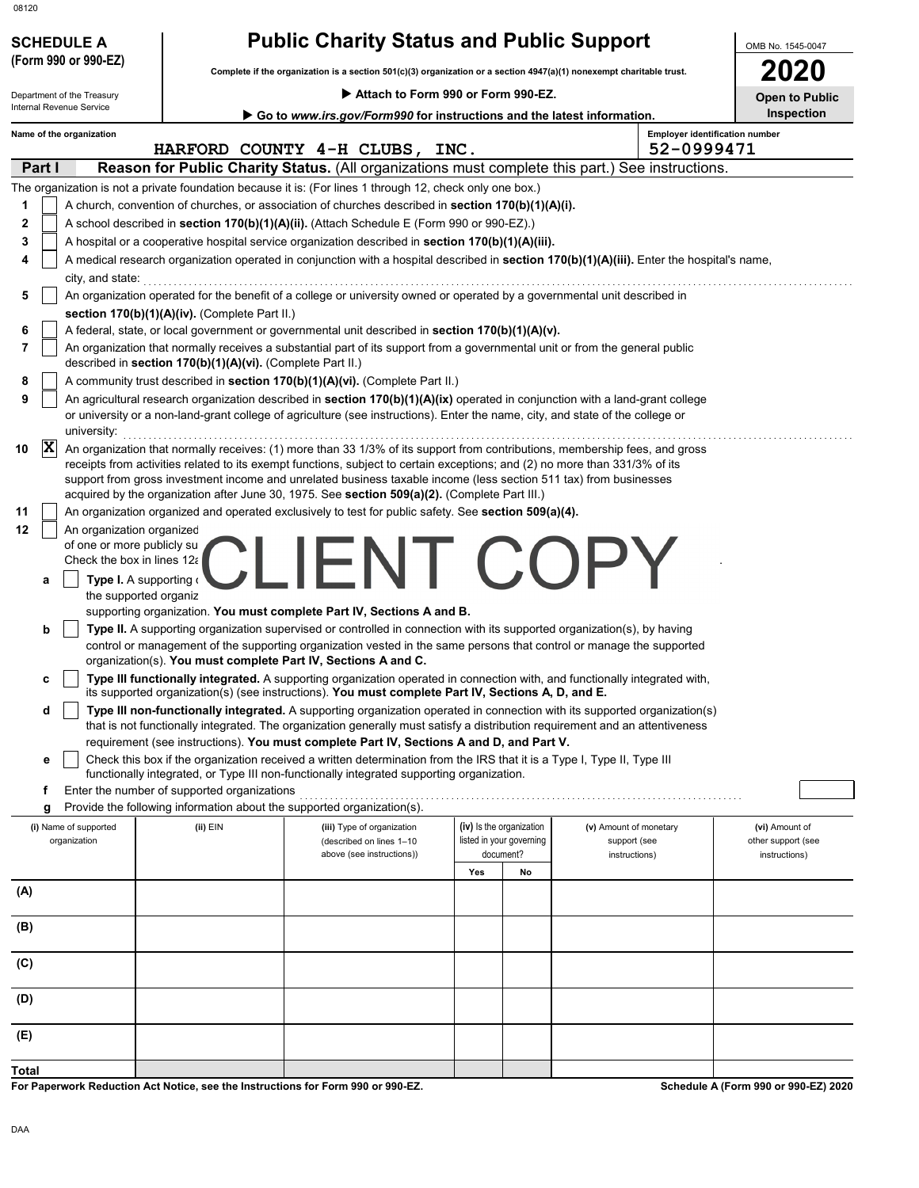| 08120                                                |                                                            |                                                                                                                                                                                                                                                                                                                                                                                                                                                                                                                                                                                          |                                                      |                                                     |                                      |
|------------------------------------------------------|------------------------------------------------------------|------------------------------------------------------------------------------------------------------------------------------------------------------------------------------------------------------------------------------------------------------------------------------------------------------------------------------------------------------------------------------------------------------------------------------------------------------------------------------------------------------------------------------------------------------------------------------------------|------------------------------------------------------|-----------------------------------------------------|--------------------------------------|
| <b>SCHEDULE A</b>                                    |                                                            | <b>Public Charity Status and Public Support</b>                                                                                                                                                                                                                                                                                                                                                                                                                                                                                                                                          |                                                      |                                                     | OMB No. 1545-0047                    |
| (Form 990 or 990-EZ)                                 |                                                            | Complete if the organization is a section 501(c)(3) organization or a section 4947(a)(1) nonexempt charitable trust.                                                                                                                                                                                                                                                                                                                                                                                                                                                                     |                                                      |                                                     | <b>2020</b>                          |
| Department of the Treasury                           |                                                            | Attach to Form 990 or Form 990-EZ.                                                                                                                                                                                                                                                                                                                                                                                                                                                                                                                                                       |                                                      |                                                     | <b>Open to Public</b>                |
| Internal Revenue Service                             |                                                            | Go to www.irs.gov/Form990 for instructions and the latest information.                                                                                                                                                                                                                                                                                                                                                                                                                                                                                                                   |                                                      |                                                     | Inspection                           |
| Name of the organization                             |                                                            | HARFORD COUNTY 4-H CLUBS, INC.                                                                                                                                                                                                                                                                                                                                                                                                                                                                                                                                                           |                                                      | <b>Employer identification number</b><br>52-0999471 |                                      |
| Part I                                               |                                                            | Reason for Public Charity Status. (All organizations must complete this part.) See instructions.                                                                                                                                                                                                                                                                                                                                                                                                                                                                                         |                                                      |                                                     |                                      |
|                                                      |                                                            | The organization is not a private foundation because it is: (For lines 1 through 12, check only one box.)                                                                                                                                                                                                                                                                                                                                                                                                                                                                                |                                                      |                                                     |                                      |
| 1                                                    |                                                            | A church, convention of churches, or association of churches described in section 170(b)(1)(A)(i).                                                                                                                                                                                                                                                                                                                                                                                                                                                                                       |                                                      |                                                     |                                      |
| 2                                                    |                                                            | A school described in section 170(b)(1)(A)(ii). (Attach Schedule E (Form 990 or 990-EZ).)                                                                                                                                                                                                                                                                                                                                                                                                                                                                                                |                                                      |                                                     |                                      |
| 3                                                    |                                                            | A hospital or a cooperative hospital service organization described in section 170(b)(1)(A)(iii).                                                                                                                                                                                                                                                                                                                                                                                                                                                                                        |                                                      |                                                     |                                      |
| 4                                                    |                                                            | A medical research organization operated in conjunction with a hospital described in section 170(b)(1)(A)(iii). Enter the hospital's name,                                                                                                                                                                                                                                                                                                                                                                                                                                               |                                                      |                                                     |                                      |
| city, and state:<br>5                                |                                                            | An organization operated for the benefit of a college or university owned or operated by a governmental unit described in                                                                                                                                                                                                                                                                                                                                                                                                                                                                |                                                      |                                                     |                                      |
|                                                      | section 170(b)(1)(A)(iv). (Complete Part II.)              |                                                                                                                                                                                                                                                                                                                                                                                                                                                                                                                                                                                          |                                                      |                                                     |                                      |
| 6                                                    |                                                            | A federal, state, or local government or governmental unit described in section 170(b)(1)(A)(v).                                                                                                                                                                                                                                                                                                                                                                                                                                                                                         |                                                      |                                                     |                                      |
| 7                                                    | described in section 170(b)(1)(A)(vi). (Complete Part II.) | An organization that normally receives a substantial part of its support from a governmental unit or from the general public                                                                                                                                                                                                                                                                                                                                                                                                                                                             |                                                      |                                                     |                                      |
| 8                                                    |                                                            | A community trust described in section 170(b)(1)(A)(vi). (Complete Part II.)                                                                                                                                                                                                                                                                                                                                                                                                                                                                                                             |                                                      |                                                     |                                      |
| 9                                                    |                                                            | An agricultural research organization described in section 170(b)(1)(A)(ix) operated in conjunction with a land-grant college                                                                                                                                                                                                                                                                                                                                                                                                                                                            |                                                      |                                                     |                                      |
| university:                                          |                                                            | or university or a non-land-grant college of agriculture (see instructions). Enter the name, city, and state of the college or                                                                                                                                                                                                                                                                                                                                                                                                                                                           |                                                      |                                                     |                                      |
| $ {\bf x} $<br>10<br>11                              |                                                            | An organization that normally receives: (1) more than 33 1/3% of its support from contributions, membership fees, and gross<br>receipts from activities related to its exempt functions, subject to certain exceptions; and (2) no more than 331/3% of its<br>support from gross investment income and unrelated business taxable income (less section 511 tax) from businesses<br>acquired by the organization after June 30, 1975. See section 509(a)(2). (Complete Part III.)<br>An organization organized and operated exclusively to test for public safety. See section 509(a)(4). |                                                      |                                                     |                                      |
| 12<br>An organization organized                      |                                                            |                                                                                                                                                                                                                                                                                                                                                                                                                                                                                                                                                                                          |                                                      |                                                     |                                      |
| of one or more publicly su                           |                                                            |                                                                                                                                                                                                                                                                                                                                                                                                                                                                                                                                                                                          |                                                      |                                                     |                                      |
| Check the box in lines 12a                           |                                                            | IFNI COPY                                                                                                                                                                                                                                                                                                                                                                                                                                                                                                                                                                                |                                                      |                                                     |                                      |
| Type I. A supporting o<br>a<br>the supported organiz |                                                            |                                                                                                                                                                                                                                                                                                                                                                                                                                                                                                                                                                                          |                                                      |                                                     |                                      |
|                                                      |                                                            | supporting organization. You must complete Part IV, Sections A and B.                                                                                                                                                                                                                                                                                                                                                                                                                                                                                                                    |                                                      |                                                     |                                      |
| b                                                    |                                                            | Type II. A supporting organization supervised or controlled in connection with its supported organization(s), by having                                                                                                                                                                                                                                                                                                                                                                                                                                                                  |                                                      |                                                     |                                      |
|                                                      |                                                            | control or management of the supporting organization vested in the same persons that control or manage the supported                                                                                                                                                                                                                                                                                                                                                                                                                                                                     |                                                      |                                                     |                                      |
|                                                      |                                                            | organization(s). You must complete Part IV, Sections A and C.                                                                                                                                                                                                                                                                                                                                                                                                                                                                                                                            |                                                      |                                                     |                                      |
| с                                                    |                                                            | Type III functionally integrated. A supporting organization operated in connection with, and functionally integrated with,<br>its supported organization(s) (see instructions). You must complete Part IV, Sections A, D, and E.                                                                                                                                                                                                                                                                                                                                                         |                                                      |                                                     |                                      |
| d                                                    |                                                            | Type III non-functionally integrated. A supporting organization operated in connection with its supported organization(s)                                                                                                                                                                                                                                                                                                                                                                                                                                                                |                                                      |                                                     |                                      |
|                                                      |                                                            | that is not functionally integrated. The organization generally must satisfy a distribution requirement and an attentiveness                                                                                                                                                                                                                                                                                                                                                                                                                                                             |                                                      |                                                     |                                      |
| е                                                    |                                                            | requirement (see instructions). You must complete Part IV, Sections A and D, and Part V.<br>Check this box if the organization received a written determination from the IRS that it is a Type I, Type II, Type III                                                                                                                                                                                                                                                                                                                                                                      |                                                      |                                                     |                                      |
|                                                      |                                                            | functionally integrated, or Type III non-functionally integrated supporting organization.                                                                                                                                                                                                                                                                                                                                                                                                                                                                                                |                                                      |                                                     |                                      |
| f                                                    | Enter the number of supported organizations                |                                                                                                                                                                                                                                                                                                                                                                                                                                                                                                                                                                                          |                                                      |                                                     |                                      |
| g                                                    |                                                            | Provide the following information about the supported organization(s).                                                                                                                                                                                                                                                                                                                                                                                                                                                                                                                   |                                                      |                                                     |                                      |
| (i) Name of supported<br>organization                | (ii) EIN                                                   | (iii) Type of organization<br>(described on lines 1-10                                                                                                                                                                                                                                                                                                                                                                                                                                                                                                                                   | (iv) Is the organization<br>listed in your governing | (v) Amount of monetary<br>support (see              | (vi) Amount of<br>other support (see |
|                                                      |                                                            | above (see instructions))                                                                                                                                                                                                                                                                                                                                                                                                                                                                                                                                                                | document?                                            | instructions)                                       | instructions)                        |
|                                                      |                                                            |                                                                                                                                                                                                                                                                                                                                                                                                                                                                                                                                                                                          | Yes<br>No                                            |                                                     |                                      |
| (A)                                                  |                                                            |                                                                                                                                                                                                                                                                                                                                                                                                                                                                                                                                                                                          |                                                      |                                                     |                                      |
| (B)                                                  |                                                            |                                                                                                                                                                                                                                                                                                                                                                                                                                                                                                                                                                                          |                                                      |                                                     |                                      |
| (C)                                                  |                                                            |                                                                                                                                                                                                                                                                                                                                                                                                                                                                                                                                                                                          |                                                      |                                                     |                                      |
| (D)                                                  |                                                            |                                                                                                                                                                                                                                                                                                                                                                                                                                                                                                                                                                                          |                                                      |                                                     |                                      |

**Schedule A (Form 990 or 990-EZ) 2020**

**(E)**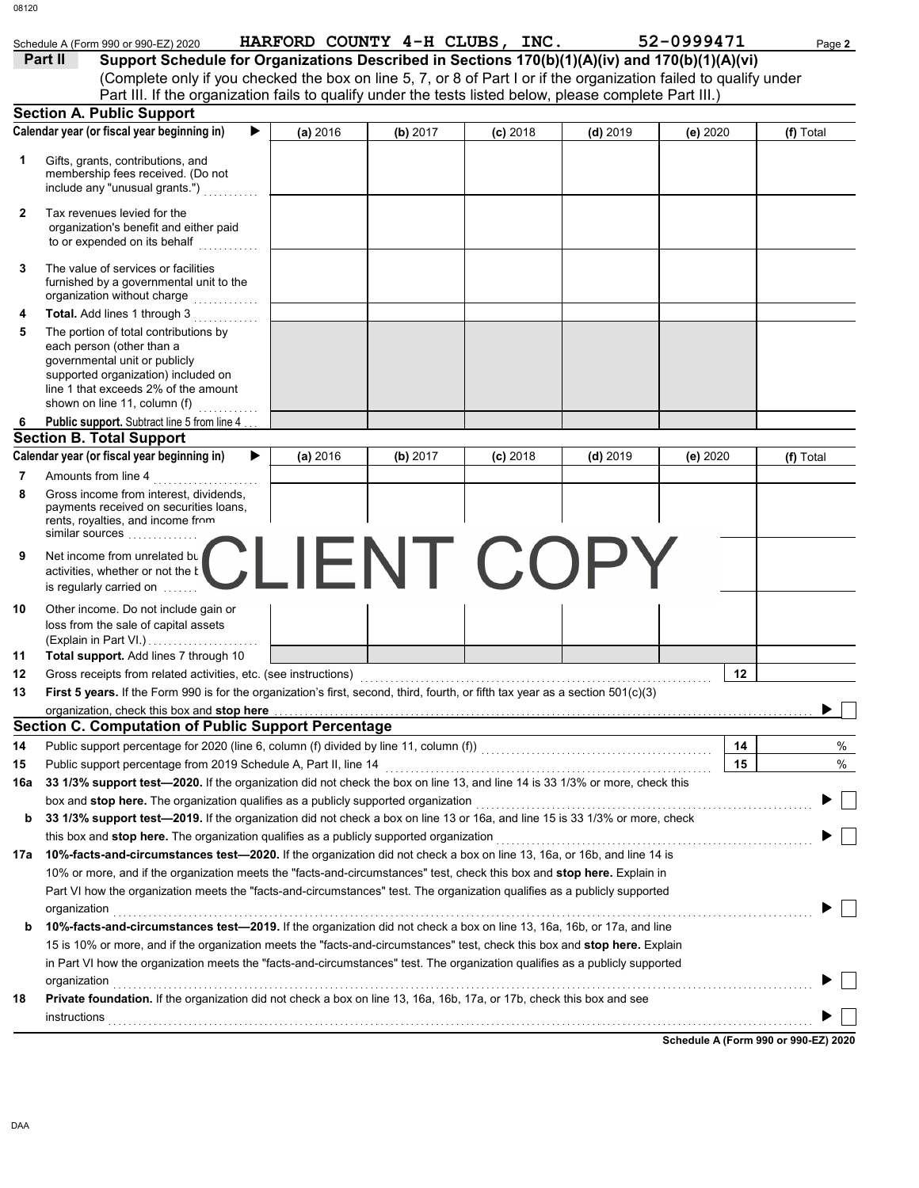|     | Schedule A (Form 990 or 990-EZ) 2020                                                                                                                                                                                                                |          | HARFORD COUNTY 4-H CLUBS, INC. |            |            | 52-0999471 | Page 2    |
|-----|-----------------------------------------------------------------------------------------------------------------------------------------------------------------------------------------------------------------------------------------------------|----------|--------------------------------|------------|------------|------------|-----------|
|     | Support Schedule for Organizations Described in Sections 170(b)(1)(A)(iv) and 170(b)(1)(A)(vi)<br>Part II                                                                                                                                           |          |                                |            |            |            |           |
|     | (Complete only if you checked the box on line 5, 7, or 8 of Part I or if the organization failed to qualify under                                                                                                                                   |          |                                |            |            |            |           |
|     | Part III. If the organization fails to qualify under the tests listed below, please complete Part III.)                                                                                                                                             |          |                                |            |            |            |           |
|     | <b>Section A. Public Support</b>                                                                                                                                                                                                                    |          |                                |            |            |            |           |
|     | Calendar year (or fiscal year beginning in)                                                                                                                                                                                                         | (a) 2016 | (b) 2017                       | $(c)$ 2018 | $(d)$ 2019 | (e) 2020   | (f) Total |
| 1.  | Gifts, grants, contributions, and                                                                                                                                                                                                                   |          |                                |            |            |            |           |
|     | membership fees received. (Do not<br>include any "unusual grants.")                                                                                                                                                                                 |          |                                |            |            |            |           |
|     |                                                                                                                                                                                                                                                     |          |                                |            |            |            |           |
| 2   | Tax revenues levied for the<br>organization's benefit and either paid<br>to or expended on its behalf                                                                                                                                               |          |                                |            |            |            |           |
| 3   | The value of services or facilities<br>furnished by a governmental unit to the<br>organization without charge www.com                                                                                                                               |          |                                |            |            |            |           |
| 4   | Total. Add lines 1 through 3                                                                                                                                                                                                                        |          |                                |            |            |            |           |
| 5   | The portion of total contributions by<br>each person (other than a<br>governmental unit or publicly<br>supported organization) included on<br>line 1 that exceeds 2% of the amount<br>shown on line 11, column (f) $\ldots$                         |          |                                |            |            |            |           |
| 6   | Public support. Subtract line 5 from line 4.                                                                                                                                                                                                        |          |                                |            |            |            |           |
|     | <b>Section B. Total Support</b>                                                                                                                                                                                                                     |          |                                |            |            |            |           |
|     | Calendar year (or fiscal year beginning in)                                                                                                                                                                                                         | (a) 2016 | (b) 2017                       | $(c)$ 2018 | $(d)$ 2019 | (e) $2020$ | (f) Total |
| 7   | Amounts from line 4                                                                                                                                                                                                                                 |          |                                |            |            |            |           |
| 8   | Gross income from interest, dividends,<br>payments received on securities loans,<br>rents, royalties, and income from<br>similar sources                                                                                                            |          |                                |            |            |            |           |
| 9   | Net income from unrelated by CLIENT COPY<br>is regularly carried on                                                                                                                                                                                 |          |                                |            |            |            |           |
| 10  | Other income. Do not include gain or<br>loss from the sale of capital assets                                                                                                                                                                        |          |                                |            |            |            |           |
| 11  | Total support. Add lines 7 through 10                                                                                                                                                                                                               |          |                                |            |            |            |           |
| 12  |                                                                                                                                                                                                                                                     |          |                                |            |            | 12         |           |
| 13  | First 5 years. If the Form 990 is for the organization's first, second, third, fourth, or fifth tax year as a section 501(c)(3)                                                                                                                     |          |                                |            |            |            |           |
|     | organization, check this box and stop here                                                                                                                                                                                                          |          |                                |            |            |            |           |
|     | <b>Section C. Computation of Public Support Percentage</b>                                                                                                                                                                                          |          |                                |            |            |            |           |
| 14  | Public support percentage for 2020 (line 6, column (f) divided by line 11, column (f)) [[[[[[[[[[[[[[[[[[[[[[                                                                                                                                       |          |                                |            |            | 14         |           |
| 15  |                                                                                                                                                                                                                                                     |          |                                |            |            | 15         | %<br>%    |
| 16a | 33 1/3% support test-2020. If the organization did not check the box on line 13, and line 14 is 33 1/3% or more, check this                                                                                                                         |          |                                |            |            |            |           |
|     | box and stop here. The organization qualifies as a publicly supported organization                                                                                                                                                                  |          |                                |            |            |            |           |
| b   | 33 1/3% support test—2019. If the organization did not check a box on line 13 or 16a, and line 15 is 33 1/3% or more, check                                                                                                                         |          |                                |            |            |            |           |
|     | this box and stop here. The organization qualifies as a publicly supported organization                                                                                                                                                             |          |                                |            |            |            |           |
|     | 17a 10%-facts-and-circumstances test-2020. If the organization did not check a box on line 13, 16a, or 16b, and line 14 is                                                                                                                          |          |                                |            |            |            |           |
|     | 10% or more, and if the organization meets the "facts-and-circumstances" test, check this box and stop here. Explain in                                                                                                                             |          |                                |            |            |            |           |
|     | Part VI how the organization meets the "facts-and-circumstances" test. The organization qualifies as a publicly supported                                                                                                                           |          |                                |            |            |            |           |
|     |                                                                                                                                                                                                                                                     |          |                                |            |            |            |           |
|     | organization                                                                                                                                                                                                                                        |          |                                |            |            |            |           |
| b   | 10%-facts-and-circumstances test-2019. If the organization did not check a box on line 13, 16a, 16b, or 17a, and line<br>15 is 10% or more, and if the organization meets the "facts-and-circumstances" test, check this box and stop here. Explain |          |                                |            |            |            |           |
|     | in Part VI how the organization meets the "facts-and-circumstances" test. The organization qualifies as a publicly supported                                                                                                                        |          |                                |            |            |            |           |
| 18  | organization<br>Private foundation. If the organization did not check a box on line 13, 16a, 16b, 17a, or 17b, check this box and see                                                                                                               |          |                                |            |            |            |           |

DAA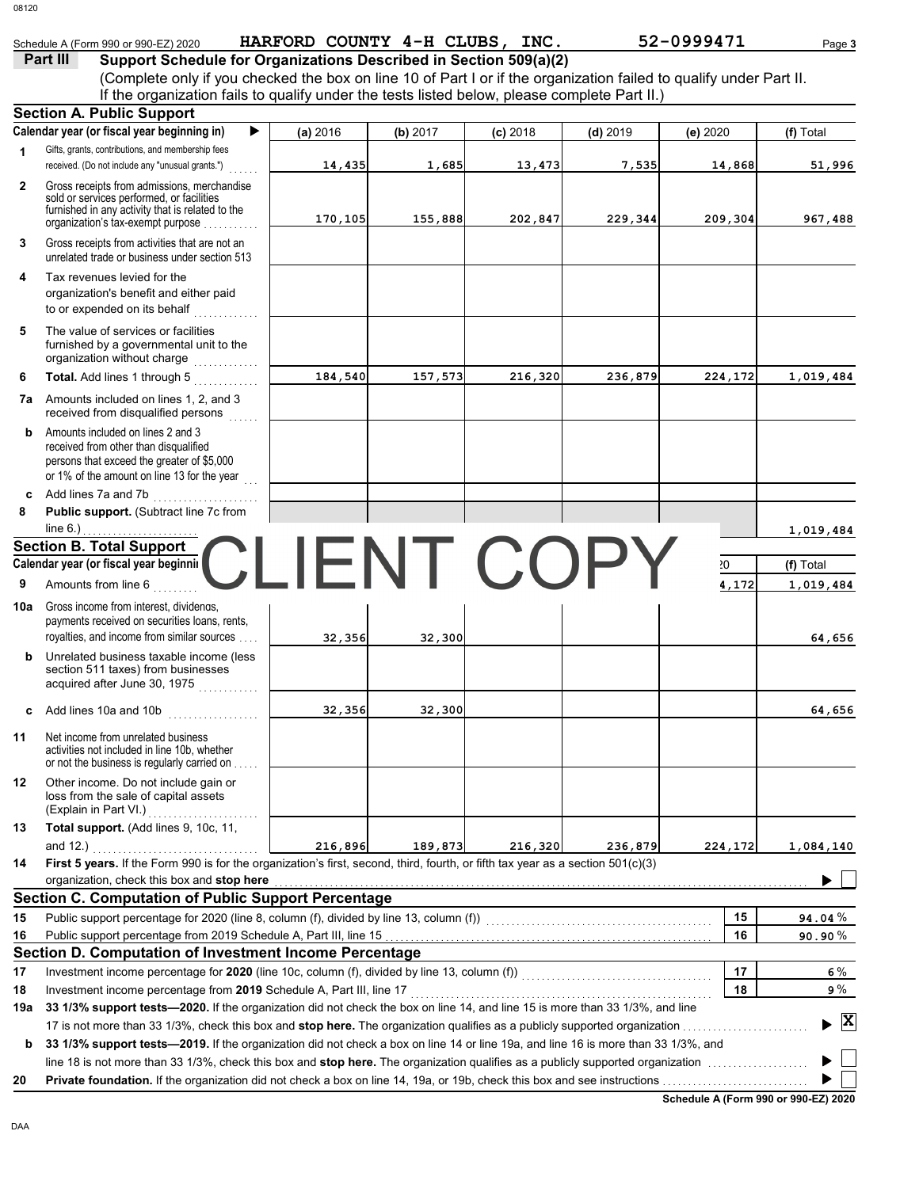|              | Schedule A (Form 990 or 990-EZ) 2020                                                                                                                                                                 | HARFORD COUNTY 4-H CLUBS, INC. |                  |            |            | 52-0999471 | Page 3          |
|--------------|------------------------------------------------------------------------------------------------------------------------------------------------------------------------------------------------------|--------------------------------|------------------|------------|------------|------------|-----------------|
|              | Part III<br>Support Schedule for Organizations Described in Section 509(a)(2)                                                                                                                        |                                |                  |            |            |            |                 |
|              | (Complete only if you checked the box on line 10 of Part I or if the organization failed to qualify under Part II.                                                                                   |                                |                  |            |            |            |                 |
|              | If the organization fails to qualify under the tests listed below, please complete Part II.)                                                                                                         |                                |                  |            |            |            |                 |
|              | <b>Section A. Public Support</b>                                                                                                                                                                     |                                |                  |            |            |            |                 |
|              | Calendar year (or fiscal year beginning in)                                                                                                                                                          | (a) 2016                       | (b) 2017         | $(c)$ 2018 | $(d)$ 2019 | (e) 2020   | (f) Total       |
| 1            | Gifts, grants, contributions, and membership fees<br>received. (Do not include any "unusual grants.")                                                                                                | 14,435                         | 1,685            | 13,473     | 7,535      | 14,868     | 51,996          |
| $\mathbf{2}$ | Gross receipts from admissions, merchandise                                                                                                                                                          |                                |                  |            |            |            |                 |
|              | sold or services performed, or facilities<br>furnished in any activity that is related to the                                                                                                        |                                |                  |            |            |            |                 |
|              | organization's tax-exempt purpose                                                                                                                                                                    | 170,105                        | 155,888          | 202,847    | 229,344    | 209,304    | 967,488         |
| 3            | Gross receipts from activities that are not an<br>unrelated trade or business under section 513                                                                                                      |                                |                  |            |            |            |                 |
| 4            | Tax revenues levied for the                                                                                                                                                                          |                                |                  |            |            |            |                 |
|              | organization's benefit and either paid<br>to or expended on its behalf                                                                                                                               |                                |                  |            |            |            |                 |
| 5            | The value of services or facilities                                                                                                                                                                  |                                |                  |            |            |            |                 |
|              | furnished by a governmental unit to the<br>organization without charge                                                                                                                               |                                |                  |            |            |            |                 |
| 6            | Total. Add lines 1 through 5                                                                                                                                                                         | 184,540                        | 157,573          | 216,320    | 236,879    | 224,172    | 1,019,484       |
|              | <b>7a</b> Amounts included on lines 1, 2, and 3<br>received from disqualified persons                                                                                                                |                                |                  |            |            |            |                 |
| b            | Amounts included on lines 2 and 3<br>received from other than disqualified<br>persons that exceed the greater of \$5,000<br>or 1% of the amount on line 13 for the year                              |                                |                  |            |            |            |                 |
| c            | Add lines 7a and 7b                                                                                                                                                                                  |                                |                  |            |            |            |                 |
| 8            | Public support. (Subtract line 7c from                                                                                                                                                               |                                |                  |            |            |            |                 |
|              | line $6.$ )                                                                                                                                                                                          |                                |                  |            |            |            | 1,019,484       |
|              | <b>Section B. Total Support</b>                                                                                                                                                                      |                                |                  |            |            |            |                 |
|              | Calendar year (or fiscal year beginnil                                                                                                                                                               |                                | <b>JENT COPY</b> |            |            | 20         | (f) Total       |
| 9            | Amounts from line 6                                                                                                                                                                                  |                                |                  |            |            | 4,172      | 1,019,484       |
| 10a          | Gross income from interest, dividenas,<br>payments received on securities loans, rents,<br>royalties, and income from similar sources                                                                | 32,356                         | 32,300           |            |            |            | 64,656          |
| b            | Unrelated business taxable income (less<br>section 511 taxes) from businesses<br>acquired after June 30, 1975                                                                                        |                                |                  |            |            |            |                 |
| c            | Add lines 10a and 10b                                                                                                                                                                                | 32,356                         | 32,300           |            |            |            | 64,656          |
| 11           | Net income from unrelated business<br>activities not included in line 10b, whether<br>or not the business is regularly carried on                                                                    |                                |                  |            |            |            |                 |
| 12           | Other income. Do not include gain or<br>loss from the sale of capital assets                                                                                                                         |                                |                  |            |            |            |                 |
| 13           | Total support. (Add lines 9, 10c, 11,                                                                                                                                                                |                                |                  |            |            |            |                 |
|              |                                                                                                                                                                                                      | 216,896                        | 189,873          | 216,320    | 236,879    | 224,172    | 1,084,140       |
| 14           | First 5 years. If the Form 990 is for the organization's first, second, third, fourth, or fifth tax year as a section 501(c)(3)                                                                      |                                |                  |            |            |            |                 |
|              | organization, check this box and stop here                                                                                                                                                           |                                |                  |            |            |            |                 |
|              | <b>Section C. Computation of Public Support Percentage</b>                                                                                                                                           |                                |                  |            |            |            |                 |
| 15           | Public support percentage for 2020 (line 8, column (f), divided by line 13, column (f))<br>maturity of the column (f)                                                                                |                                |                  |            |            | 15         | 94.04%          |
| 16           |                                                                                                                                                                                                      |                                |                  |            |            | 16         | 90.90%          |
|              | Section D. Computation of Investment Income Percentage                                                                                                                                               |                                |                  |            |            |            |                 |
| 17           |                                                                                                                                                                                                      |                                |                  |            |            | 17         | 6 %             |
| 18           | Investment income percentage from 2019 Schedule A, Part III, line 17<br>33 1/3% support tests-2020. If the organization did not check the box on line 14, and line 15 is more than 33 1/3%, and line |                                |                  |            |            | 18         | 9 %             |
| 19a          |                                                                                                                                                                                                      |                                |                  |            |            |            | $\vert x \vert$ |
| b            | 33 1/3% support tests—2019. If the organization did not check a box on line 14 or line 19a, and line 16 is more than 33 1/3%, and                                                                    |                                |                  |            |            |            |                 |
|              |                                                                                                                                                                                                      |                                |                  |            |            |            |                 |
| 20           |                                                                                                                                                                                                      |                                |                  |            |            |            |                 |

**Schedule A (Form 990 or 990-EZ) 2020**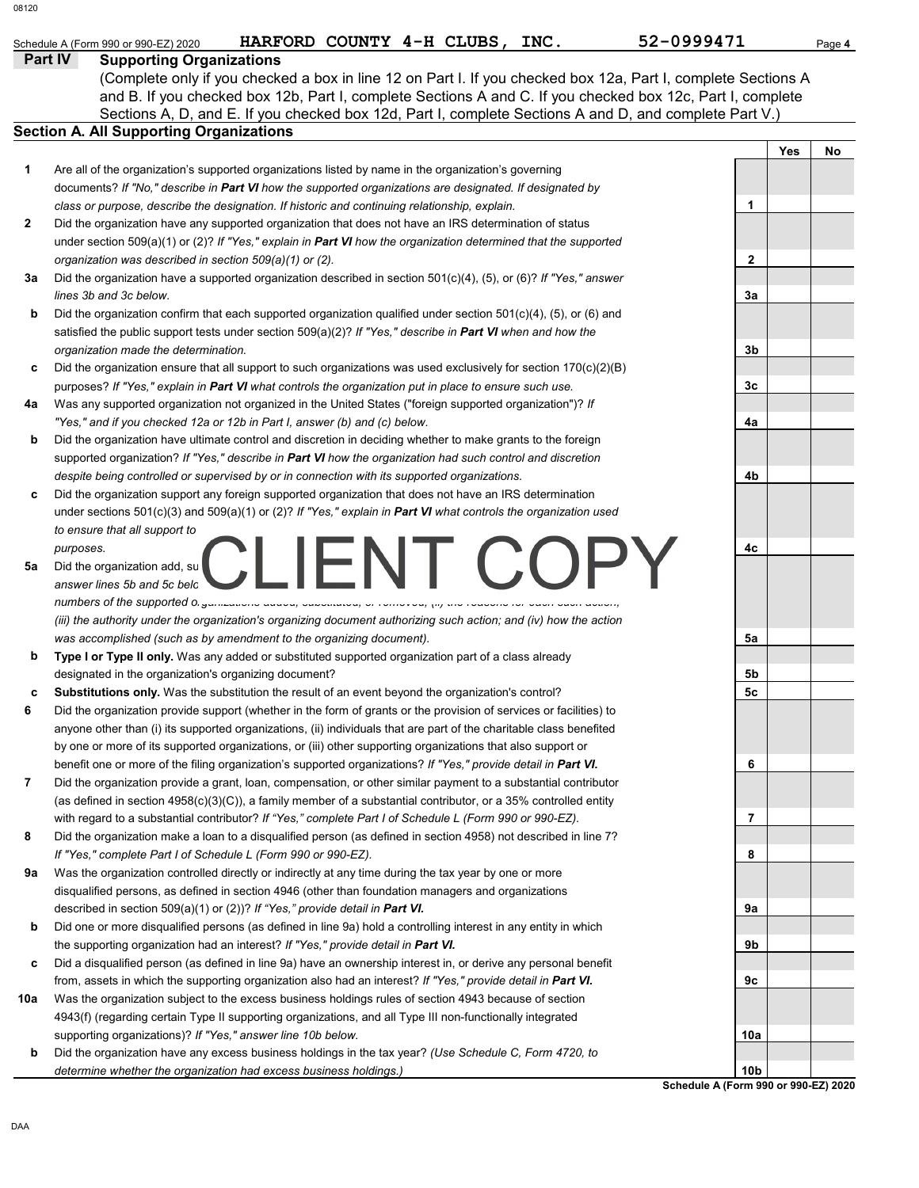| 08120          |                                                                                                          |                           |  |      |                                                                                                               |     |        |
|----------------|----------------------------------------------------------------------------------------------------------|---------------------------|--|------|---------------------------------------------------------------------------------------------------------------|-----|--------|
|                | Schedule A (Form 990 or 990-EZ) 2020                                                                     | HARFORD COUNTY 4-H CLUBS, |  | INC. | 52-0999471                                                                                                    |     | Page 4 |
| <b>Part IV</b> | <b>Supporting Organizations</b>                                                                          |                           |  |      |                                                                                                               |     |        |
|                |                                                                                                          |                           |  |      | (Complete only if you checked a box in line 12 on Part I. If you checked box 12a, Part I, complete Sections A |     |        |
|                |                                                                                                          |                           |  |      | and B. If you checked box 12b, Part I, complete Sections A and C. If you checked box 12c, Part I, complete    |     |        |
|                |                                                                                                          |                           |  |      | Sections A, D, and E. If you checked box 12d, Part I, complete Sections A and D, and complete Part V.)        |     |        |
|                | <b>Section A. All Supporting Organizations</b>                                                           |                           |  |      |                                                                                                               |     |        |
|                |                                                                                                          |                           |  |      |                                                                                                               | Yes | Nο     |
| 1              | Are all of the organization's supported organizations listed by name in the organization's governing     |                           |  |      |                                                                                                               |     |        |
|                | documents? If "No," describe in Part VI how the supported organizations are designated. If designated by |                           |  |      |                                                                                                               |     |        |
|                | class or purpose, describe the designation. If historic and continuing relationship, explain.            |                           |  |      |                                                                                                               |     |        |
|                |                                                                                                          |                           |  |      |                                                                                                               |     |        |

- Did the organization have any supported organization that does not have an IRS determination of status under section 509(a)(1) or (2)? *If "Yes," explain in Part VI how the organization determined that the supported organization was described in section 509(a)(1) or (2).* **2**
- **3a** Did the organization have a supported organization described in section 501(c)(4), (5), or (6)? *If "Yes," answer lines 3b and 3c below.*
- **b** Did the organization confirm that each supported organization qualified under section 501(c)(4), (5), or (6) and satisfied the public support tests under section 509(a)(2)? *If "Yes," describe in Part VI when and how the organization made the determination.*
- **c** Did the organization ensure that all support to such organizations was used exclusively for section  $170(c)(2)(B)$ purposes? *If "Yes," explain in Part VI what controls the organization put in place to ensure such use.*
- **4a** Was any supported organization not organized in the United States ("foreign supported organization")? *If "Yes," and if you checked 12a or 12b in Part I, answer (b) and (c) below.*
- **b** Did the organization have ultimate control and discretion in deciding whether to make grants to the foreign supported organization? *If "Yes," describe in Part VI how the organization had such control and discretion despite being controlled or supervised by or in connection with its supported organizations.*
- **c** Did the organization support any foreign supported organization that does not have an IRS determination under sections 501(c)(3) and 509(a)(1) or (2)? *If "Yes," explain in Part VI what controls the organization used to ensure that all support to purposes.*
- **5a** Did the organization add, su *answer lines 5b and 5c below (if applicable). Also, provide detail in Part VI, including (i) the names and EIN numbers of the supported organizations added, substituted, or removed; (ii) the reasons for each such action; (iii) the authority under the organization's organizing document authorizing such action; and (iv) how the action was accomplished (such as by amendment to the organizing document).*
- **b Type I or Type II only.** Was any added or substituted supported organization part of a class already designated in the organization's organizing document?
- **c Substitutions only.** Was the substitution the result of an event beyond the organization's control?
- **6** Did the organization provide support (whether in the form of grants or the provision of services or facilities) to anyone other than (i) its supported organizations, (ii) individuals that are part of the charitable class benefited by one or more of its supported organizations, or (iii) other supporting organizations that also support or benefit one or more of the filing organization's supported organizations? *If "Yes," provide detail in Part VI.*
- **7** Did the organization provide a grant, loan, compensation, or other similar payment to a substantial contributor (as defined in section 4958(c)(3)(C)), a family member of a substantial contributor, or a 35% controlled entity with regard to a substantial contributor? *If "Yes," complete Part I of Schedule L (Form 990 or 990-EZ).*
- **8** Did the organization make a loan to a disqualified person (as defined in section 4958) not described in line 7? *If "Yes," complete Part I of Schedule L (Form 990 or 990-EZ).*
- **9a** Was the organization controlled directly or indirectly at any time during the tax year by one or more disqualified persons, as defined in section 4946 (other than foundation managers and organizations described in section 509(a)(1) or (2))? *If "Yes," provide detail in Part VI.*
- **b** Did one or more disqualified persons (as defined in line 9a) hold a controlling interest in any entity in which the supporting organization had an interest? *If "Yes," provide detail in Part VI.*
- **c** Did a disqualified person (as defined in line 9a) have an ownership interest in, or derive any personal benefit from, assets in which the supporting organization also had an interest? *If "Yes," provide detail in Part VI.*
- **10a** Was the organization subject to the excess business holdings rules of section 4943 because of section 4943(f) (regarding certain Type II supporting organizations, and all Type III non-functionally integrated supporting organizations)? *If "Yes," answer line 10b below.*
- **b** Did the organization have any excess business holdings in the tax year? *(Use Schedule C, Form 4720, to determine whether the organization had excess business holdings.)*



**Schedule A (Form 990 or 990-EZ) 2020**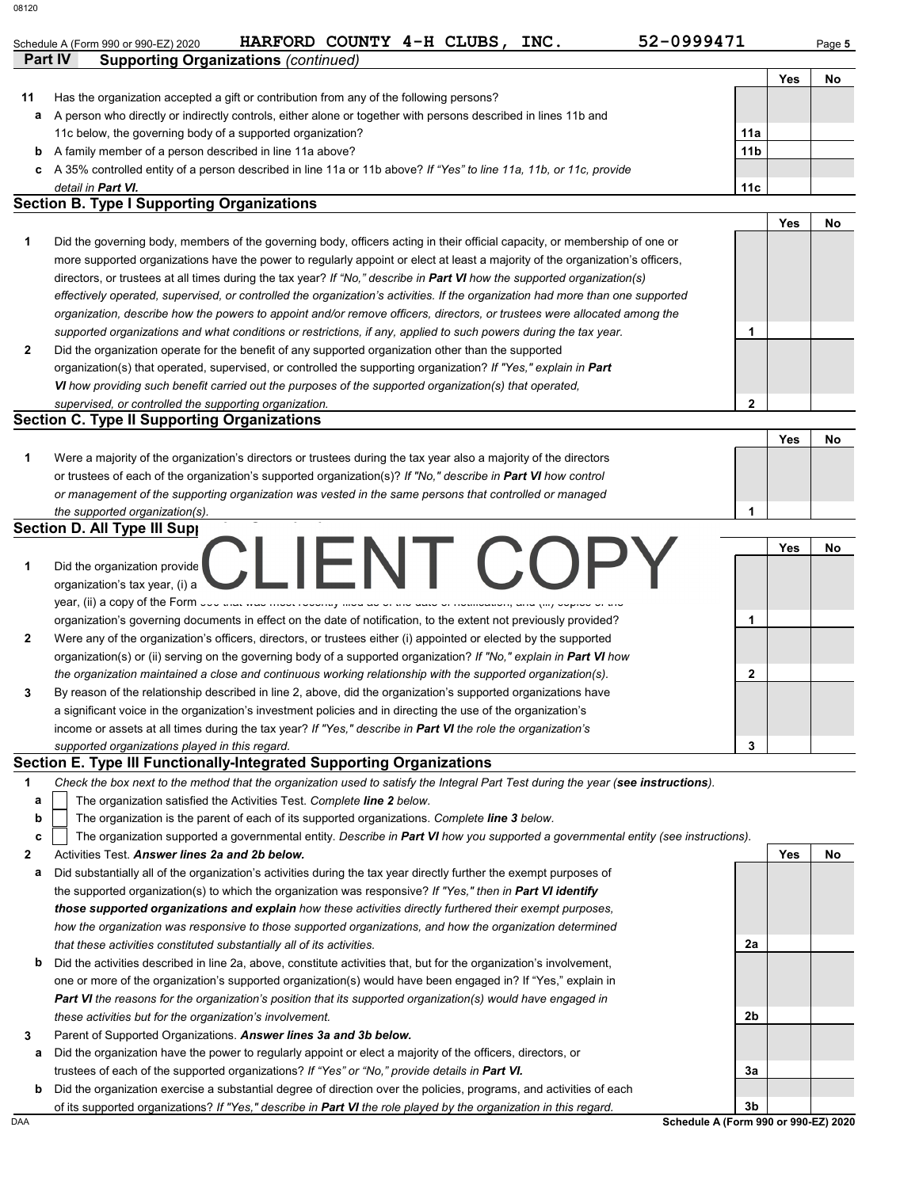| 08120 |                                                                                                                                |                 |     |        |
|-------|--------------------------------------------------------------------------------------------------------------------------------|-----------------|-----|--------|
|       | 52-0999471<br>HARFORD COUNTY 4-H CLUBS,<br>INC.<br>Schedule A (Form 990 or 990-EZ) 2020                                        |                 |     | Page 5 |
|       | Part IV<br><b>Supporting Organizations (continued)</b>                                                                         |                 |     |        |
|       |                                                                                                                                |                 | Yes | No     |
| 11    | Has the organization accepted a gift or contribution from any of the following persons?                                        |                 |     |        |
|       | a A person who directly or indirectly controls, either alone or together with persons described in lines 11b and               |                 |     |        |
|       | 11c below, the governing body of a supported organization?                                                                     | 11a             |     |        |
|       |                                                                                                                                |                 |     |        |
| b     | A family member of a person described in line 11a above?                                                                       | 11 <sub>b</sub> |     |        |
|       | c A 35% controlled entity of a person described in line 11a or 11b above? If "Yes" to line 11a, 11b, or 11c, provide           |                 |     |        |
|       | detail in Part VI.                                                                                                             | 11c             |     |        |
|       | <b>Section B. Type I Supporting Organizations</b>                                                                              |                 |     |        |
|       |                                                                                                                                |                 | Yes | No     |
| 1     | Did the governing body, members of the governing body, officers acting in their official capacity, or membership of one or     |                 |     |        |
|       | more supported organizations have the power to regularly appoint or elect at least a majority of the organization's officers,  |                 |     |        |
|       | directors, or trustees at all times during the tax year? If "No," describe in Part VI how the supported organization(s)        |                 |     |        |
|       | effectively operated, supervised, or controlled the organization's activities. If the organization had more than one supported |                 |     |        |
|       | organization, describe how the powers to appoint and/or remove officers, directors, or trustees were allocated among the       |                 |     |        |
|       | supported organizations and what conditions or restrictions, if any, applied to such powers during the tax year.               | 1               |     |        |
| 2     | Did the organization operate for the benefit of any supported organization other than the supported                            |                 |     |        |
|       | organization(s) that operated, supervised, or controlled the supporting organization? If "Yes," explain in Part                |                 |     |        |
|       | VI how providing such benefit carried out the purposes of the supported organization(s) that operated,                         |                 |     |        |
|       | supervised, or controlled the supporting organization.                                                                         | $\mathbf{2}$    |     |        |
|       | <b>Section C. Type II Supporting Organizations</b>                                                                             |                 |     |        |
|       |                                                                                                                                |                 | Yes | No     |
| 1     | Were a majority of the organization's directors or trustees during the tax year also a majority of the directors               |                 |     |        |
|       |                                                                                                                                |                 |     |        |
|       | or trustees of each of the organization's supported organization(s)? If "No," describe in Part VI how control                  |                 |     |        |
|       | or management of the supporting organization was vested in the same persons that controlled or managed                         |                 |     |        |
|       | the supported organization(s).                                                                                                 | 1               |     |        |
|       | <b>Section D. All Type III Supp</b>                                                                                            |                 |     |        |
|       | IFNI C                                                                                                                         |                 | Yes | No     |
| 1     | Did the organization provide                                                                                                   |                 |     |        |
|       | organization's tax year, (i) a                                                                                                 |                 |     |        |
|       | year, (ii) a copy of the Form you also must not resource and the same sense or modification, and (iii) outlook or and          |                 |     |        |
|       | organization's governing documents in effect on the date of notification, to the extent not previously provided?               | 1               |     |        |
| 2     | Were any of the organization's officers, directors, or trustees either (i) appointed or elected by the supported               |                 |     |        |
|       | organization(s) or (ii) serving on the governing body of a supported organization? If "No," explain in Part VI how             |                 |     |        |
|       | the organization maintained a close and continuous working relationship with the supported organization(s).                    | $\mathbf{2}$    |     |        |
| 3     | By reason of the relationship described in line 2, above, did the organization's supported organizations have                  |                 |     |        |
|       | a significant voice in the organization's investment policies and in directing the use of the organization's                   |                 |     |        |
|       | income or assets at all times during the tax year? If "Yes," describe in Part VI the role the organization's                   |                 |     |        |
|       | supported organizations played in this regard.                                                                                 | 3               |     |        |
|       |                                                                                                                                |                 |     |        |

#### **Section E. Type III Functionally-Integrated Supporting Organizations**

**1** *Check the box next to the method that the organization used to satisfy the Integral Part Test during the year (see instructions).*

- The organization satisfied the Activities Test. *Complete line 2 below.* **a**
- The organization is the parent of each of its supported organizations. *Complete line 3 below.* **b**
- The organization supported a governmental entity. *Describe in Part VI how you supported a governmental entity (see instructions).* **c**
- **2** Activities Test. *Answer lines 2a and 2b below.*
- **a** Did substantially all of the organization's activities during the tax year directly further the exempt purposes of the supported organization(s) to which the organization was responsive? *If "Yes," then in Part VI identify those supported organizations and explain how these activities directly furthered their exempt purposes, how the organization was responsive to those supported organizations, and how the organization determined that these activities constituted substantially all of its activities.*
- **b** Did the activities described in line 2a, above, constitute activities that, but for the organization's involvement, one or more of the organization's supported organization(s) would have been engaged in? If "Yes," explain in *Part VI the reasons for the organization's position that its supported organization(s) would have engaged in these activities but for the organization's involvement.*
- **3** Parent of Supported Organizations. *Answer lines 3a and 3b below.*
- **a** Did the organization have the power to regularly appoint or elect a majority of the officers, directors, or trustees of each of the supported organizations? *If "Yes" or "No," provide details in Part VI.*
- **b** Did the organization exercise a substantial degree of direction over the policies, programs, and activities of each of its supported organizations? *If "Yes," describe in Part VI the role played by the organization in this regard.*



DAA **Schedule A (Form 990 or 990-EZ) 2020**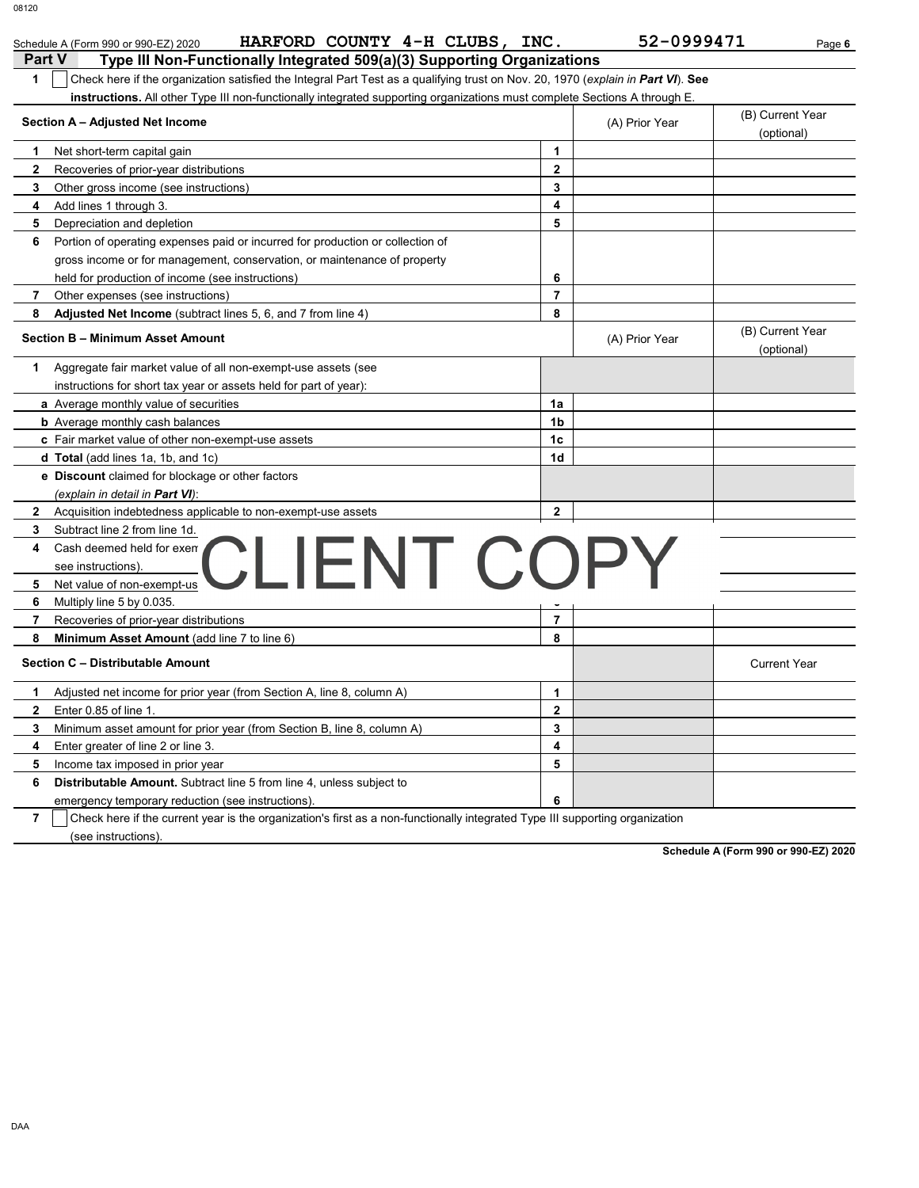| 08120                                                                                                                            |      |                |                  |        |
|----------------------------------------------------------------------------------------------------------------------------------|------|----------------|------------------|--------|
| HARFORD COUNTY 4-H CLUBS,<br>Schedule A (Form 990 or 990-EZ) 2020                                                                | INC. | 52-0999471     |                  | Page 6 |
| <b>Part V</b><br>Type III Non-Functionally Integrated 509(a)(3) Supporting Organizations                                         |      |                |                  |        |
| Check here if the organization satisfied the Integral Part Test as a qualifying trust on Nov. 20, 1970 (explain in Part VI). See |      |                |                  |        |
| instructions. All other Type III non-functionally integrated supporting organizations must complete Sections A through E.        |      |                |                  |        |
| Section A - Adjusted Net Income                                                                                                  |      | (A) Prior Year | (B) Current Year |        |
|                                                                                                                                  |      |                | (optional)       |        |
| Net short-term capital gain                                                                                                      |      |                |                  |        |

|                                                        | Section A - Adjusted Net Income                                                |                         | (A) Prior Year | (B) Current Year<br>(optional) |
|--------------------------------------------------------|--------------------------------------------------------------------------------|-------------------------|----------------|--------------------------------|
| 1<br>Net short-term capital gain                       |                                                                                | $\mathbf 1$             |                |                                |
| $\mathbf{2}$<br>Recoveries of prior-year distributions |                                                                                | $\mathbf 2$             |                |                                |
| 3<br>Other gross income (see instructions)             |                                                                                | 3                       |                |                                |
| Add lines 1 through 3.<br>4                            |                                                                                | 4                       |                |                                |
| 5<br>Depreciation and depletion                        |                                                                                | 5                       |                |                                |
| 6                                                      | Portion of operating expenses paid or incurred for production or collection of |                         |                |                                |
|                                                        | gross income or for management, conservation, or maintenance of property       |                         |                |                                |
| held for production of income (see instructions)       |                                                                                | 6                       |                |                                |
| 7<br>Other expenses (see instructions)                 |                                                                                | $\overline{7}$          |                |                                |
| 8                                                      | Adjusted Net Income (subtract lines 5, 6, and 7 from line 4)                   | 8                       |                |                                |
| Section B - Minimum Asset Amount                       |                                                                                |                         | (A) Prior Year | (B) Current Year<br>(optional) |
| 1                                                      | Aggregate fair market value of all non-exempt-use assets (see                  |                         |                |                                |
|                                                        | instructions for short tax year or assets held for part of year):              |                         |                |                                |
| a Average monthly value of securities                  |                                                                                | 1a                      |                |                                |
| <b>b</b> Average monthly cash balances                 |                                                                                | 1 <sub>b</sub>          |                |                                |
| c Fair market value of other non-exempt-use assets     |                                                                                | 1c                      |                |                                |
| d Total (add lines 1a, 1b, and 1c)                     |                                                                                | 1d                      |                |                                |
|                                                        | e Discount claimed for blockage or other factors                               |                         |                |                                |
|                                                        |                                                                                |                         |                |                                |
| (explain in detail in <b>Part VI</b> ):                |                                                                                |                         |                |                                |
| 2                                                      | Acquisition indebtedness applicable to non-exempt-use assets                   | $\mathbf{2}$            |                |                                |
| 3<br>Subtract line 2 from line 1d.                     |                                                                                |                         |                |                                |
| Cash deemed held for exem<br>4                         |                                                                                |                         |                |                                |
| see instructions).                                     |                                                                                |                         |                |                                |
| 5<br>Net value of non-exempt-us                        | CLIENT COPY                                                                    |                         |                |                                |
| 6<br>Multiply line 5 by 0.035.                         |                                                                                |                         |                |                                |
| 7<br>Recoveries of prior-year distributions            |                                                                                | 7                       |                |                                |
| 8<br>Minimum Asset Amount (add line 7 to line 6)       |                                                                                | 8                       |                |                                |
| Section C - Distributable Amount                       |                                                                                |                         |                | <b>Current Year</b>            |
| 1                                                      | Adjusted net income for prior year (from Section A, line 8, column A)          | $\mathbf{1}$            |                |                                |
| $\mathbf{2}$<br>Enter 0.85 of line 1.                  |                                                                                | $\mathbf{2}$            |                |                                |
| 3                                                      | Minimum asset amount for prior year (from Section B, line 8, column A)         | 3                       |                |                                |
| 4<br>Enter greater of line 2 or line 3.                |                                                                                | $\overline{\mathbf{4}}$ |                |                                |
| 5<br>Income tax imposed in prior year                  |                                                                                | 5                       |                |                                |
| 6                                                      | <b>Distributable Amount.</b> Subtract line 5 from line 4, unless subject to    |                         |                |                                |

**Schedule A (Form 990 or 990-EZ) 2020**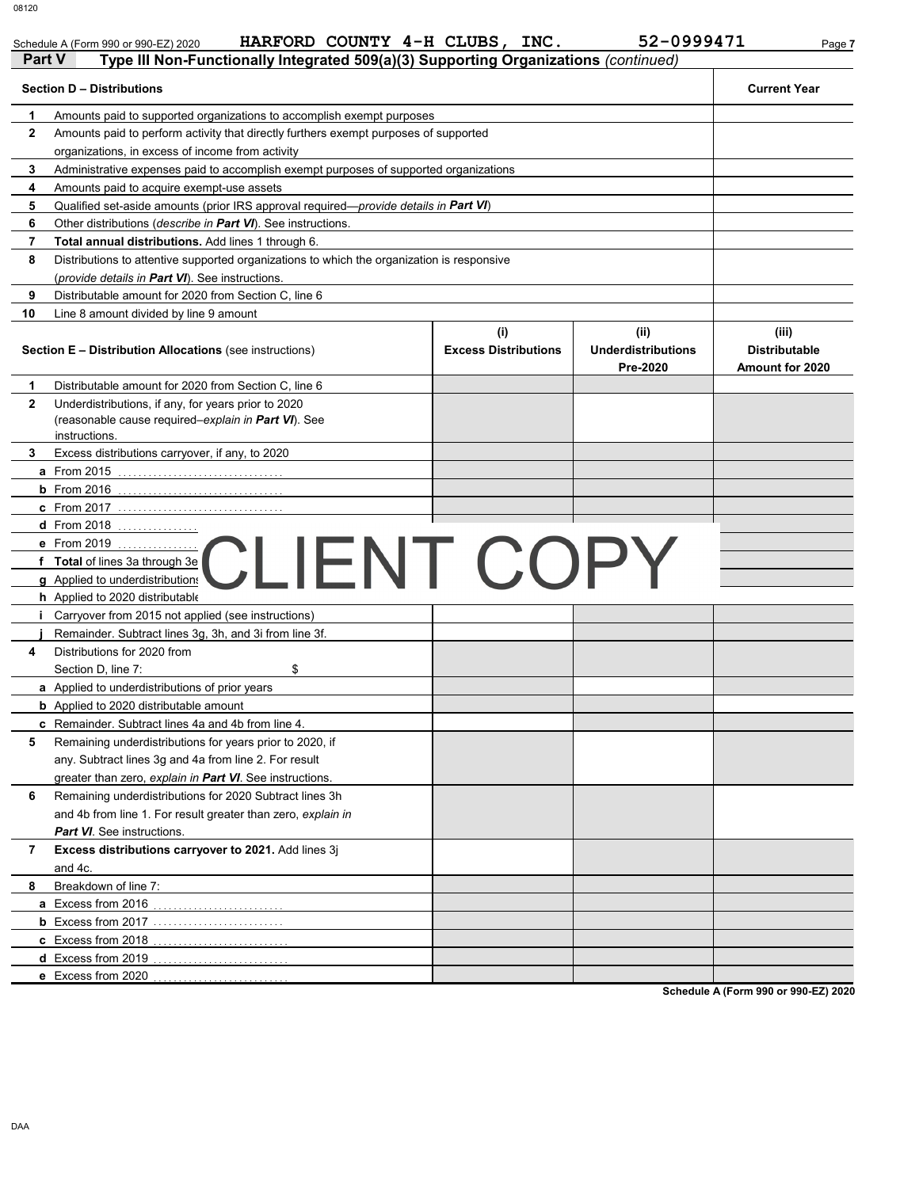Schedule A (Form 990 or 990-EZ) 2020 **HARFORD COUNTY 4-H CLUBS, INC.** 52-0999471 Page 7

| Part V       | Type III Non-Functionally Integrated 509(a)(3) Supporting Organizations (continued)                                         |                                    |                                               |                                                  |
|--------------|-----------------------------------------------------------------------------------------------------------------------------|------------------------------------|-----------------------------------------------|--------------------------------------------------|
|              | <b>Section D - Distributions</b>                                                                                            |                                    |                                               | <b>Current Year</b>                              |
| 1            | Amounts paid to supported organizations to accomplish exempt purposes                                                       |                                    |                                               |                                                  |
| $\mathbf{2}$ | Amounts paid to perform activity that directly furthers exempt purposes of supported                                        |                                    |                                               |                                                  |
|              | organizations, in excess of income from activity                                                                            |                                    |                                               |                                                  |
| 3            | Administrative expenses paid to accomplish exempt purposes of supported organizations                                       |                                    |                                               |                                                  |
| 4            | Amounts paid to acquire exempt-use assets                                                                                   |                                    |                                               |                                                  |
| 5            | Qualified set-aside amounts (prior IRS approval required— <i>provide details in Part VI</i> )                               |                                    |                                               |                                                  |
| 6            | Other distributions ( <i>describe in Part VI</i> ). See instructions.                                                       |                                    |                                               |                                                  |
| 7            | Total annual distributions. Add lines 1 through 6.                                                                          |                                    |                                               |                                                  |
| 8            | Distributions to attentive supported organizations to which the organization is responsive                                  |                                    |                                               |                                                  |
|              | ( <i>provide details in Part VI</i> ). See instructions.                                                                    |                                    |                                               |                                                  |
| 9            | Distributable amount for 2020 from Section C, line 6                                                                        |                                    |                                               |                                                  |
| 10           | Line 8 amount divided by line 9 amount                                                                                      |                                    |                                               |                                                  |
|              | Section E - Distribution Allocations (see instructions)                                                                     | (i)<br><b>Excess Distributions</b> | (ii)<br><b>Underdistributions</b><br>Pre-2020 | (iii)<br><b>Distributable</b><br>Amount for 2020 |
| 1            | Distributable amount for 2020 from Section C, line 6                                                                        |                                    |                                               |                                                  |
| $\mathbf{2}$ | Underdistributions, if any, for years prior to 2020<br>(reasonable cause required-explain in Part VI). See<br>instructions. |                                    |                                               |                                                  |
| 3            | Excess distributions carryover, if any, to 2020                                                                             |                                    |                                               |                                                  |
|              | <b>a</b> From 2015                                                                                                          |                                    |                                               |                                                  |
|              |                                                                                                                             |                                    |                                               |                                                  |
|              | <b>c</b> From 2017                                                                                                          |                                    |                                               |                                                  |
|              | d From 2018                                                                                                                 |                                    |                                               |                                                  |
|              | e From 2019<br><b>LIENT COPY</b>                                                                                            |                                    |                                               |                                                  |
|              | f Total of lines 3a through 3e<br>g Applied to underdistribution                                                            |                                    |                                               |                                                  |
|              |                                                                                                                             |                                    |                                               |                                                  |
|              | h Applied to 2020 distributable                                                                                             |                                    |                                               |                                                  |
|              | <i>i</i> Carryover from 2015 not applied (see instructions)                                                                 |                                    |                                               |                                                  |
|              | Remainder. Subtract lines 3g, 3h, and 3i from line 3f.                                                                      |                                    |                                               |                                                  |
| 4            | Distributions for 2020 from                                                                                                 |                                    |                                               |                                                  |
|              | Section D, line 7:<br>\$                                                                                                    |                                    |                                               |                                                  |
|              | a Applied to underdistributions of prior years                                                                              |                                    |                                               |                                                  |
|              | <b>b</b> Applied to 2020 distributable amount                                                                               |                                    |                                               |                                                  |
| 5            | <b>c</b> Remainder. Subtract lines 4a and 4b from line 4.                                                                   |                                    |                                               |                                                  |
|              | Remaining underdistributions for years prior to 2020, if<br>any. Subtract lines 3g and 4a from line 2. For result           |                                    |                                               |                                                  |
|              | greater than zero, explain in Part VI. See instructions.                                                                    |                                    |                                               |                                                  |
| 6            | Remaining underdistributions for 2020 Subtract lines 3h                                                                     |                                    |                                               |                                                  |
|              | and 4b from line 1. For result greater than zero, explain in                                                                |                                    |                                               |                                                  |
|              | <b>Part VI</b> . See instructions.                                                                                          |                                    |                                               |                                                  |
| 7            | Excess distributions carryover to 2021. Add lines 3j                                                                        |                                    |                                               |                                                  |
|              | and 4c.                                                                                                                     |                                    |                                               |                                                  |
| 8            | Breakdown of line 7:                                                                                                        |                                    |                                               |                                                  |
|              |                                                                                                                             |                                    |                                               |                                                  |
|              |                                                                                                                             |                                    |                                               |                                                  |
|              |                                                                                                                             |                                    |                                               |                                                  |
|              | <b>d</b> Excess from 2019                                                                                                   |                                    |                                               |                                                  |
|              | e Excess from 2020                                                                                                          |                                    |                                               |                                                  |
|              |                                                                                                                             |                                    |                                               |                                                  |

**Schedule A (Form 990 or 990-EZ) 2020**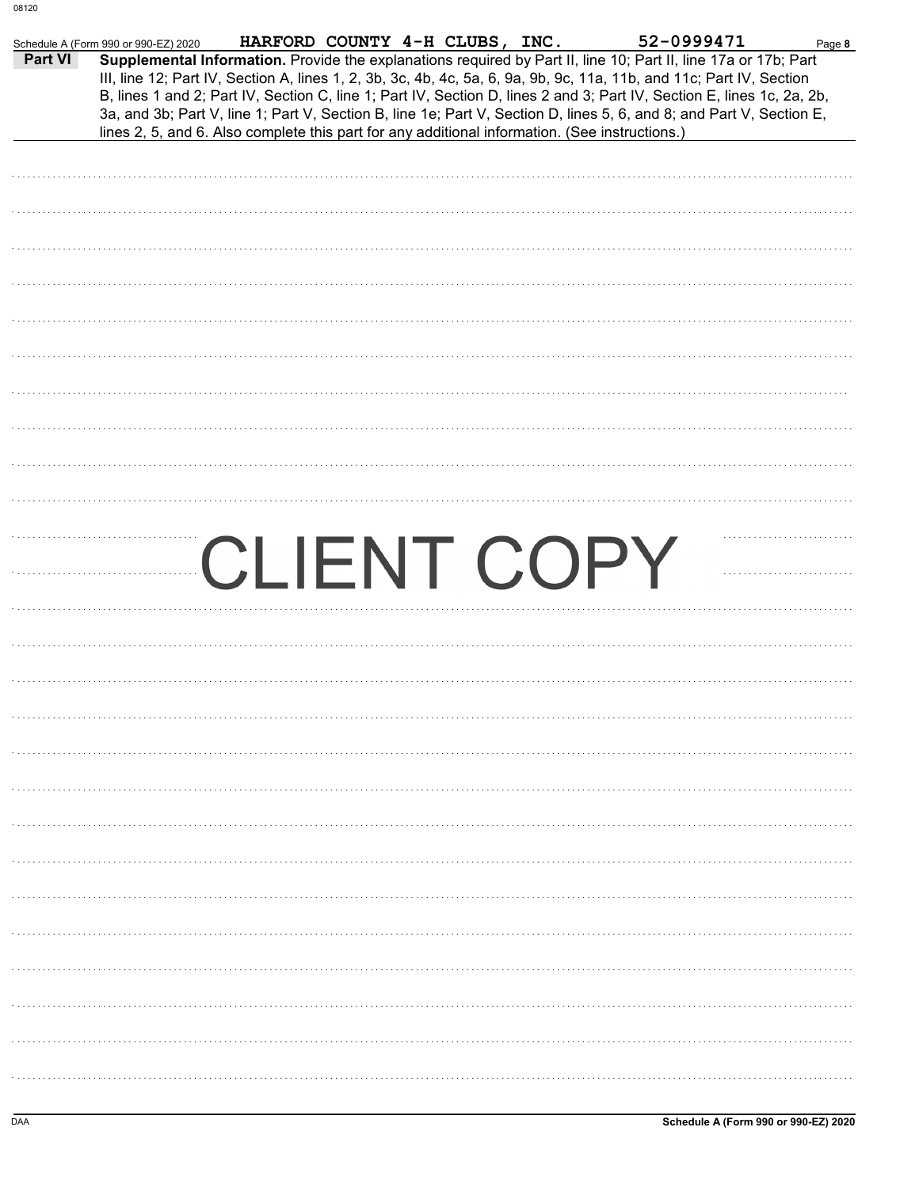| Part VI | 52-0999471<br>HARFORD COUNTY 4-H CLUBS, INC.<br>Schedule A (Form 990 or 990-EZ) 2020<br>Page 8<br>Supplemental Information. Provide the explanations required by Part II, line 10; Part II, line 17a or 17b; Part |
|---------|-------------------------------------------------------------------------------------------------------------------------------------------------------------------------------------------------------------------|
|         | III, line 12; Part IV, Section A, lines 1, 2, 3b, 3c, 4b, 4c, 5a, 6, 9a, 9b, 9c, 11a, 11b, and 11c; Part IV, Section                                                                                              |
|         | B, lines 1 and 2; Part IV, Section C, line 1; Part IV, Section D, lines 2 and 3; Part IV, Section E, lines 1c, 2a, 2b,                                                                                            |
|         | 3a, and 3b; Part V, line 1; Part V, Section B, line 1e; Part V, Section D, lines 5, 6, and 8; and Part V, Section E,                                                                                              |
|         | lines 2, 5, and 6. Also complete this part for any additional information. (See instructions.)                                                                                                                    |
|         |                                                                                                                                                                                                                   |
|         |                                                                                                                                                                                                                   |
|         |                                                                                                                                                                                                                   |
|         |                                                                                                                                                                                                                   |
|         |                                                                                                                                                                                                                   |
|         |                                                                                                                                                                                                                   |
|         |                                                                                                                                                                                                                   |
|         |                                                                                                                                                                                                                   |
|         |                                                                                                                                                                                                                   |
|         |                                                                                                                                                                                                                   |
|         |                                                                                                                                                                                                                   |
|         |                                                                                                                                                                                                                   |
|         |                                                                                                                                                                                                                   |
|         |                                                                                                                                                                                                                   |
|         |                                                                                                                                                                                                                   |
|         |                                                                                                                                                                                                                   |
|         |                                                                                                                                                                                                                   |
|         |                                                                                                                                                                                                                   |
|         | CLIENT COPY                                                                                                                                                                                                       |
|         |                                                                                                                                                                                                                   |
|         |                                                                                                                                                                                                                   |
|         |                                                                                                                                                                                                                   |
|         |                                                                                                                                                                                                                   |
|         |                                                                                                                                                                                                                   |
|         |                                                                                                                                                                                                                   |
|         |                                                                                                                                                                                                                   |
|         |                                                                                                                                                                                                                   |
|         |                                                                                                                                                                                                                   |
|         |                                                                                                                                                                                                                   |
|         |                                                                                                                                                                                                                   |
|         |                                                                                                                                                                                                                   |
|         |                                                                                                                                                                                                                   |
|         |                                                                                                                                                                                                                   |
|         |                                                                                                                                                                                                                   |
|         |                                                                                                                                                                                                                   |
|         |                                                                                                                                                                                                                   |
|         |                                                                                                                                                                                                                   |
|         |                                                                                                                                                                                                                   |
|         |                                                                                                                                                                                                                   |
|         |                                                                                                                                                                                                                   |
|         |                                                                                                                                                                                                                   |
|         |                                                                                                                                                                                                                   |
|         |                                                                                                                                                                                                                   |
|         |                                                                                                                                                                                                                   |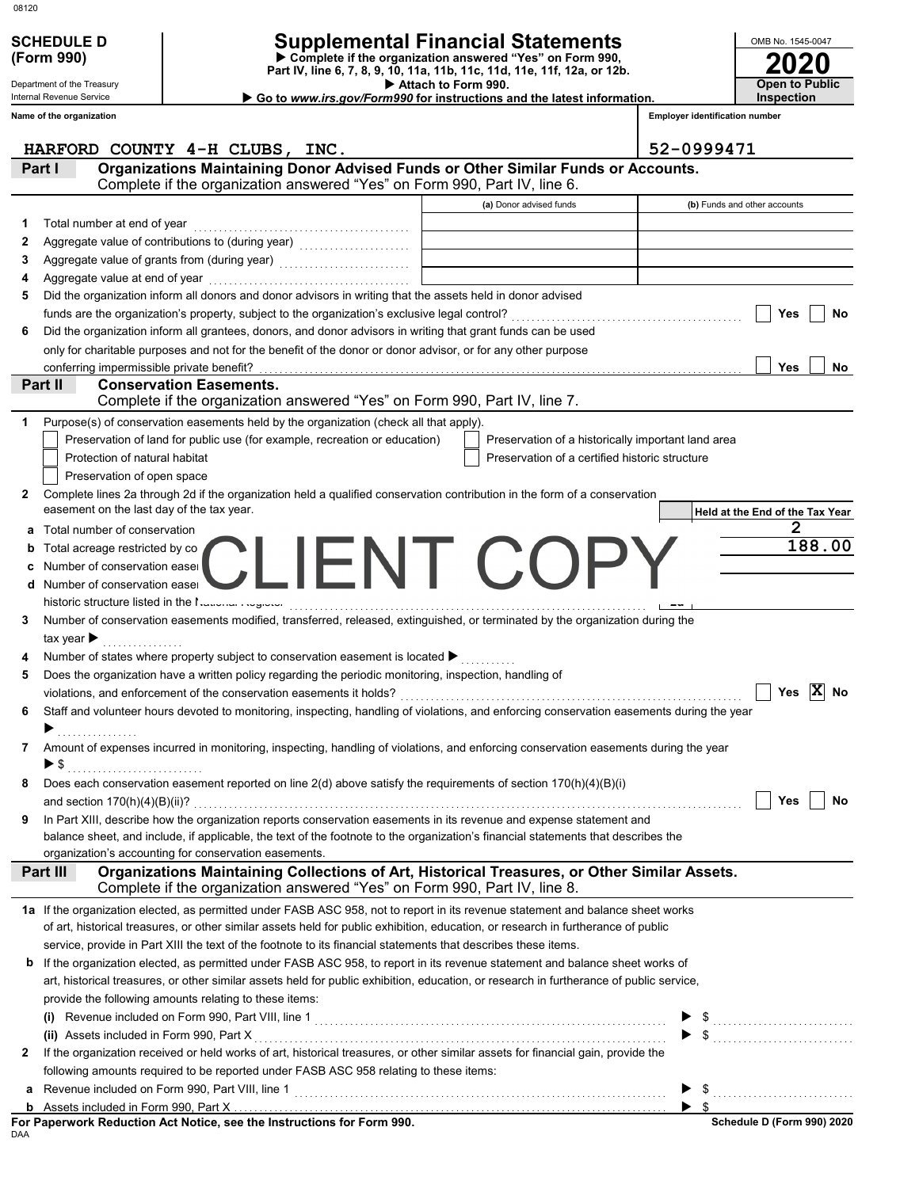| ×<br>٧<br>۰. | ۰, |
|--------------|----|

# **(Form 990)**

# Department of the Treasury

Internal Revenue Service

**Name of the organization**

# **SCHEDULE D Supplemental Financial Statements**

 **Attach to Form 990. Part IV, line 6, 7, 8, 9, 10, 11a, 11b, 11c, 11d, 11e, 11f, 12a, or 12b. Complete if the organization answered "Yes" on Form 990,**

 **Go to** *www.irs.gov/Form990* **for instructions and the latest information.**

**2020** OMB No. 1545-0047 **Open to Public Inspection**

**Employer identification number**

|    | HARFORD COUNTY 4-H CLUBS, INC.                                                                                                                                                                                                    |                                                    | 52-0999471                             |
|----|-----------------------------------------------------------------------------------------------------------------------------------------------------------------------------------------------------------------------------------|----------------------------------------------------|----------------------------------------|
|    | Organizations Maintaining Donor Advised Funds or Other Similar Funds or Accounts.<br>Part I<br>Complete if the organization answered "Yes" on Form 990, Part IV, line 6.                                                          |                                                    |                                        |
|    |                                                                                                                                                                                                                                   | (a) Donor advised funds                            | (b) Funds and other accounts           |
| 1. | Total number at end of year<br>expansional continuous continuous continuous continuous continuous continuous continuous continuous continuous continuous continuous continuous continuous continuous continuous continuous contin |                                                    |                                        |
| 2  | Aggregate value of contributions to (during year) [11] [11] Aggregate value of contributions of the Magnetian                                                                                                                     |                                                    |                                        |
| 3  | Aggregate value of grants from (during year)                                                                                                                                                                                      |                                                    |                                        |
|    |                                                                                                                                                                                                                                   |                                                    |                                        |
| 5  | Did the organization inform all donors and donor advisors in writing that the assets held in donor advised                                                                                                                        |                                                    |                                        |
|    |                                                                                                                                                                                                                                   |                                                    | Yes<br>No                              |
| 6  | Did the organization inform all grantees, donors, and donor advisors in writing that grant funds can be used                                                                                                                      |                                                    |                                        |
|    | only for charitable purposes and not for the benefit of the donor or donor advisor, or for any other purpose                                                                                                                      |                                                    |                                        |
|    | conferring impermissible private benefit?                                                                                                                                                                                         |                                                    | Yes<br>No                              |
|    | <b>Conservation Easements.</b><br>Part II                                                                                                                                                                                         |                                                    |                                        |
|    | Complete if the organization answered "Yes" on Form 990, Part IV, line 7.                                                                                                                                                         |                                                    |                                        |
|    | Purpose(s) of conservation easements held by the organization (check all that apply).                                                                                                                                             |                                                    |                                        |
|    | Preservation of land for public use (for example, recreation or education)                                                                                                                                                        | Preservation of a historically important land area |                                        |
|    | Protection of natural habitat                                                                                                                                                                                                     | Preservation of a certified historic structure     |                                        |
|    | Preservation of open space                                                                                                                                                                                                        |                                                    |                                        |
| 2  | Complete lines 2a through 2d if the organization held a qualified conservation contribution in the form of a conservation                                                                                                         |                                                    |                                        |
|    | easement on the last day of the tax year.                                                                                                                                                                                         |                                                    | Held at the End of the Tax Year        |
| а  | Total number of conservation                                                                                                                                                                                                      |                                                    | 2                                      |
| b  | Total acreage restricted by co                                                                                                                                                                                                    |                                                    | 188.00                                 |
| c  | Number of conservation easer                                                                                                                                                                                                      | CLIENT COPY                                        |                                        |
| d  | Number of conservation easer                                                                                                                                                                                                      |                                                    |                                        |
|    | historic structure listed in the National August.                                                                                                                                                                                 |                                                    |                                        |
| 3  | Number of conservation easements modified, transferred, released, extinguished, or terminated by the organization during the                                                                                                      |                                                    |                                        |
|    | tax year $\blacktriangleright$                                                                                                                                                                                                    |                                                    |                                        |
|    | Number of states where property subject to conservation easement is located >                                                                                                                                                     |                                                    |                                        |
| 5  | Does the organization have a written policy regarding the periodic monitoring, inspection, handling of                                                                                                                            |                                                    |                                        |
|    |                                                                                                                                                                                                                                   |                                                    | Yes $ \overline{X} $ No                |
| 6  | Staff and volunteer hours devoted to monitoring, inspecting, handling of violations, and enforcing conservation easements during the year                                                                                         |                                                    |                                        |
|    |                                                                                                                                                                                                                                   |                                                    |                                        |
| 7. | Amount of expenses incurred in monitoring, inspecting, handling of violations, and enforcing conservation easements during the year                                                                                               |                                                    |                                        |
|    | ▶ \$                                                                                                                                                                                                                              |                                                    |                                        |
|    | Does each conservation easement reported on line 2(d) above satisfy the requirements of section 170(h)(4)(B)(i)                                                                                                                   |                                                    |                                        |
|    |                                                                                                                                                                                                                                   |                                                    | <b>1200 - 1200 - 1200</b><br>No<br>Yes |
| 9  | In Part XIII, describe how the organization reports conservation easements in its revenue and expense statement and                                                                                                               |                                                    |                                        |
|    | balance sheet, and include, if applicable, the text of the footnote to the organization's financial statements that describes the                                                                                                 |                                                    |                                        |
|    | organization's accounting for conservation easements.                                                                                                                                                                             |                                                    |                                        |
|    | Organizations Maintaining Collections of Art, Historical Treasures, or Other Similar Assets.<br>Part III                                                                                                                          |                                                    |                                        |
|    | Complete if the organization answered "Yes" on Form 990, Part IV, line 8.                                                                                                                                                         |                                                    |                                        |
|    | 1a If the organization elected, as permitted under FASB ASC 958, not to report in its revenue statement and balance sheet works                                                                                                   |                                                    |                                        |
|    | of art, historical treasures, or other similar assets held for public exhibition, education, or research in furtherance of public                                                                                                 |                                                    |                                        |
|    | service, provide in Part XIII the text of the footnote to its financial statements that describes these items.                                                                                                                    |                                                    |                                        |
| b  | If the organization elected, as permitted under FASB ASC 958, to report in its revenue statement and balance sheet works of                                                                                                       |                                                    |                                        |
|    | art, historical treasures, or other similar assets held for public exhibition, education, or research in furtherance of public service,                                                                                           |                                                    |                                        |
|    | provide the following amounts relating to these items:                                                                                                                                                                            |                                                    |                                        |
|    |                                                                                                                                                                                                                                   |                                                    |                                        |
|    |                                                                                                                                                                                                                                   |                                                    | $\blacktriangleright$ \$               |
| 2  | If the organization received or held works of art, historical treasures, or other similar assets for financial gain, provide the                                                                                                  |                                                    |                                        |
|    | following amounts required to be reported under FASB ASC 958 relating to these items:                                                                                                                                             |                                                    |                                        |
| а  |                                                                                                                                                                                                                                   |                                                    | $\blacktriangleright$ \$               |
| b  |                                                                                                                                                                                                                                   |                                                    |                                        |
|    | For Paperwork Reduction Act Notice, see the Instructions for Form 990.                                                                                                                                                            |                                                    | Schedule D (Form 990) 2020             |

DAA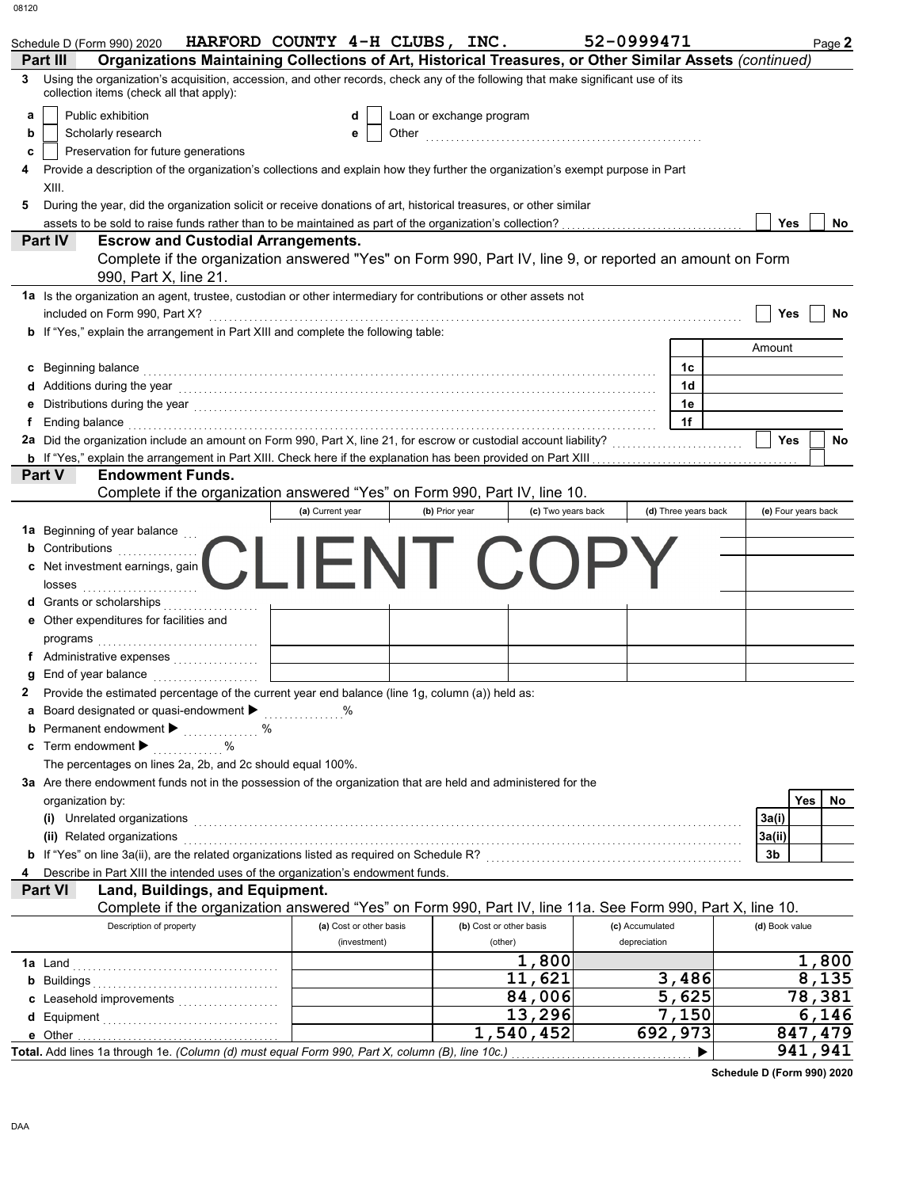|    | Schedule D (Form 990) 2020                                                                                                                                                                                                     | HARFORD COUNTY 4-H CLUBS, INC. |                          |                    | 52-0999471      |                      |                     |     | Page 2  |
|----|--------------------------------------------------------------------------------------------------------------------------------------------------------------------------------------------------------------------------------|--------------------------------|--------------------------|--------------------|-----------------|----------------------|---------------------|-----|---------|
|    | Organizations Maintaining Collections of Art, Historical Treasures, or Other Similar Assets (continued)<br>Part III                                                                                                            |                                |                          |                    |                 |                      |                     |     |         |
| 3  | Using the organization's acquisition, accession, and other records, check any of the following that make significant use of its<br>collection items (check all that apply):                                                    |                                |                          |                    |                 |                      |                     |     |         |
| а  | Public exhibition                                                                                                                                                                                                              | d                              | Loan or exchange program |                    |                 |                      |                     |     |         |
| b  | Scholarly research                                                                                                                                                                                                             | е                              |                          |                    |                 |                      |                     |     |         |
| с  | Preservation for future generations                                                                                                                                                                                            |                                |                          |                    |                 |                      |                     |     |         |
|    | Provide a description of the organization's collections and explain how they further the organization's exempt purpose in Part                                                                                                 |                                |                          |                    |                 |                      |                     |     |         |
|    | XIII.                                                                                                                                                                                                                          |                                |                          |                    |                 |                      |                     |     |         |
| 5  | During the year, did the organization solicit or receive donations of art, historical treasures, or other similar                                                                                                              |                                |                          |                    |                 |                      |                     |     |         |
|    | assets to be sold to raise funds rather than to be maintained as part of the organization's collection?                                                                                                                        |                                |                          |                    |                 |                      | Yes                 |     | No      |
|    | <b>Part IV</b><br><b>Escrow and Custodial Arrangements.</b>                                                                                                                                                                    |                                |                          |                    |                 |                      |                     |     |         |
|    | Complete if the organization answered "Yes" on Form 990, Part IV, line 9, or reported an amount on Form<br>990, Part X, line 21.                                                                                               |                                |                          |                    |                 |                      |                     |     |         |
|    | 1a Is the organization an agent, trustee, custodian or other intermediary for contributions or other assets not                                                                                                                |                                |                          |                    |                 |                      |                     |     |         |
|    | included on Form 990, Part X?                                                                                                                                                                                                  |                                |                          |                    |                 |                      | Yes                 |     | No      |
|    | <b>b</b> If "Yes," explain the arrangement in Part XIII and complete the following table:                                                                                                                                      |                                |                          |                    |                 |                      |                     |     |         |
|    |                                                                                                                                                                                                                                |                                |                          |                    |                 |                      | Amount              |     |         |
| c  | Beginning balance <b>construction and the construction of the construction of the construction</b>                                                                                                                             |                                |                          |                    |                 | 1c                   |                     |     |         |
| d  | Additions during the year with the continuum control of the year with the year with the set of the set of the set of the set of the set of the set of the set of the set of the set of the set of the set of the set of the se |                                |                          |                    |                 | 1d                   |                     |     |         |
| е  | Distributions during the year [1, 1, 2010] [1, 2010] [1, 2010] [1, 2010] [1, 2010] [1, 2010] [1, 2010] [1, 2010                                                                                                                |                                |                          |                    |                 | 1e                   |                     |     |         |
| f. | Ending balance <b>construction and the construction of the construction of the construction</b>                                                                                                                                |                                |                          |                    |                 | 1f                   |                     |     |         |
|    | 2a Did the organization include an amount on Form 990, Part X, line 21, for escrow or custodial account liability?                                                                                                             |                                |                          |                    |                 |                      | <b>Yes</b>          |     | No      |
|    |                                                                                                                                                                                                                                |                                |                          |                    |                 |                      |                     |     |         |
|    | Part V<br><b>Endowment Funds.</b><br>Complete if the organization answered "Yes" on Form 990, Part IV, line 10.                                                                                                                |                                |                          |                    |                 |                      |                     |     |         |
|    |                                                                                                                                                                                                                                | (a) Current year               | (b) Prior year           | (c) Two years back |                 | (d) Three years back | (e) Four years back |     |         |
|    | 1a Beginning of year balance                                                                                                                                                                                                   |                                |                          |                    |                 |                      |                     |     |         |
| b  | Contributions                                                                                                                                                                                                                  |                                |                          |                    |                 |                      |                     |     |         |
|    | c Net investment earnings, gain                                                                                                                                                                                                |                                | NI CO                    |                    |                 |                      |                     |     |         |
|    |                                                                                                                                                                                                                                |                                |                          |                    |                 |                      |                     |     |         |
|    | <b>d</b> Grants or scholarships                                                                                                                                                                                                |                                |                          |                    |                 |                      |                     |     |         |
|    | e Other expenditures for facilities and                                                                                                                                                                                        |                                |                          |                    |                 |                      |                     |     |         |
|    |                                                                                                                                                                                                                                |                                |                          |                    |                 |                      |                     |     |         |
|    | f Administrative expenses                                                                                                                                                                                                      |                                |                          |                    |                 |                      |                     |     |         |
| g  | End of year balance                                                                                                                                                                                                            |                                |                          |                    |                 |                      |                     |     |         |
|    | Provide the estimated percentage of the current year end balance (line 1g, column (a)) held as:                                                                                                                                |                                |                          |                    |                 |                      |                     |     |         |
|    | a Board designated or quasi-endowment $\blacktriangleright$ %                                                                                                                                                                  |                                |                          |                    |                 |                      |                     |     |         |
| b  |                                                                                                                                                                                                                                |                                |                          |                    |                 |                      |                     |     |         |
| c  | Term endowment ▶<br>$\ldots \ldots \ldots$ %                                                                                                                                                                                   |                                |                          |                    |                 |                      |                     |     |         |
|    | The percentages on lines 2a, 2b, and 2c should equal 100%.                                                                                                                                                                     |                                |                          |                    |                 |                      |                     |     |         |
|    | 3a Are there endowment funds not in the possession of the organization that are held and administered for the                                                                                                                  |                                |                          |                    |                 |                      |                     |     |         |
|    | organization by:                                                                                                                                                                                                               |                                |                          |                    |                 |                      |                     | Yes | No.     |
|    | (i) Unrelated organizations entertainment and all the contract of the contract of the contract of the contract of the contract of the contract of the contract of the contract of the contract of the contract of the contract |                                |                          |                    |                 |                      | 3a(i)               |     |         |
|    | (ii) Related organizations                                                                                                                                                                                                     |                                |                          |                    |                 |                      | 3a(ii)              |     |         |
|    | b If "Yes" on line 3a(ii), are the related organizations listed as required on Schedule R? [[[[[[[[[[[[[[[[[[[                                                                                                                 |                                |                          |                    |                 |                      | 3b                  |     |         |
| 4  | Describe in Part XIII the intended uses of the organization's endowment funds.                                                                                                                                                 |                                |                          |                    |                 |                      |                     |     |         |
|    | Land, Buildings, and Equipment.<br><b>Part VI</b>                                                                                                                                                                              |                                |                          |                    |                 |                      |                     |     |         |
|    | Complete if the organization answered "Yes" on Form 990, Part IV, line 11a. See Form 990, Part X, line 10.                                                                                                                     |                                |                          |                    |                 |                      |                     |     |         |
|    | Description of property                                                                                                                                                                                                        | (a) Cost or other basis        | (b) Cost or other basis  |                    | (c) Accumulated |                      | (d) Book value      |     |         |
|    |                                                                                                                                                                                                                                | (investment)                   | (other)                  |                    | depreciation    |                      |                     |     |         |
|    | <b>1a</b> Land                                                                                                                                                                                                                 |                                |                          | 1,800              |                 |                      |                     |     | 1,800   |
|    |                                                                                                                                                                                                                                |                                |                          | 11,621             |                 | 3,486                |                     |     | 8,135   |
|    | c Leasehold improvements                                                                                                                                                                                                       |                                |                          | 84,006             |                 | 5,625                |                     |     | 78,381  |
|    |                                                                                                                                                                                                                                |                                |                          | 13,296             |                 | 7,150                |                     |     | 6,146   |
|    |                                                                                                                                                                                                                                |                                |                          | 1,540,452          |                 | 692,973              |                     |     | 847,479 |
|    | Total. Add lines 1a through 1e. (Column (d) must equal Form 990, Part X, column (B), line 10c.)                                                                                                                                |                                |                          | .                  |                 |                      |                     |     | 941,941 |

**Schedule D (Form 990) 2020**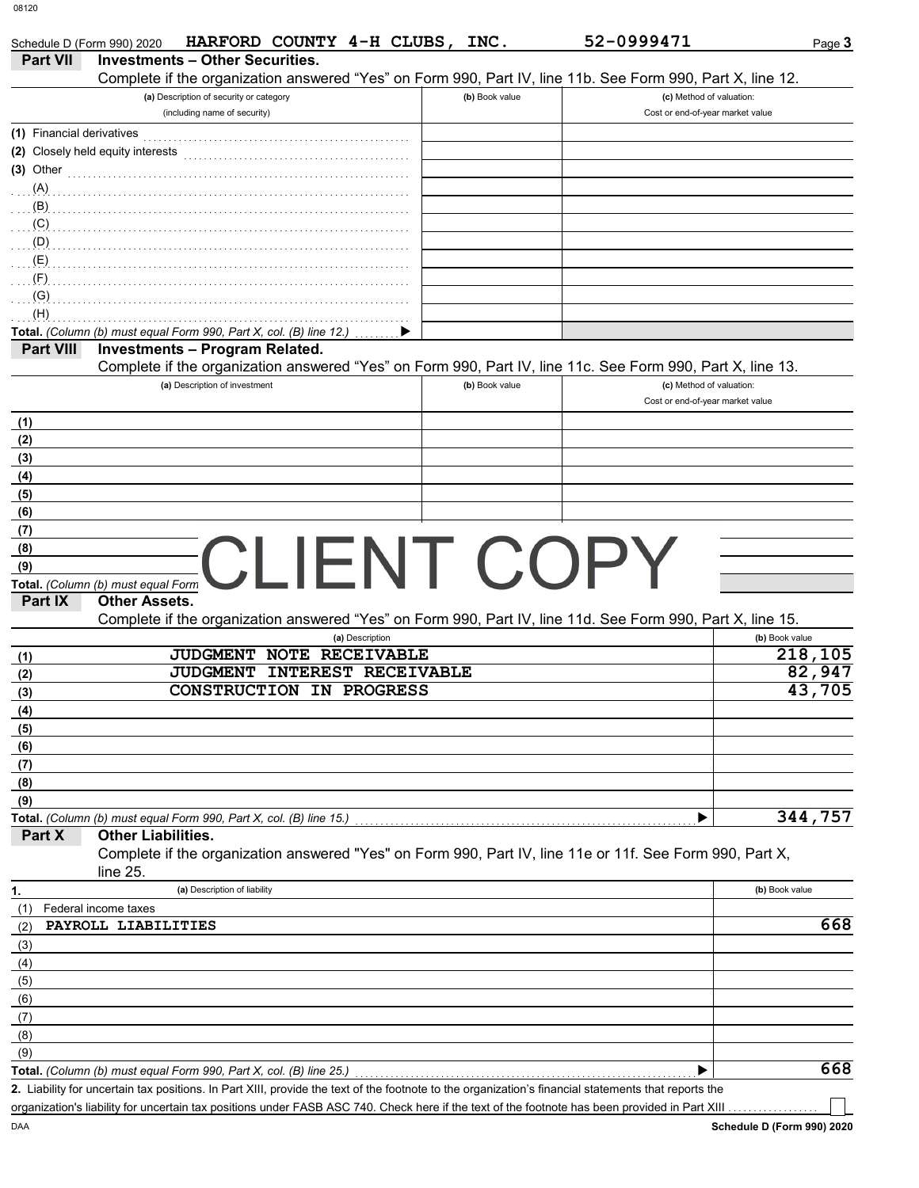| HARFORD COUNTY 4-H CLUBS, INC.<br>Schedule D (Form 990) 2020                                                                                                                                                                   |                | 52-0999471                       | Page 3                          |
|--------------------------------------------------------------------------------------------------------------------------------------------------------------------------------------------------------------------------------|----------------|----------------------------------|---------------------------------|
| <b>Investments - Other Securities.</b><br><b>Part VII</b>                                                                                                                                                                      |                |                                  |                                 |
| Complete if the organization answered "Yes" on Form 990, Part IV, line 11b. See Form 990, Part X, line 12.                                                                                                                     |                |                                  |                                 |
| (a) Description of security or category                                                                                                                                                                                        | (b) Book value | (c) Method of valuation:         |                                 |
| (including name of security)                                                                                                                                                                                                   |                | Cost or end-of-year market value |                                 |
| (1) Financial derivatives                                                                                                                                                                                                      |                |                                  |                                 |
| (2) Closely held equity interests                                                                                                                                                                                              |                |                                  |                                 |
| $(3)$ Other                                                                                                                                                                                                                    |                |                                  |                                 |
| $(A)$ . The contract of the contract of the contract of the contract of the contract of the contract of the contract of the contract of the contract of the contract of the contract of the contract of the contract of the co |                |                                  |                                 |
|                                                                                                                                                                                                                                |                |                                  |                                 |
| $(D)$ . The contract of the contract of the contract of the contract of the contract of the contract of the contract of the contract of the contract of the contract of the contract of the contract of the contract of the co |                |                                  |                                 |
|                                                                                                                                                                                                                                |                |                                  |                                 |
|                                                                                                                                                                                                                                |                |                                  |                                 |
| (G)                                                                                                                                                                                                                            |                |                                  |                                 |
| (H)                                                                                                                                                                                                                            |                |                                  |                                 |
| Total. (Column (b) must equal Form 990, Part X, col. (B) line 12.)                                                                                                                                                             |                |                                  |                                 |
| <b>Investments - Program Related.</b><br><b>Part VIII</b>                                                                                                                                                                      |                |                                  |                                 |
| Complete if the organization answered "Yes" on Form 990, Part IV, line 11c. See Form 990, Part X, line 13.                                                                                                                     |                |                                  |                                 |
| (a) Description of investment                                                                                                                                                                                                  | (b) Book value | (c) Method of valuation:         |                                 |
|                                                                                                                                                                                                                                |                | Cost or end-of-year market value |                                 |
| (1)                                                                                                                                                                                                                            |                |                                  |                                 |
| (2)                                                                                                                                                                                                                            |                |                                  |                                 |
| (3)                                                                                                                                                                                                                            |                |                                  |                                 |
| (4)                                                                                                                                                                                                                            |                |                                  |                                 |
| (5)<br>(6)                                                                                                                                                                                                                     |                |                                  |                                 |
| (7)                                                                                                                                                                                                                            |                |                                  |                                 |
| (8)                                                                                                                                                                                                                            |                |                                  |                                 |
| CLIENT COPY<br>(9)                                                                                                                                                                                                             |                |                                  |                                 |
| Total. (Column (b) must equal Form                                                                                                                                                                                             |                |                                  |                                 |
| <b>Other Assets.</b><br>Part IX                                                                                                                                                                                                |                |                                  |                                 |
| Complete if the organization answered "Yes" on Form 990, Part IV, line 11d. See Form 990, Part X, line 15.                                                                                                                     |                |                                  |                                 |
| (a) Description                                                                                                                                                                                                                |                |                                  | (b) Book value                  |
| JUDGMENT NOTE RECEIVABLE<br>(1)                                                                                                                                                                                                |                |                                  | 218,105                         |
| JUDGMENT INTEREST RECEIVABLE<br>(2)<br>CONSTRUCTION IN PROGRESS                                                                                                                                                                |                |                                  | $\overline{82}$ , 947<br>43,705 |
| (3)                                                                                                                                                                                                                            |                |                                  |                                 |
| (4)                                                                                                                                                                                                                            |                |                                  |                                 |
| (5)                                                                                                                                                                                                                            |                |                                  |                                 |
| (6)<br>(7)                                                                                                                                                                                                                     |                |                                  |                                 |
| (8)                                                                                                                                                                                                                            |                |                                  |                                 |
| (9)                                                                                                                                                                                                                            |                |                                  |                                 |
| Total. (Column (b) must equal Form 990, Part X, col. (B) line 15.)                                                                                                                                                             |                |                                  | 344,757                         |
| <b>Other Liabilities.</b><br>Part X                                                                                                                                                                                            |                |                                  |                                 |
| Complete if the organization answered "Yes" on Form 990, Part IV, line 11e or 11f. See Form 990, Part X,                                                                                                                       |                |                                  |                                 |
| line $25$ .                                                                                                                                                                                                                    |                |                                  |                                 |
| (a) Description of liability<br>1.                                                                                                                                                                                             |                |                                  | (b) Book value                  |
| Federal income taxes<br>(1)                                                                                                                                                                                                    |                |                                  |                                 |
| PAYROLL LIABILITIES<br>(2)                                                                                                                                                                                                     |                |                                  | 668                             |
| (3)                                                                                                                                                                                                                            |                |                                  |                                 |
| (4)                                                                                                                                                                                                                            |                |                                  |                                 |
| (5)                                                                                                                                                                                                                            |                |                                  |                                 |
| (6)                                                                                                                                                                                                                            |                |                                  |                                 |
| (7)                                                                                                                                                                                                                            |                |                                  |                                 |
| (8)                                                                                                                                                                                                                            |                |                                  |                                 |
| (9)                                                                                                                                                                                                                            |                |                                  | 668                             |
| Total. (Column (b) must equal Form 990, Part X, col. (B) line 25.)<br>2. Liability for uncertain tax positions. In Part XIII, provide the text of the footnote to the organization's financial statements that reports the     |                |                                  |                                 |
| organization's liability for uncertain tax positions under FASB ASC 740. Check here if the text of the footnote has been provided in Part XIII                                                                                 |                |                                  |                                 |
|                                                                                                                                                                                                                                |                |                                  |                                 |

DAA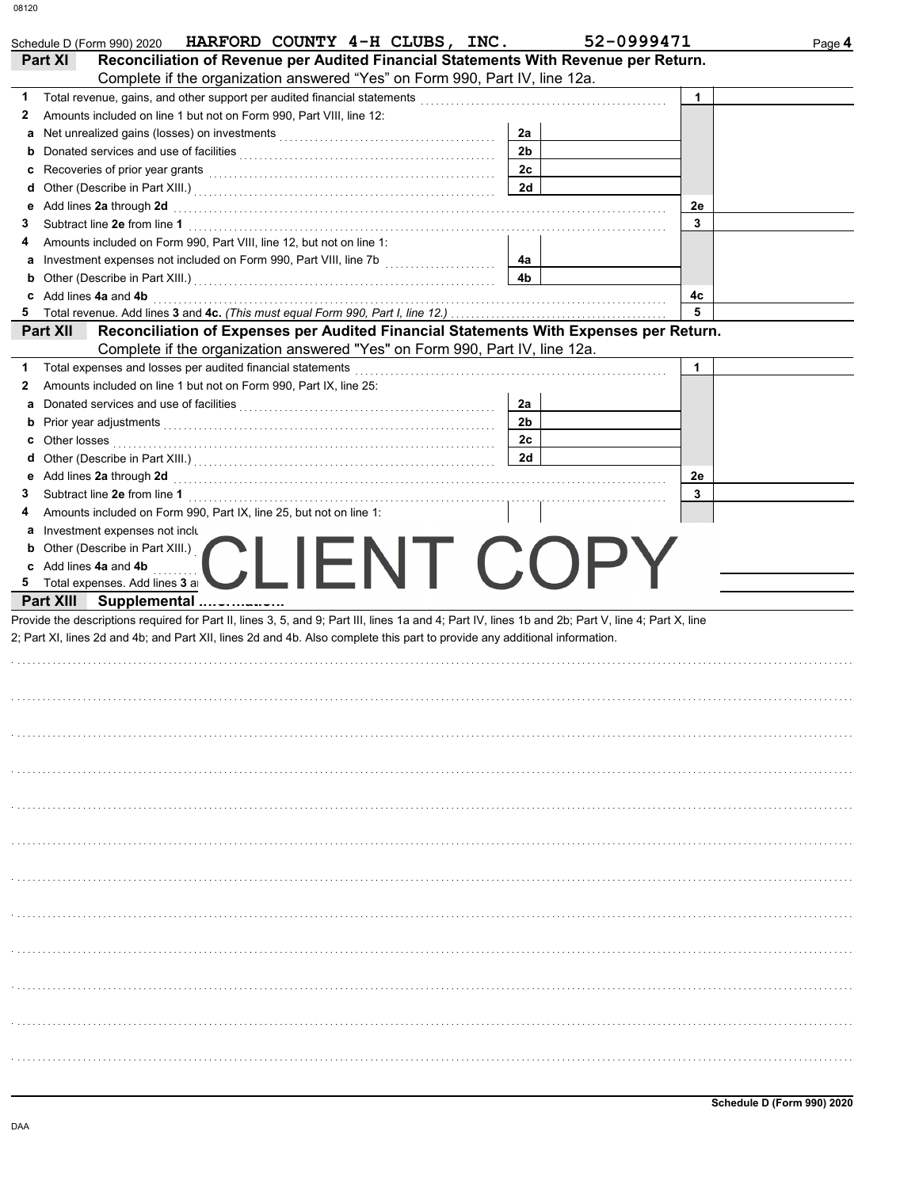| HARFORD COUNTY 4-H CLUBS, INC.<br>Schedule D (Form 990) 2020<br><b>Part XI</b><br>Reconciliation of Revenue per Audited Financial Statements With Revenue per Return.                                                                                                            | 52-0999471     |             |  |
|----------------------------------------------------------------------------------------------------------------------------------------------------------------------------------------------------------------------------------------------------------------------------------|----------------|-------------|--|
| Complete if the organization answered "Yes" on Form 990, Part IV, line 12a.                                                                                                                                                                                                      |                |             |  |
| Total revenue, gains, and other support per audited financial statements [[11][11][11][11][11][11][11][11][11]                                                                                                                                                                   |                | $\mathbf 1$ |  |
| Amounts included on line 1 but not on Form 990, Part VIII, line 12:<br>2                                                                                                                                                                                                         |                |             |  |
| a                                                                                                                                                                                                                                                                                | 2a             |             |  |
| b                                                                                                                                                                                                                                                                                | 2 <sub>b</sub> |             |  |
| c                                                                                                                                                                                                                                                                                | 2c             |             |  |
| Other (Describe in Part XIII.) [11] [2010] [2010] [2010] [2010] [2010] [2010] [2010] [2010] [2010] [2010] [2010] [2010] [2010] [2010] [2010] [2010] [2010] [2010] [2010] [2010] [2010] [2010] [2010] [2010] [2010] [2010] [201<br>d                                              | 2d             |             |  |
| Add lines 2a through 2d<br>е                                                                                                                                                                                                                                                     |                | 2e          |  |
| 3                                                                                                                                                                                                                                                                                |                | 3           |  |
| Amounts included on Form 990, Part VIII, line 12, but not on line 1:<br>4                                                                                                                                                                                                        |                |             |  |
| а                                                                                                                                                                                                                                                                                | 4a             |             |  |
| b                                                                                                                                                                                                                                                                                | 4 <sub>b</sub> |             |  |
| c Add lines 4a and 4b                                                                                                                                                                                                                                                            |                | 4с          |  |
|                                                                                                                                                                                                                                                                                  |                | 5           |  |
| Reconciliation of Expenses per Audited Financial Statements With Expenses per Return.<br><b>Part XII</b>                                                                                                                                                                         |                |             |  |
| Complete if the organization answered "Yes" on Form 990, Part IV, line 12a.                                                                                                                                                                                                      |                |             |  |
| Total expenses and losses per audited financial statements<br>Amounts included on line 1 but not on Form 990, Part IX, line 25:<br>2                                                                                                                                             |                | $\mathbf 1$ |  |
| a                                                                                                                                                                                                                                                                                | 2a             |             |  |
|                                                                                                                                                                                                                                                                                  | 2 <sub>b</sub> |             |  |
| Prior year adjustments [11, 11] All the contract of the contract of the contract of the contract of the contract of the contract of the contract of the contract of the contract of the contract of the contract of the contra<br>b<br>Other losses                              | 2c             |             |  |
|                                                                                                                                                                                                                                                                                  | 2d             |             |  |
| Other (Describe in Part XIII.) [11] [2010] [2010] [2010] [2010] [2010] [2010] [2010] [2010] [2010] [2010] [2010] [2010] [2010] [2010] [2010] [2010] [2010] [2010] [2010] [2010] [2010] [2010] [2010] [2010] [2010] [2010] [201<br>d                                              |                | 2е          |  |
| 3                                                                                                                                                                                                                                                                                |                | 3           |  |
| Amounts included on Form 990, Part IX, line 25, but not on line 1:<br>4                                                                                                                                                                                                          |                |             |  |
| Investment expenses not inclu                                                                                                                                                                                                                                                    |                |             |  |
| а<br>Other (Describe in Part XIII.)                                                                                                                                                                                                                                              |                |             |  |
| $\left( \begin{array}{cc} \cdot & \cdot \\ \cdot & \cdot \end{array} \right)$                                                                                                                                                                                                    |                |             |  |
|                                                                                                                                                                                                                                                                                  |                |             |  |
| c Add lines 4a and 4b                                                                                                                                                                                                                                                            | N I ( ) ( )    |             |  |
| Total expenses. Add lines 3 a<br>5.                                                                                                                                                                                                                                              |                |             |  |
| Part XIII Supplemental                                                                                                                                                                                                                                                           |                |             |  |
|                                                                                                                                                                                                                                                                                  |                |             |  |
|                                                                                                                                                                                                                                                                                  |                |             |  |
|                                                                                                                                                                                                                                                                                  |                |             |  |
|                                                                                                                                                                                                                                                                                  |                |             |  |
|                                                                                                                                                                                                                                                                                  |                |             |  |
|                                                                                                                                                                                                                                                                                  |                |             |  |
|                                                                                                                                                                                                                                                                                  |                |             |  |
|                                                                                                                                                                                                                                                                                  |                |             |  |
|                                                                                                                                                                                                                                                                                  |                |             |  |
|                                                                                                                                                                                                                                                                                  |                |             |  |
|                                                                                                                                                                                                                                                                                  |                |             |  |
|                                                                                                                                                                                                                                                                                  |                |             |  |
|                                                                                                                                                                                                                                                                                  |                |             |  |
|                                                                                                                                                                                                                                                                                  |                |             |  |
|                                                                                                                                                                                                                                                                                  |                |             |  |
|                                                                                                                                                                                                                                                                                  |                |             |  |
|                                                                                                                                                                                                                                                                                  |                |             |  |
|                                                                                                                                                                                                                                                                                  |                |             |  |
|                                                                                                                                                                                                                                                                                  |                |             |  |
|                                                                                                                                                                                                                                                                                  |                |             |  |
|                                                                                                                                                                                                                                                                                  |                |             |  |
|                                                                                                                                                                                                                                                                                  |                |             |  |
|                                                                                                                                                                                                                                                                                  |                |             |  |
|                                                                                                                                                                                                                                                                                  |                |             |  |
| Provide the descriptions required for Part II, lines 3, 5, and 9; Part III, lines 1a and 4; Part IV, lines 1b and 2b; Part V, line 4; Part X, line<br>2; Part XI, lines 2d and 4b; and Part XII, lines 2d and 4b. Also complete this part to provide any additional information. |                |             |  |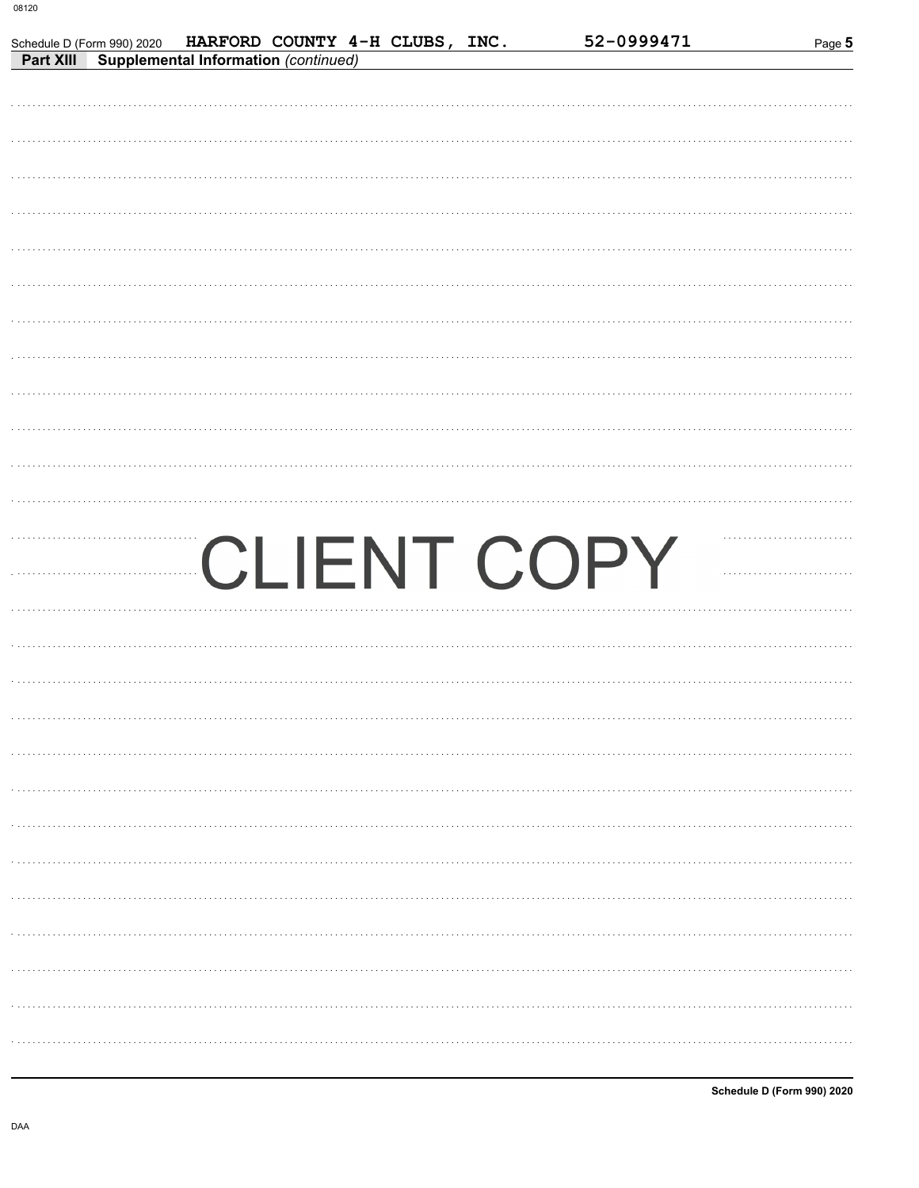Schedule D (Form 990) 2020

**Part XIII** Supplemental Information (continued)

| CLIENT COPY |
|-------------|
|             |
|             |
|             |
|             |
|             |
|             |
|             |
|             |
|             |
|             |
| .           |
| .           |
|             |

HARFORD COUNTY 4-H CLUBS, INC.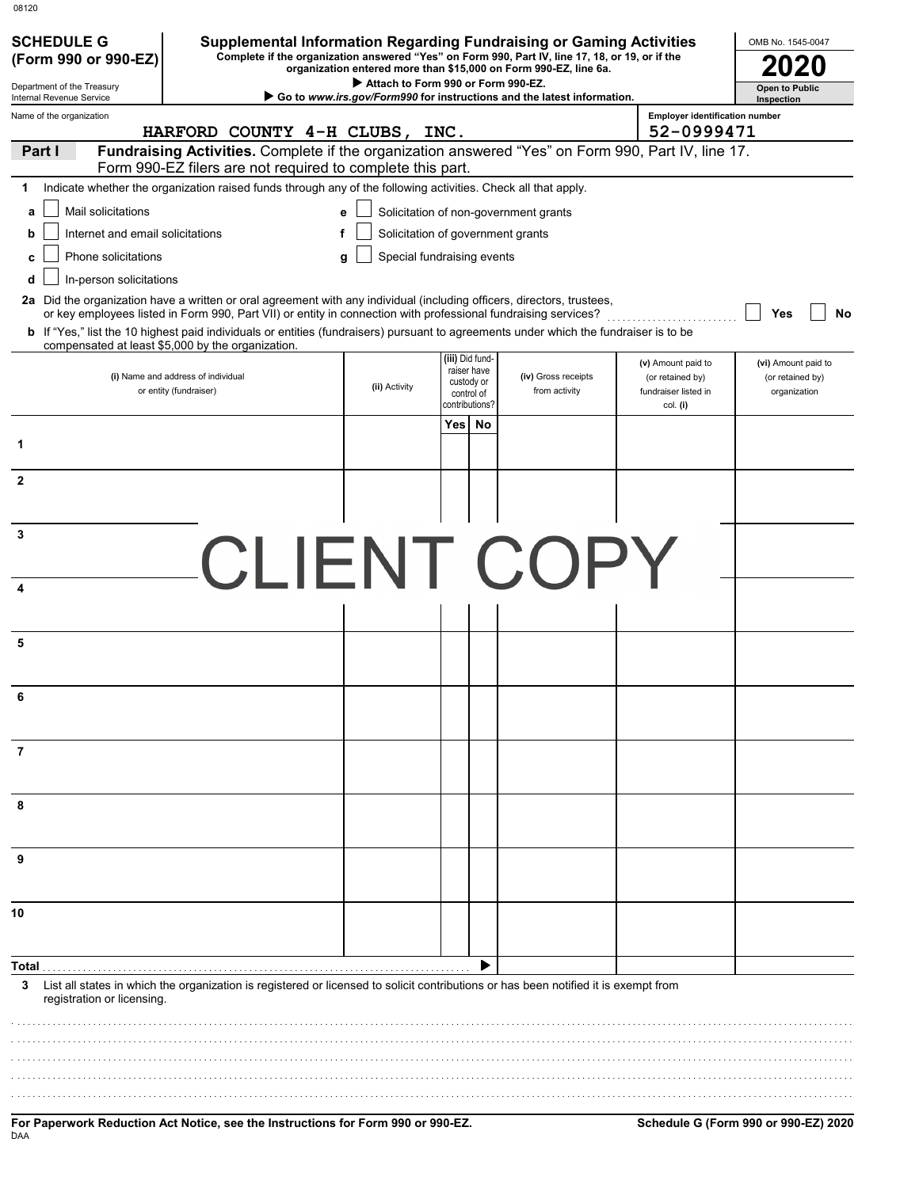| 08120                                     |                                                                                                                                                                                                                                                                                                                     |                                    |                                            |                                                                        |                                                      |                                  |
|-------------------------------------------|---------------------------------------------------------------------------------------------------------------------------------------------------------------------------------------------------------------------------------------------------------------------------------------------------------------------|------------------------------------|--------------------------------------------|------------------------------------------------------------------------|------------------------------------------------------|----------------------------------|
| <b>SCHEDULE G</b><br>(Form 990 or 990-EZ) | <b>Supplemental Information Regarding Fundraising or Gaming Activities</b><br>Complete if the organization answered "Yes" on Form 990, Part IV, line 17, 18, or 19, or if the                                                                                                                                       |                                    |                                            |                                                                        |                                                      | OMB No. 1545-0047                |
| Department of the Treasury                |                                                                                                                                                                                                                                                                                                                     | Attach to Form 990 or Form 990-EZ. |                                            | organization entered more than \$15,000 on Form 990-EZ, line 6a.       |                                                      | <b>Open to Public</b>            |
| Internal Revenue Service                  |                                                                                                                                                                                                                                                                                                                     |                                    |                                            | Go to www.irs.gov/Form990 for instructions and the latest information. |                                                      | Inspection                       |
| Name of the organization                  | HARFORD COUNTY 4-H CLUBS,                                                                                                                                                                                                                                                                                           |                                    | INC.                                       |                                                                        | <b>Employer identification number</b><br>52-0999471  |                                  |
| Part I                                    | Fundraising Activities. Complete if the organization answered "Yes" on Form 990, Part IV, line 17.<br>Form 990-EZ filers are not required to complete this part.                                                                                                                                                    |                                    |                                            |                                                                        |                                                      |                                  |
| 1.                                        | Indicate whether the organization raised funds through any of the following activities. Check all that apply.                                                                                                                                                                                                       |                                    |                                            |                                                                        |                                                      |                                  |
| Mail solicitations<br>a                   |                                                                                                                                                                                                                                                                                                                     | e                                  |                                            | Solicitation of non-government grants                                  |                                                      |                                  |
| Internet and email solicitations<br>b     |                                                                                                                                                                                                                                                                                                                     | f                                  | Solicitation of government grants          |                                                                        |                                                      |                                  |
| Phone solicitations<br>c                  |                                                                                                                                                                                                                                                                                                                     | q                                  | Special fundraising events                 |                                                                        |                                                      |                                  |
| In-person solicitations<br>d              | 2a Did the organization have a written or oral agreement with any individual (including officers, directors, trustees,                                                                                                                                                                                              |                                    |                                            |                                                                        |                                                      |                                  |
|                                           | or key employees listed in Form 990, Part VII) or entity in connection with professional fundraising services?<br><b>b</b> If "Yes," list the 10 highest paid individuals or entities (fundraisers) pursuant to agreements under which the fundraiser is to be<br>compensated at least \$5,000 by the organization. |                                    |                                            |                                                                        |                                                      | Yes<br>No                        |
|                                           |                                                                                                                                                                                                                                                                                                                     |                                    | (iii) Did fund-<br>raiser have             |                                                                        | (v) Amount paid to                                   | (vi) Amount paid to              |
|                                           | (i) Name and address of individual<br>or entity (fundraiser)                                                                                                                                                                                                                                                        | (ii) Activity                      | custody or<br>control of<br>contributions? | (iv) Gross receipts<br>from activity                                   | (or retained by)<br>fundraiser listed in<br>col. (i) | (or retained by)<br>organization |
|                                           |                                                                                                                                                                                                                                                                                                                     |                                    | Yes   No                                   |                                                                        |                                                      |                                  |
| 1                                         |                                                                                                                                                                                                                                                                                                                     |                                    |                                            |                                                                        |                                                      |                                  |
| $\overline{2}$                            |                                                                                                                                                                                                                                                                                                                     |                                    |                                            |                                                                        |                                                      |                                  |
|                                           |                                                                                                                                                                                                                                                                                                                     |                                    |                                            |                                                                        |                                                      |                                  |
| 3                                         |                                                                                                                                                                                                                                                                                                                     |                                    |                                            |                                                                        |                                                      |                                  |
|                                           | <b>CLIENT COPY</b>                                                                                                                                                                                                                                                                                                  |                                    |                                            |                                                                        |                                                      |                                  |
| 4                                         |                                                                                                                                                                                                                                                                                                                     |                                    |                                            |                                                                        |                                                      |                                  |
| 5                                         |                                                                                                                                                                                                                                                                                                                     |                                    |                                            |                                                                        |                                                      |                                  |
|                                           |                                                                                                                                                                                                                                                                                                                     |                                    |                                            |                                                                        |                                                      |                                  |
|                                           |                                                                                                                                                                                                                                                                                                                     |                                    |                                            |                                                                        |                                                      |                                  |
|                                           |                                                                                                                                                                                                                                                                                                                     |                                    |                                            |                                                                        |                                                      |                                  |
| 7                                         |                                                                                                                                                                                                                                                                                                                     |                                    |                                            |                                                                        |                                                      |                                  |
| 8                                         |                                                                                                                                                                                                                                                                                                                     |                                    |                                            |                                                                        |                                                      |                                  |
|                                           |                                                                                                                                                                                                                                                                                                                     |                                    |                                            |                                                                        |                                                      |                                  |
| 9                                         |                                                                                                                                                                                                                                                                                                                     |                                    |                                            |                                                                        |                                                      |                                  |
|                                           |                                                                                                                                                                                                                                                                                                                     |                                    |                                            |                                                                        |                                                      |                                  |
| 10                                        |                                                                                                                                                                                                                                                                                                                     |                                    |                                            |                                                                        |                                                      |                                  |
| Total                                     |                                                                                                                                                                                                                                                                                                                     |                                    |                                            |                                                                        |                                                      |                                  |
| 3<br>registration or licensing.           | List all states in which the organization is registered or licensed to solicit contributions or has been notified it is exempt from                                                                                                                                                                                 |                                    |                                            |                                                                        |                                                      |                                  |
|                                           |                                                                                                                                                                                                                                                                                                                     |                                    |                                            |                                                                        |                                                      |                                  |
|                                           |                                                                                                                                                                                                                                                                                                                     |                                    |                                            |                                                                        |                                                      |                                  |
|                                           |                                                                                                                                                                                                                                                                                                                     |                                    |                                            |                                                                        |                                                      |                                  |
|                                           |                                                                                                                                                                                                                                                                                                                     |                                    |                                            |                                                                        |                                                      |                                  |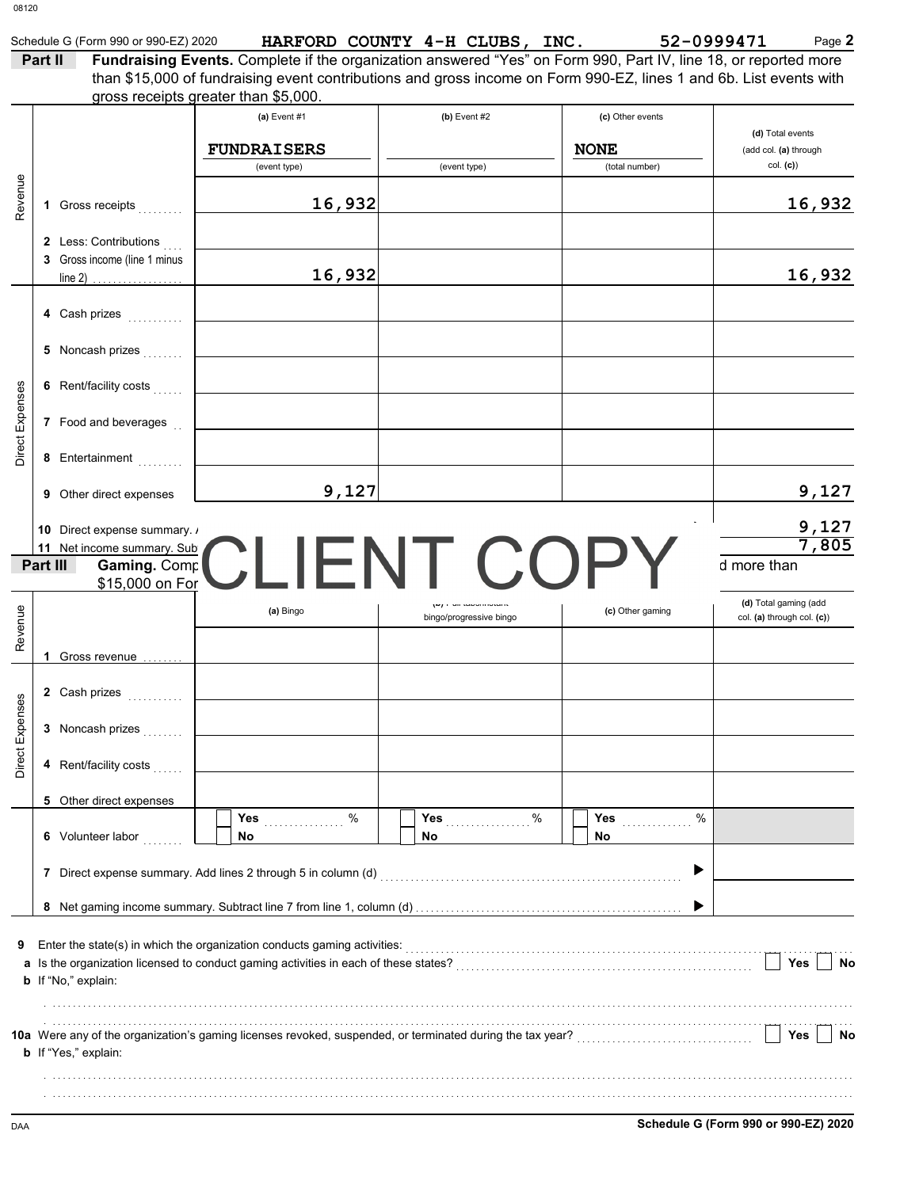|                 | Schedule G (Form 990 or 990-EZ) 2020 |                                                                                                                                                                                                                        | HARFORD COUNTY 4-H CLUBS, INC.                   |                  | 52-0999471<br>Page 2                                |
|-----------------|--------------------------------------|------------------------------------------------------------------------------------------------------------------------------------------------------------------------------------------------------------------------|--------------------------------------------------|------------------|-----------------------------------------------------|
|                 | Part II                              | Fundraising Events. Complete if the organization answered "Yes" on Form 990, Part IV, line 18, or reported more                                                                                                        |                                                  |                  |                                                     |
|                 |                                      | than \$15,000 of fundraising event contributions and gross income on Form 990-EZ, lines 1 and 6b. List events with<br>gross receipts greater than \$5,000.                                                             |                                                  |                  |                                                     |
|                 |                                      | (a) Event $#1$                                                                                                                                                                                                         | $(b)$ Event #2                                   | (c) Other events |                                                     |
|                 |                                      |                                                                                                                                                                                                                        |                                                  |                  | (d) Total events                                    |
|                 |                                      | <b>FUNDRAISERS</b>                                                                                                                                                                                                     |                                                  | <b>NONE</b>      | (add col. (a) through                               |
|                 |                                      | (event type)                                                                                                                                                                                                           | (event type)                                     | (total number)   | col. (c)                                            |
| Revenue         |                                      | 16,932                                                                                                                                                                                                                 |                                                  |                  | 16,932                                              |
|                 | 1 Gross receipts                     |                                                                                                                                                                                                                        |                                                  |                  |                                                     |
|                 | 2 Less: Contributions                |                                                                                                                                                                                                                        |                                                  |                  |                                                     |
|                 | 3 Gross income (line 1 minus         |                                                                                                                                                                                                                        |                                                  |                  |                                                     |
|                 |                                      | 16,932                                                                                                                                                                                                                 |                                                  |                  | 16,932                                              |
|                 |                                      |                                                                                                                                                                                                                        |                                                  |                  |                                                     |
|                 | 4 Cash prizes                        |                                                                                                                                                                                                                        |                                                  |                  |                                                     |
|                 | 5 Noncash prizes                     |                                                                                                                                                                                                                        |                                                  |                  |                                                     |
|                 |                                      |                                                                                                                                                                                                                        |                                                  |                  |                                                     |
|                 | 6 Rent/facility costs                |                                                                                                                                                                                                                        |                                                  |                  |                                                     |
| Direct Expenses | 7 Food and beverages                 |                                                                                                                                                                                                                        |                                                  |                  |                                                     |
|                 |                                      |                                                                                                                                                                                                                        |                                                  |                  |                                                     |
|                 | 8 Entertainment                      |                                                                                                                                                                                                                        |                                                  |                  |                                                     |
|                 |                                      |                                                                                                                                                                                                                        |                                                  |                  |                                                     |
|                 | <b>9</b> Other direct expenses       | 9,127                                                                                                                                                                                                                  |                                                  |                  | 9,127                                               |
|                 | 10 Direct expense summary. /         |                                                                                                                                                                                                                        |                                                  |                  |                                                     |
|                 | 11 Net income summary. Sub           |                                                                                                                                                                                                                        |                                                  |                  | $\frac{9,127}{7,805}$                               |
|                 | Gaming. Comp<br>Part III             | <b>COPY</b>                                                                                                                                                                                                            |                                                  |                  | d more than                                         |
|                 | \$15,000 on For                      |                                                                                                                                                                                                                        |                                                  |                  |                                                     |
|                 |                                      | (a) Bingo                                                                                                                                                                                                              | (w) I un tawo/motarit<br>bingo/progressive bingo | (c) Other gaming | (d) Total gaming (add<br>col. (a) through col. (c)) |
| Revenue         |                                      |                                                                                                                                                                                                                        |                                                  |                  |                                                     |
|                 | 1 Gross revenue                      |                                                                                                                                                                                                                        |                                                  |                  |                                                     |
|                 |                                      |                                                                                                                                                                                                                        |                                                  |                  |                                                     |
|                 | 2 Cash prizes                        |                                                                                                                                                                                                                        |                                                  |                  |                                                     |
| Direct Expenses | 3 Noncash prizes                     |                                                                                                                                                                                                                        |                                                  |                  |                                                     |
|                 |                                      |                                                                                                                                                                                                                        |                                                  |                  |                                                     |
|                 | 4 Rent/facility costs                |                                                                                                                                                                                                                        |                                                  |                  |                                                     |
|                 |                                      |                                                                                                                                                                                                                        |                                                  |                  |                                                     |
|                 | 5 Other direct expenses              | %                                                                                                                                                                                                                      | Yes $%$                                          | %                |                                                     |
|                 | 6 Volunteer labor                    | <b>Yes</b><br>No                                                                                                                                                                                                       | No                                               | <b>Yes</b><br>No |                                                     |
|                 |                                      |                                                                                                                                                                                                                        |                                                  |                  |                                                     |
|                 |                                      |                                                                                                                                                                                                                        |                                                  | ▶                |                                                     |
|                 |                                      |                                                                                                                                                                                                                        |                                                  |                  |                                                     |
|                 |                                      |                                                                                                                                                                                                                        |                                                  |                  |                                                     |
| 9               |                                      |                                                                                                                                                                                                                        |                                                  |                  |                                                     |
|                 |                                      |                                                                                                                                                                                                                        |                                                  |                  | Yes<br>No                                           |
|                 | b If "No," explain:                  |                                                                                                                                                                                                                        |                                                  |                  |                                                     |
|                 |                                      |                                                                                                                                                                                                                        |                                                  |                  |                                                     |
|                 |                                      |                                                                                                                                                                                                                        |                                                  |                  |                                                     |
|                 |                                      |                                                                                                                                                                                                                        |                                                  |                  | Yes<br>No                                           |
|                 | <b>b</b> If "Yes," explain:          | 10a Were any of the organization's gaming licenses revoked, suspended, or terminated during the tax year?<br>10a Were any of the organization's gaming licenses revoked, suspended, or terminated during the tax year? |                                                  |                  |                                                     |
|                 |                                      |                                                                                                                                                                                                                        |                                                  |                  |                                                     |

| TIRS.<br>CT.<br>ulu |  |
|---------------------|--|
|                     |  |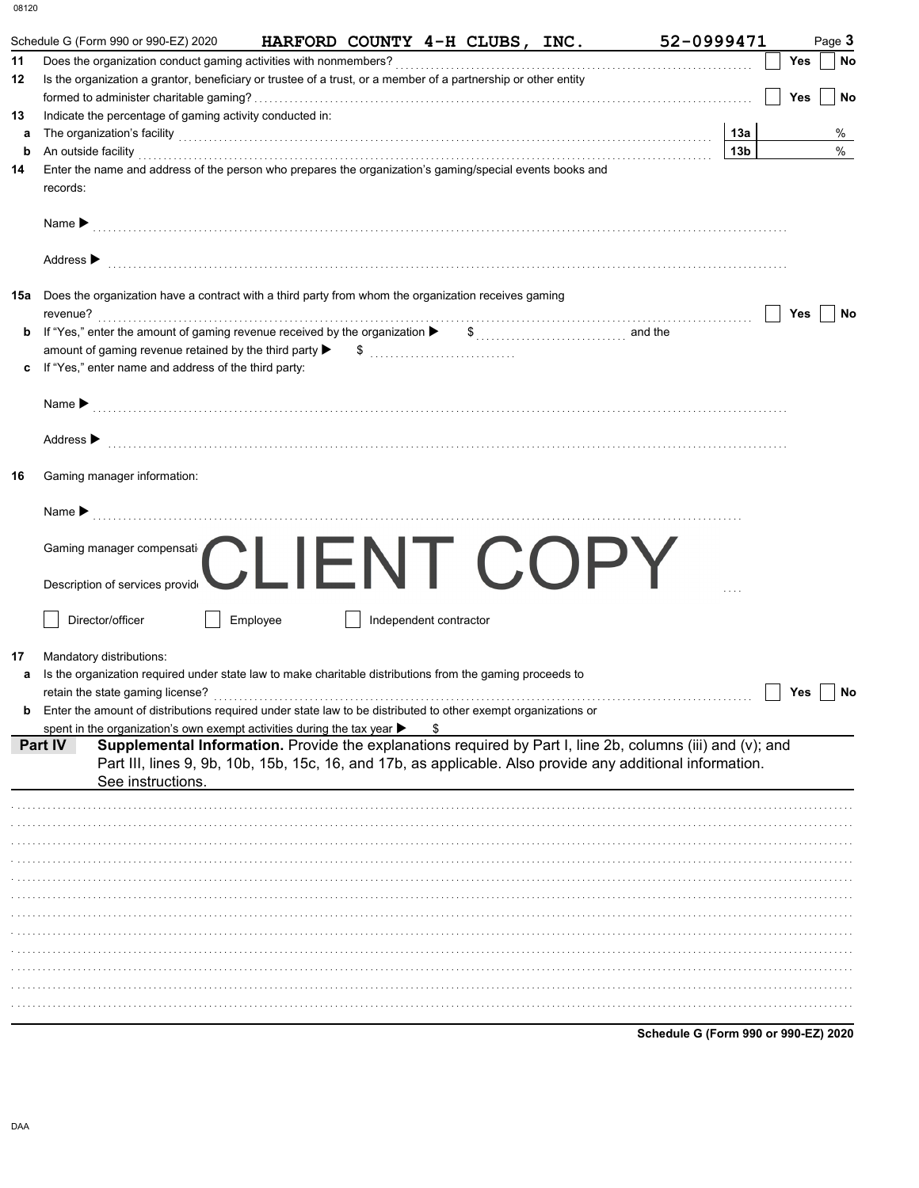|         | 52-0999471<br>Schedule G (Form 990 or 990-EZ) 2020<br>HARFORD COUNTY 4-H CLUBS, INC.                                                                                                                                                                                                                                                                             |                 |                      | Page 3 |
|---------|------------------------------------------------------------------------------------------------------------------------------------------------------------------------------------------------------------------------------------------------------------------------------------------------------------------------------------------------------------------|-----------------|----------------------|--------|
| 11      |                                                                                                                                                                                                                                                                                                                                                                  |                 | Yes                  | No     |
| 12      | Is the organization a grantor, beneficiary or trustee of a trust, or a member of a partnership or other entity                                                                                                                                                                                                                                                   |                 |                      |        |
|         |                                                                                                                                                                                                                                                                                                                                                                  |                 | <b>Yes</b>           | No     |
| 13<br>a | Indicate the percentage of gaming activity conducted in:                                                                                                                                                                                                                                                                                                         | 13a             |                      | %      |
| b       | The organization's facility [11] The organization's facility [11] The organization's facility [11] The organization's facility<br>An outside facility with an account of the contract of the contract of the contract of the contract of the contract of the contract of the contract of the contract of the contract of the contract of the contract of the con | 13 <sub>b</sub> |                      | $\%$   |
| 14      | Enter the name and address of the person who prepares the organization's gaming/special events books and                                                                                                                                                                                                                                                         |                 |                      |        |
|         | records:                                                                                                                                                                                                                                                                                                                                                         |                 |                      |        |
|         |                                                                                                                                                                                                                                                                                                                                                                  |                 |                      |        |
|         | Name <b>Decision Constitution Constitution</b> Constant Constant Constant Constant Constant Constant Constant Constant Constant Constant Constant Constant Constant Constant Constant Constant Constant Constant Constant Constant                                                                                                                               |                 |                      |        |
|         |                                                                                                                                                                                                                                                                                                                                                                  |                 |                      |        |
|         | Address $\blacktriangleright$                                                                                                                                                                                                                                                                                                                                    |                 |                      |        |
|         |                                                                                                                                                                                                                                                                                                                                                                  |                 |                      |        |
|         | <b>15a</b> Does the organization have a contract with a third party from whom the organization receives gaming<br>revenue?                                                                                                                                                                                                                                       |                 |                      |        |
| b       |                                                                                                                                                                                                                                                                                                                                                                  |                 | Yes                  | No     |
|         |                                                                                                                                                                                                                                                                                                                                                                  |                 |                      |        |
|         | If "Yes," enter name and address of the third party:                                                                                                                                                                                                                                                                                                             |                 |                      |        |
|         |                                                                                                                                                                                                                                                                                                                                                                  |                 |                      |        |
|         | Name $\blacktriangleright$ [[1] $\ldots$ [1] $\ldots$ [1] $\ldots$ [1] $\ldots$ [1] $\ldots$ [1] $\ldots$ [1] $\ldots$ [1] $\ldots$ [1] $\ldots$ [1] $\ldots$ [1] $\ldots$ [1] $\ldots$ [1] $\ldots$ [1] $\ldots$ [1] $\ldots$ [1] $\ldots$ [1] $\ldots$ [1] $\ldots$ [1] $\ldots$ [1] $\ldots$ [1] $\ldots$                                                     |                 |                      |        |
|         |                                                                                                                                                                                                                                                                                                                                                                  |                 |                      |        |
|         | Address > material contracts and contracts are contracted and contract of the contract of the contract of the contract of the contract of the contract of the contract of the contract of the contract of the contract of the                                                                                                                                    |                 |                      |        |
|         |                                                                                                                                                                                                                                                                                                                                                                  |                 |                      |        |
| 16      | Gaming manager information:                                                                                                                                                                                                                                                                                                                                      |                 |                      |        |
|         |                                                                                                                                                                                                                                                                                                                                                                  |                 |                      |        |
|         | Name $\blacktriangleright$ [1] $\ldots$ [1] $\ldots$ [1] $\ldots$ [1] $\ldots$ [1] $\ldots$ [1] $\ldots$ [1] $\ldots$ [1] $\ldots$ [1] $\ldots$ [1] $\ldots$ [1] $\ldots$ [1] $\ldots$ [1] $\ldots$ [1] $\ldots$ [1] $\ldots$ [1] $\ldots$ [1] $\ldots$ [1] $\ldots$ [1] $\ldots$ [1] $\ldots$ [1] $\ldots$                                                      |                 |                      |        |
|         | Gaming manager compensati                                                                                                                                                                                                                                                                                                                                        |                 |                      |        |
|         | $-N$ $\vdash$ $C$ $\vdash$ $\vdash$ $\vdash$                                                                                                                                                                                                                                                                                                                     |                 |                      |        |
|         | Description of services provide                                                                                                                                                                                                                                                                                                                                  |                 |                      |        |
|         |                                                                                                                                                                                                                                                                                                                                                                  |                 |                      |        |
|         | Director/officer<br>Employee<br>Independent contractor                                                                                                                                                                                                                                                                                                           |                 |                      |        |
|         |                                                                                                                                                                                                                                                                                                                                                                  |                 |                      |        |
|         |                                                                                                                                                                                                                                                                                                                                                                  |                 |                      |        |
| 17      | Mandatory distributions:                                                                                                                                                                                                                                                                                                                                         |                 |                      |        |
| а       | Is the organization required under state law to make charitable distributions from the gaming proceeds to                                                                                                                                                                                                                                                        |                 |                      |        |
|         | retain the state gaming license?                                                                                                                                                                                                                                                                                                                                 |                 | $\Box$ Yes $\Box$ No |        |
|         | Enter the amount of distributions required under state law to be distributed to other exempt organizations or                                                                                                                                                                                                                                                    |                 |                      |        |
|         | spent in the organization's own exempt activities during the tax year $\blacktriangleright$                                                                                                                                                                                                                                                                      |                 |                      |        |
| Part IV | Supplemental Information. Provide the explanations required by Part I, line 2b, columns (iii) and (v); and                                                                                                                                                                                                                                                       |                 |                      |        |
|         | Part III, lines 9, 9b, 10b, 15b, 15c, 16, and 17b, as applicable. Also provide any additional information.<br>See instructions.                                                                                                                                                                                                                                  |                 |                      |        |
|         |                                                                                                                                                                                                                                                                                                                                                                  |                 |                      |        |
|         |                                                                                                                                                                                                                                                                                                                                                                  |                 |                      |        |
|         |                                                                                                                                                                                                                                                                                                                                                                  |                 |                      |        |
|         |                                                                                                                                                                                                                                                                                                                                                                  |                 |                      |        |
|         |                                                                                                                                                                                                                                                                                                                                                                  |                 |                      |        |
|         |                                                                                                                                                                                                                                                                                                                                                                  |                 |                      |        |
|         |                                                                                                                                                                                                                                                                                                                                                                  |                 |                      |        |
|         |                                                                                                                                                                                                                                                                                                                                                                  |                 |                      |        |
|         |                                                                                                                                                                                                                                                                                                                                                                  |                 |                      |        |
|         |                                                                                                                                                                                                                                                                                                                                                                  |                 |                      |        |
|         |                                                                                                                                                                                                                                                                                                                                                                  |                 |                      |        |
|         |                                                                                                                                                                                                                                                                                                                                                                  |                 |                      |        |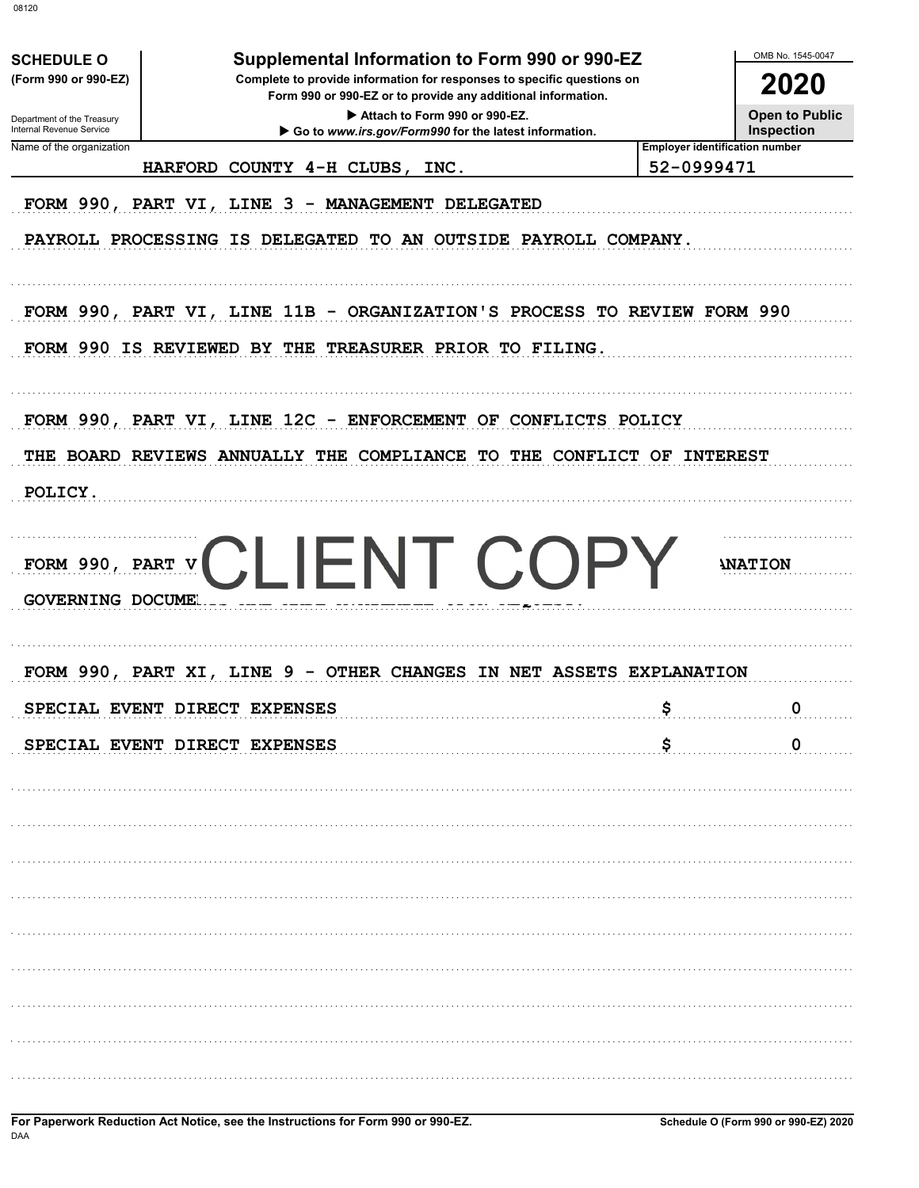|                                                      |                               |                                                                                                                                        |                                         |            | OMB No. 1545-0047                                          |
|------------------------------------------------------|-------------------------------|----------------------------------------------------------------------------------------------------------------------------------------|-----------------------------------------|------------|------------------------------------------------------------|
| <b>SCHEDULE O</b><br>(Form 990 or 990-EZ)            |                               | Supplemental Information to Form 990 or 990-EZ<br>Complete to provide information for responses to specific questions on               |                                         |            | 2020                                                       |
| Department of the Treasury                           |                               | Form 990 or 990-EZ or to provide any additional information.                                                                           | Attach to Form 990 or 990-EZ.           |            | <b>Open to Public</b>                                      |
| Internal Revenue Service<br>Name of the organization |                               | Go to www.irs.gov/Form990 for the latest information.                                                                                  |                                         |            | <b>Inspection</b><br><b>Employer identification number</b> |
|                                                      |                               | HARFORD COUNTY 4-H CLUBS,                                                                                                              | INC.                                    | 52-0999471 |                                                            |
|                                                      |                               | FORM 990, PART VI, LINE 3 - MANAGEMENT DELEGATED<br>PAYROLL PROCESSING IS DELEGATED TO AN OUTSIDE PAYROLL COMPANY.                     |                                         |            |                                                            |
|                                                      |                               | FORM 990, PART VI, LINE 11B - ORGANIZATION'S PROCESS TO REVIEW FORM 990<br>FORM 990 IS REVIEWED BY THE TREASURER PRIOR TO FILING.      |                                         |            |                                                            |
|                                                      |                               | FORM 990, PART VI, LINE 12C - ENFORCEMENT OF CONFLICTS POLICY<br>THE BOARD REVIEWS ANNUALLY THE COMPLIANCE TO THE CONFLICT OF INTEREST |                                         |            |                                                            |
| POLICY.                                              |                               |                                                                                                                                        |                                         |            |                                                            |
| <b>GOVERNING DOCUMEL</b>                             |                               | FORM 990, PART VCLIENT COPY                                                                                                            |                                         |            | <b>INATION</b>                                             |
| FORM 990, PART XI,                                   | LINE                          | 9                                                                                                                                      | OTHER CHANGES IN NET ASSETS EXPLANATION |            |                                                            |
|                                                      | SPECIAL EVENT DIRECT EXPENSES |                                                                                                                                        |                                         |            | O                                                          |
|                                                      | SPECIAL EVENT DIRECT EXPENSES |                                                                                                                                        |                                         | \$         | $\mathbf 0$                                                |
|                                                      |                               |                                                                                                                                        |                                         |            |                                                            |
|                                                      |                               |                                                                                                                                        |                                         |            |                                                            |
|                                                      |                               |                                                                                                                                        |                                         |            |                                                            |
|                                                      |                               |                                                                                                                                        |                                         |            |                                                            |
|                                                      |                               |                                                                                                                                        |                                         |            |                                                            |
|                                                      |                               |                                                                                                                                        |                                         |            |                                                            |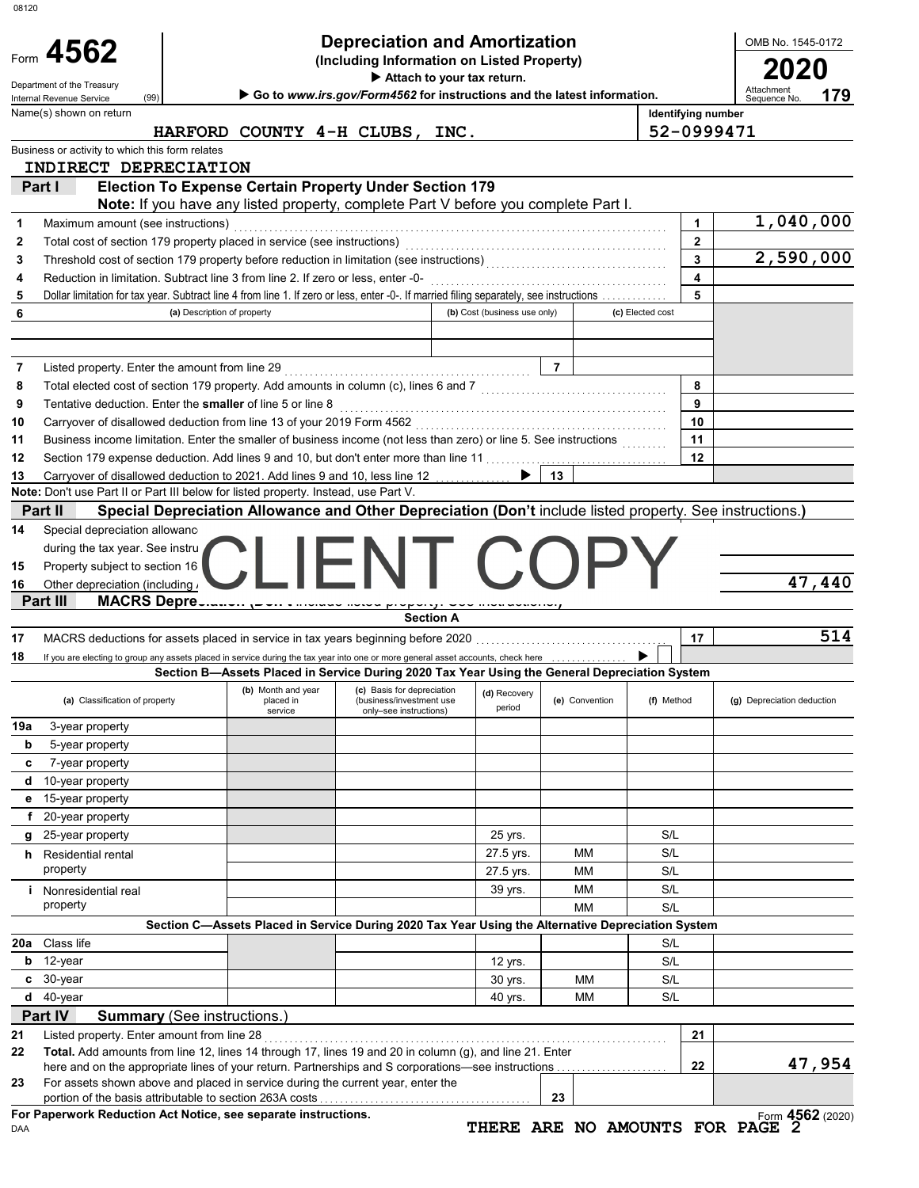|                                          | Form 4562                                                      |                                                                                                                                                                        | <b>Depreciation and Amortization</b><br>(Including Information on Listed Property)<br>Attach to your tax return. |                              |                |                  |                                                    | OMB No. 1545-0172<br>20    |        |
|------------------------------------------|----------------------------------------------------------------|------------------------------------------------------------------------------------------------------------------------------------------------------------------------|------------------------------------------------------------------------------------------------------------------|------------------------------|----------------|------------------|----------------------------------------------------|----------------------------|--------|
|                                          | Department of the Treasury<br>(99)<br>Internal Revenue Service |                                                                                                                                                                        | Go to www.irs.gov/Form4562 for instructions and the latest information.                                          |                              |                |                  |                                                    | Attachment<br>Sequence No. | 179    |
|                                          | Name(s) shown on return                                        | HARFORD COUNTY 4-H CLUBS, INC.                                                                                                                                         |                                                                                                                  |                              |                |                  | Identifying number<br>52-0999471                   |                            |        |
|                                          | Business or activity to which this form relates                |                                                                                                                                                                        |                                                                                                                  |                              |                |                  |                                                    |                            |        |
|                                          | INDIRECT DEPRECIATION                                          |                                                                                                                                                                        |                                                                                                                  |                              |                |                  |                                                    |                            |        |
| Part I                                   |                                                                | <b>Election To Expense Certain Property Under Section 179</b>                                                                                                          |                                                                                                                  |                              |                |                  |                                                    |                            |        |
|                                          |                                                                | Note: If you have any listed property, complete Part V before you complete Part I.                                                                                     |                                                                                                                  |                              |                |                  |                                                    |                            |        |
| 1                                        | Maximum amount (see instructions)                              |                                                                                                                                                                        |                                                                                                                  |                              |                |                  | $\mathbf{1}$                                       | 1,040,000                  |        |
| 2                                        |                                                                |                                                                                                                                                                        |                                                                                                                  |                              |                |                  | $\mathbf{2}$                                       |                            |        |
| 3                                        |                                                                |                                                                                                                                                                        |                                                                                                                  |                              |                |                  | $\overline{\mathbf{3}}$<br>$\overline{\mathbf{4}}$ | 2,590,000                  |        |
| 4                                        |                                                                | Reduction in limitation. Subtract line 3 from line 2. If zero or less, enter -0-                                                                                       |                                                                                                                  |                              |                |                  | 5                                                  |                            |        |
| 5<br>6                                   |                                                                | Dollar limitation for tax year. Subtract line 4 from line 1. If zero or less, enter -0-. If married filing separately, see instructions<br>(a) Description of property |                                                                                                                  | (b) Cost (business use only) |                | (c) Elected cost |                                                    |                            |        |
|                                          |                                                                |                                                                                                                                                                        |                                                                                                                  |                              |                |                  |                                                    |                            |        |
|                                          |                                                                |                                                                                                                                                                        |                                                                                                                  |                              |                |                  |                                                    |                            |        |
| 7                                        |                                                                |                                                                                                                                                                        |                                                                                                                  |                              | $\overline{7}$ |                  |                                                    |                            |        |
| 8                                        |                                                                | Total elected cost of section 179 property. Add amounts in column (c), lines 6 and 7 [[[[[[[[[[[[[[[[[[[[[[[[                                                          |                                                                                                                  |                              |                |                  | 8                                                  |                            |        |
| 9                                        |                                                                |                                                                                                                                                                        |                                                                                                                  |                              |                |                  | 9                                                  |                            |        |
| 10                                       |                                                                |                                                                                                                                                                        |                                                                                                                  |                              |                |                  | 10                                                 |                            |        |
| 11                                       |                                                                | Business income limitation. Enter the smaller of business income (not less than zero) or line 5. See instructions                                                      |                                                                                                                  |                              |                |                  | 11                                                 |                            |        |
| 12                                       |                                                                | Section 179 expense deduction. Add lines 9 and 10, but don't enter more than line 11                                                                                   |                                                                                                                  |                              |                |                  | 12                                                 |                            |        |
| 13                                       |                                                                | Carryover of disallowed deduction to 2021. Add lines 9 and 10, less line 12                                                                                            |                                                                                                                  |                              | 13             |                  |                                                    |                            |        |
|                                          |                                                                | Note: Don't use Part II or Part III below for listed property. Instead, use Part V.                                                                                    |                                                                                                                  |                              |                |                  |                                                    |                            |        |
|                                          | Part II                                                        | Special Depreciation Allowance and Other Depreciation (Don't include listed property. See instructions.)                                                               |                                                                                                                  |                              |                |                  |                                                    |                            |        |
|                                          | Special depreciation allowanc                                  |                                                                                                                                                                        |                                                                                                                  |                              |                |                  |                                                    |                            |        |
| 14                                       |                                                                |                                                                                                                                                                        |                                                                                                                  |                              |                |                  |                                                    |                            |        |
|                                          | during the tax year. See instru                                |                                                                                                                                                                        |                                                                                                                  |                              |                |                  |                                                    |                            |        |
|                                          | Property subject to section 16                                 |                                                                                                                                                                        |                                                                                                                  |                              |                |                  |                                                    |                            |        |
| 15<br>16                                 | Other depreciation (including /                                |                                                                                                                                                                        |                                                                                                                  |                              |                |                  |                                                    |                            |        |
|                                          | Part III                                                       | MACRS Depresianon pour enforcement proporty. Soo increasions,                                                                                                          |                                                                                                                  |                              |                |                  |                                                    |                            |        |
|                                          |                                                                |                                                                                                                                                                        | <b>Section A</b>                                                                                                 |                              |                |                  |                                                    |                            | 47,440 |
|                                          |                                                                |                                                                                                                                                                        |                                                                                                                  |                              |                |                  | 17                                                 |                            | 514    |
|                                          |                                                                | If you are electing to group any assets placed in service during the tax year into one or more general asset accounts, check here entitled to group.                   |                                                                                                                  |                              |                |                  |                                                    |                            |        |
|                                          | (a) Classification of property                                 | Section B-Assets Placed in Service During 2020 Tax Year Using the General Depreciation System<br>(b) Month and year<br>placed in                                       | (c) Basis for depreciation<br>(business/investment use                                                           | (d) Recovery                 | (e) Convention | (f) Method       |                                                    | (g) Depreciation deduction |        |
|                                          |                                                                | service                                                                                                                                                                | only-see instructions)                                                                                           | period                       |                |                  |                                                    |                            |        |
|                                          | 3-year property                                                |                                                                                                                                                                        |                                                                                                                  |                              |                |                  |                                                    |                            |        |
| b                                        | 5-year property                                                |                                                                                                                                                                        |                                                                                                                  |                              |                |                  |                                                    |                            |        |
| c<br>d                                   | 7-year property                                                |                                                                                                                                                                        |                                                                                                                  |                              |                |                  |                                                    |                            |        |
|                                          | 10-year property                                               |                                                                                                                                                                        |                                                                                                                  |                              |                |                  |                                                    |                            |        |
| е<br>f                                   | 15-year property<br>20-year property                           |                                                                                                                                                                        |                                                                                                                  |                              |                |                  |                                                    |                            |        |
| g                                        | 25-year property                                               |                                                                                                                                                                        |                                                                                                                  | 25 yrs.                      |                | S/L              |                                                    |                            |        |
|                                          | <b>h</b> Residential rental                                    |                                                                                                                                                                        |                                                                                                                  | 27.5 yrs.                    | MМ             | S/L              |                                                    |                            |        |
|                                          | property                                                       |                                                                                                                                                                        |                                                                                                                  |                              | MМ             | S/L              |                                                    |                            |        |
|                                          | <i>i</i> Nonresidential real                                   |                                                                                                                                                                        |                                                                                                                  | 27.5 yrs.<br>39 yrs.         | MМ             | S/L              |                                                    |                            |        |
|                                          | property                                                       |                                                                                                                                                                        |                                                                                                                  |                              | MМ             | S/L              |                                                    |                            |        |
|                                          |                                                                | Section C-Assets Placed in Service During 2020 Tax Year Using the Alternative Depreciation System                                                                      |                                                                                                                  |                              |                |                  |                                                    |                            |        |
|                                          | Class life                                                     |                                                                                                                                                                        |                                                                                                                  |                              |                | S/L              |                                                    |                            |        |
| b                                        | 12-year                                                        |                                                                                                                                                                        |                                                                                                                  | 12 yrs.                      |                | S/L              |                                                    |                            |        |
| c                                        | 30-year                                                        |                                                                                                                                                                        |                                                                                                                  | 30 yrs.                      | МM             | S/L              |                                                    |                            |        |
| d                                        | 40-year                                                        |                                                                                                                                                                        |                                                                                                                  | 40 yrs.                      | МM             | S/L              |                                                    |                            |        |
|                                          | Part IV                                                        | <b>Summary (See instructions.)</b>                                                                                                                                     |                                                                                                                  |                              |                |                  |                                                    |                            |        |
|                                          | Listed property. Enter amount from line 28                     |                                                                                                                                                                        |                                                                                                                  |                              |                |                  | 21                                                 |                            |        |
|                                          |                                                                | Total. Add amounts from line 12, lines 14 through 17, lines 19 and 20 in column (g), and line 21. Enter                                                                |                                                                                                                  |                              |                |                  |                                                    |                            |        |
|                                          |                                                                |                                                                                                                                                                        |                                                                                                                  |                              |                |                  | 22                                                 |                            | 47,954 |
| 17<br>18<br>19a<br>20a<br>21<br>22<br>23 |                                                                | For assets shown above and placed in service during the current year, enter the                                                                                        |                                                                                                                  |                              | 23             |                  |                                                    |                            |        |

TO AMOUNTS FOR PAGE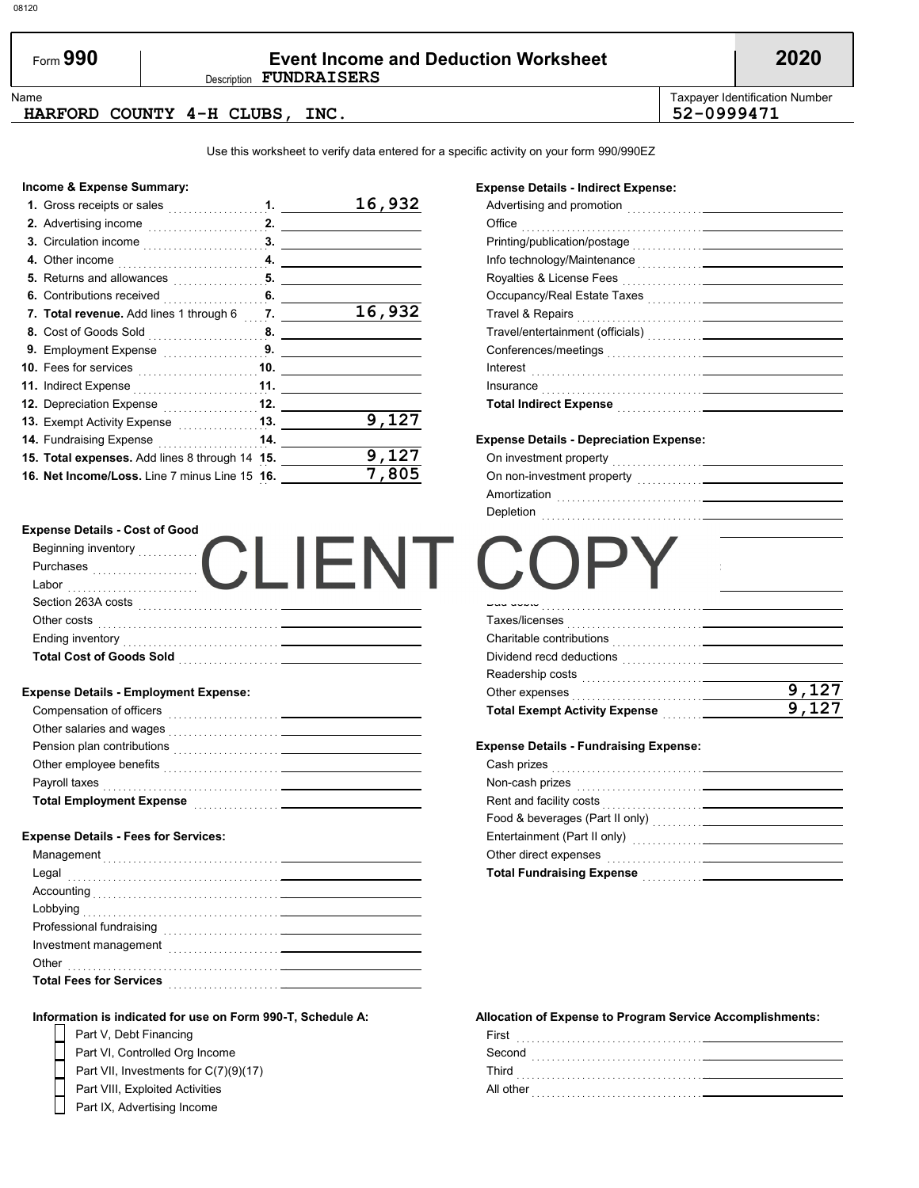| Form $990$ | <b>Event Income and Deduction Worksheet</b> | 2020 |
|------------|---------------------------------------------|------|
|            | Description <b>FUNDRAISERS</b>              |      |

**9,127 9,127**

Name **Taxpayer Identification Number** Number 1, 1999, 1999, 1999, 1999, 1999, 1999, 1999, 1999, 1999, 1999, 1999, 1999, 1999, 1999, 1999, 1999, 1999, 1999, 1999, 1999, 1999, 1999, 1999, 1999, 1999, 1999, 1999, 1999, 1999,

#### **HARFORD COUNTY 4-H CLUBS, INC. 52-0999471**

Use this worksheet to verify data entered for a specific activity on your form 990/990EZ

#### **Income & Expense Summary:**

| 1. Gross receipts or sales                                       |    | 16,932 |
|------------------------------------------------------------------|----|--------|
|                                                                  |    |        |
| 3. Circulation income $\begin{array}{ccc} \hline \end{array}$ 3. |    |        |
| 4. Other income                                                  |    |        |
| 5. Returns and allowances $\ldots$ , $\ldots$ , $\ldots$         |    |        |
| 6. Contributions received                                        | 6. |        |
| 7. Total revenue. Add lines 1 through 6 7.                       |    | 16,932 |
| 8. Cost of Goods Sold 8.                                         |    |        |
| 9. Employment Expense <b>19.</b> 9.                              |    |        |
|                                                                  |    |        |
| <b>11.</b> Indirect Expense <b>constructs</b> 11.                |    |        |
| 12. Depreciation Expense 12.                                     |    |        |
|                                                                  |    | 9,127  |
| <b>14. Fundraising Expense 14.</b>                               |    |        |
| 15. Total expenses. Add lines 8 through 14 15.                   |    |        |
| 16. Net Income/Loss. Line 7 minus Line 15 16.                    |    |        |

### **Expense Details - Indirect Expense:**

| Travel & Repairs <sub>…………………………<b>…</b>———————————</sub>                                                      |  |
|----------------------------------------------------------------------------------------------------------------|--|
|                                                                                                                |  |
|                                                                                                                |  |
|                                                                                                                |  |
|                                                                                                                |  |
| Total Indirect Expense [11] Martin Martin Martin Martin Martin Martin Martin Martin Martin Martin Martin Marti |  |
|                                                                                                                |  |

#### **Expense Details - Depreciation Expense:**

**Expense Details - Exempt Activity Expense:**

Bad debts . . . . . . . . . . . . . . . . . . . . . . . . . . . . . . . .

 $\overline{\phantom{a}}$ 

Taxes/licenses . . . . . . . . . . . . . . . . . . . . . . . . . . . Charitable contributions . . . . . . . . . . . . . . . . . . Dividend recd deductions . . . . . . . . . . . . . . . . Readership costs . . . . . . . . . . . . . . . . . . . . . . . .

**Total Depreciation Expense** . . . . . . . . . . .

**Expense Details - Fundraising Expense:**

**Total Exempt Activity Expense** . . . . . . . .

Other expenses . . . . . . . . . . . . . . . . . . . . . . . . . .

Cash prizes . . . . . . . . . . . . . . . . . . . . . . . . . . . . . . . . Non-cash prizes . . . . . . . . . . . . . . . . . . . . . . . . . . . Rent and facility costs . . . . . . . . . . . . . . . . . . . . . .

| On investment property<br>the contract of the contract of the contract of the contract of the contract of |  |
|-----------------------------------------------------------------------------------------------------------|--|
| On non-investment property                                                                                |  |
| Amortization                                                                                              |  |
| Depletion                                                                                                 |  |

#### **Expense Details - Cost of Good**

| Beginning inventory             |  |  |
|---------------------------------|--|--|
| Purchases                       |  |  |
| Labor                           |  |  |
| Section 263A costs              |  |  |
| Other costs                     |  |  |
| <b>Ending inventory</b>         |  |  |
| <b>Total Cost of Goods Sold</b> |  |  |

#### **Expense Details - Employment Expense:**

| <b>Total Employment Expense</b> | . <u>.</u> |  |
|---------------------------------|------------|--|
| Payroll taxes                   |            |  |
| Other employee benefits         |            |  |
| Pension plan contributions      |            |  |
| Other salaries and wages        |            |  |
| Compensation of officers        |            |  |
|                                 |            |  |

#### **Expense Details - Fees for Services:**

#### **Information is indicated for use on Form 990-T, Schedule A:**



## **Allocation of Expense to Program Service Accomplishments:**

**Total Fundraising Expense** . . . . . . . . . . . . . .

Food & beverages (Part II only) . . . . . . . . . . . .

Other direct expenses . . . . . . . . . . . . . . . . . . . . .

Entertainment (Part II only) . . . . . . . . . . . . . . . .

| First     |  |
|-----------|--|
| Second    |  |
| Third     |  |
| All other |  |
|           |  |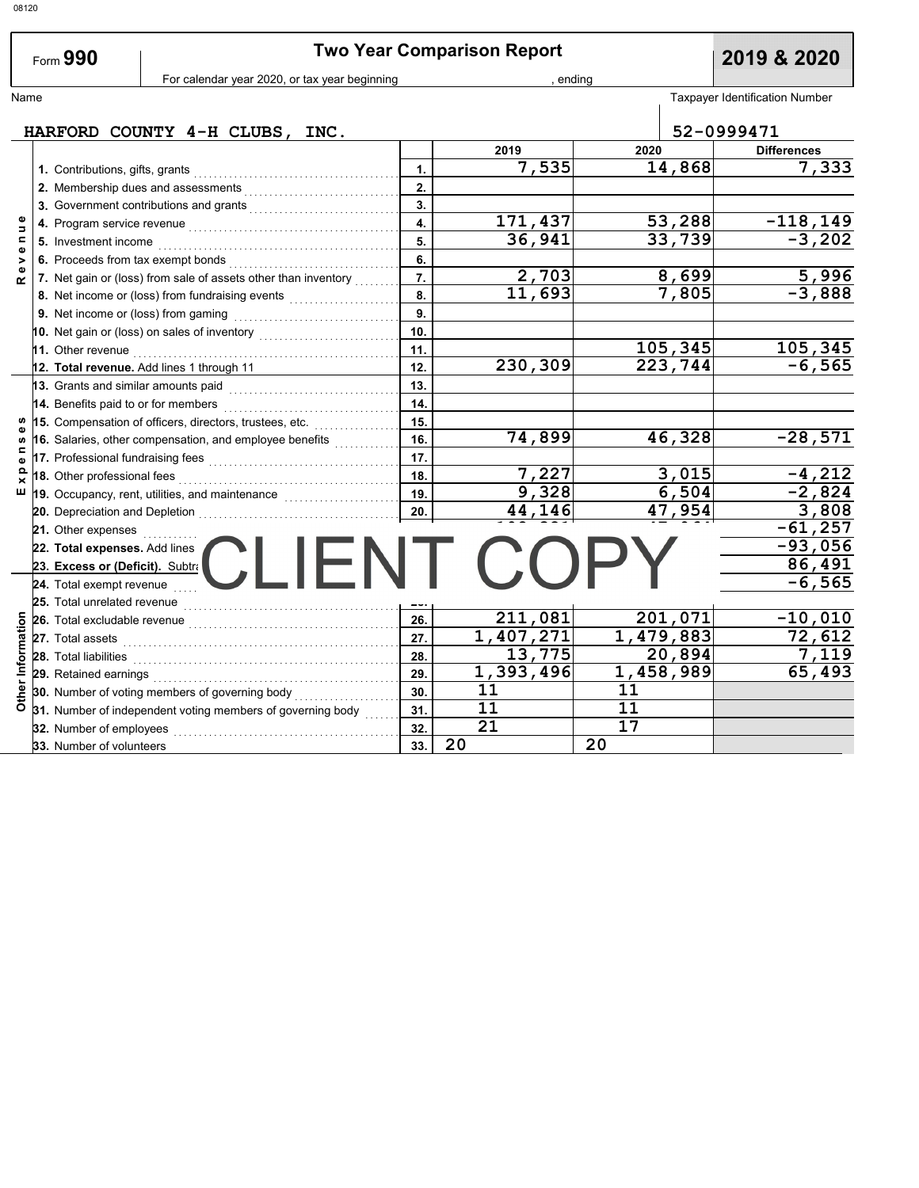|                          |                                     |                                                                                                                       |                         | <b>Two Year Comparison Report</b> |                        |                                       |
|--------------------------|-------------------------------------|-----------------------------------------------------------------------------------------------------------------------|-------------------------|-----------------------------------|------------------------|---------------------------------------|
|                          | Form 990                            | For calendar year 2020, or tax year beginning                                                                         |                         | ending                            |                        | 2019 & 2020                           |
| Name                     |                                     |                                                                                                                       |                         |                                   |                        | <b>Taxpayer Identification Number</b> |
|                          |                                     |                                                                                                                       |                         |                                   |                        |                                       |
|                          |                                     | HARFORD COUNTY 4-H CLUBS, INC.                                                                                        |                         |                                   |                        | 52-0999471                            |
|                          |                                     |                                                                                                                       |                         | 2019                              | 2020                   | <b>Differences</b>                    |
|                          |                                     |                                                                                                                       | 1.                      | 7,535                             | 14,868                 | 7,333                                 |
|                          |                                     |                                                                                                                       | 2.                      |                                   |                        |                                       |
|                          |                                     |                                                                                                                       | 3.                      |                                   |                        |                                       |
| Φ<br>$\Rightarrow$       |                                     |                                                                                                                       | $\overline{\mathbf{4}}$ | 171,437                           | 53,288                 | $-118,149$                            |
| $\mathbf{r}$             | 5. Investment income                |                                                                                                                       | 5.                      | 36,941                            | 33,739                 | $-3,202$                              |
| $\pmb{\omega}$<br>$\geq$ |                                     | 6. Proceeds from tax exempt bonds                                                                                     | 6.                      |                                   |                        |                                       |
| $\mathbf{o}$<br>$\alpha$ |                                     | 7. Net gain or (loss) from sale of assets other than inventory                                                        | 7.                      | 2,703                             | 8,699                  | 5,996                                 |
|                          |                                     |                                                                                                                       | 8.                      | 11,693                            | 7,805                  | $-3,888$                              |
|                          |                                     |                                                                                                                       | 9.                      |                                   |                        |                                       |
|                          |                                     | 10. Net gain or (loss) on sales of inventory $\begin{array}{ccc} \dots & \dots & \dots & \dots \end{array}$           | 10.                     |                                   |                        |                                       |
|                          |                                     |                                                                                                                       | 11.                     |                                   | 105,345                | 105,345                               |
|                          |                                     | 12. Total revenue. Add lines 1 through 11                                                                             | 12.                     | 230,309                           | 223,744                | $-6,565$                              |
|                          |                                     |                                                                                                                       | 13.                     |                                   |                        |                                       |
|                          | 14. Benefits paid to or for members |                                                                                                                       | 14.                     |                                   |                        |                                       |
| <b>S</b>                 |                                     | 15. Compensation of officers, directors, trustees, etc.                                                               | 15.                     |                                   |                        |                                       |
| Φ<br><b>S</b>            |                                     | 16. Salaries, other compensation, and employee benefits                                                               | 16.                     | 74,899                            | 46,328                 | $-28,571$                             |
| $\mathbf{r}$<br>Φ        |                                     | 17. Professional fundraising fees <b>constructs</b> and the result of the set of the set of the set of the set of the | 17.                     |                                   |                        |                                       |
| $\mathbf{a}$<br>×        | 18. Other professional fees         |                                                                                                                       | 18.                     | 7,227                             | 3,015                  | $-4,212$                              |
| ш                        |                                     | 19. Occupancy, rent, utilities, and maintenance <i>millionering</i>                                                   | 19.                     | 9,328                             | 6,504                  | $-2,824$                              |
|                          |                                     | 20. Depreciation and Depletion                                                                                        | 20.                     | 44,146                            | 47,954                 | 3,808                                 |
|                          | 21. Other expenses                  |                                                                                                                       |                         |                                   |                        | $-61,257$                             |
|                          | 22. Total expenses. Add lines       |                                                                                                                       |                         |                                   |                        | $-93,056$                             |
|                          | 23. Excess or (Deficit). Subtra     | CI IFN LI                                                                                                             |                         |                                   |                        | 86,491                                |
|                          | 24. Total exempt revenue            |                                                                                                                       |                         |                                   |                        | $-6,565$                              |
|                          | 25. Total unrelated revenue         |                                                                                                                       |                         |                                   |                        |                                       |
|                          | 26. Total excludable revenue        |                                                                                                                       | 26.                     | 211,081                           | 201,071                | $-10,010$                             |
|                          | 27. Total assets                    |                                                                                                                       | 27.                     | 1,407,271                         | $\overline{1,479,883}$ | 72,612                                |
|                          | 28. Total liabilities               |                                                                                                                       | 28.                     | 13,775                            | 20,894                 | 7,119                                 |
| Other Information        |                                     |                                                                                                                       | 29.                     | 1,393,496                         | $\overline{1,458,989}$ | 65,493                                |
|                          |                                     | 30. Number of voting members of governing body                                                                        | 30.                     | 11                                | 11                     |                                       |
|                          |                                     | 31. Number of independent voting members of governing body                                                            | 31.                     | 11                                | 11                     |                                       |
|                          | 32. Number of employees             |                                                                                                                       | 32.                     | $\overline{21}$                   | $\overline{17}$        |                                       |
|                          | 33. Number of volunteers            |                                                                                                                       | 33.                     | 20                                | 20                     |                                       |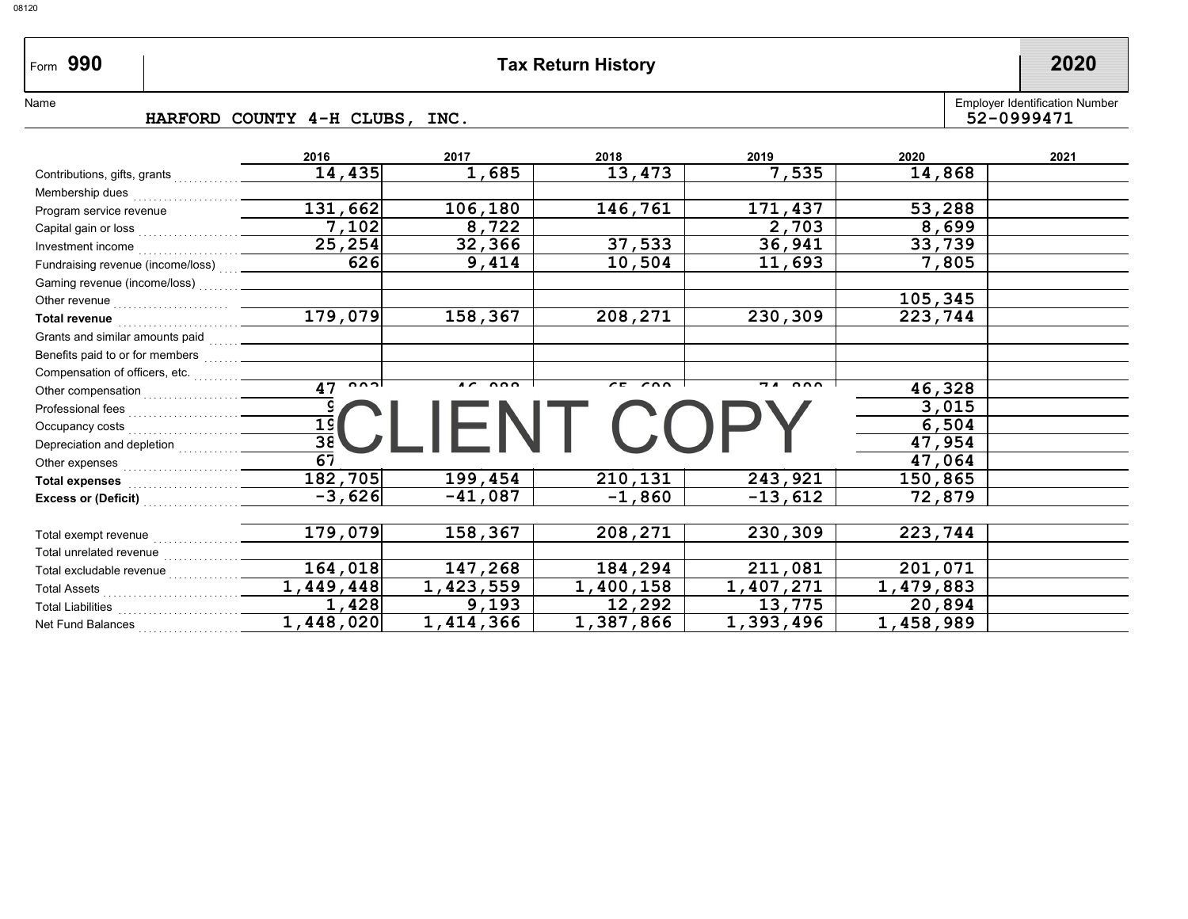# Form 990

# **990 Tax Return History 2020**

Name

#### **HARFORD COUNTY 4-H CLUBS, INC.**

Employer Identification Number<br>52-0999471

|                                                                                                                 | 2016                       | 2017                             | 2018          | 2019                               | 2020      | 2021 |
|-----------------------------------------------------------------------------------------------------------------|----------------------------|----------------------------------|---------------|------------------------------------|-----------|------|
| Contributions, gifts, grants                                                                                    | 14,435                     | 1,685                            | 13,473        | 7,535                              | 14,868    |      |
| Membership dues                                                                                                 |                            |                                  |               |                                    |           |      |
| Program service revenue                                                                                         | 131,662                    | 106,180                          | 146,761       | 171,437                            | 53,288    |      |
| Capital gain or loss <sub>………</sub>                                                                             | 7,102                      | 8,722                            |               | 2,703                              | 8,699     |      |
| Investment income                                                                                               | 25, 254                    | 32,366                           | 37,533        | 36,941                             | 33,739    |      |
| Fundraising revenue (income/loss) <sub>……</sub> _                                                               | 626                        | 9,414                            | 10,504        | 11,693                             | 7,805     |      |
| Gaming revenue (income/loss) <sub>.</sub>                                                                       |                            |                                  |               |                                    |           |      |
| Other revenue with an architecture of the control of the control of the control of the control of the control o |                            |                                  |               |                                    | 105,345   |      |
|                                                                                                                 | 179,079                    | 158,367                          | 208,271       | 230,309                            | 223,744   |      |
| Grants and similar amounts paid                                                                                 |                            |                                  |               |                                    |           |      |
| Benefits paid to or for members weed                                                                            |                            |                                  |               |                                    |           |      |
| Compensation of officers, etc.                                                                                  |                            |                                  |               |                                    |           |      |
| Other compensation <sub></sub>                                                                                  | $\sim$ $\sim$ $\sim$<br>47 | $\overline{17}$ $\overline{200}$ | $\sim$ $\sim$ | $\mathbf{a} \mathbf{b} \mathbf{c}$ | 46,328    |      |
| Professional fees <sub>……………………</sub>                                                                           |                            |                                  |               |                                    | 3,015     |      |
| Occupancy costs                                                                                                 | $\frac{19}{38}$            |                                  |               |                                    | 6,504     |      |
| Depreciation and depletion $\frac{1}{2}$                                                                        |                            |                                  |               |                                    | 47,954    |      |
| Other expenses <sub>……………………</sub>                                                                              | $\overline{67}$            |                                  |               |                                    | 47,064    |      |
| Total expenses <sub>………………</sub> ……                                                                             | 182,705                    | 199,454                          | 210,131       | 243,921                            | 150,865   |      |
| Excess or (Deficit) <b>Excess</b>                                                                               | $-3,626$                   | $-41,087$                        | $-1,860$      | $-13,612$                          | 72,879    |      |
|                                                                                                                 |                            |                                  |               |                                    |           |      |
| Total exempt revenue                                                                                            | 179,079                    | 158,367                          | 208,271       | 230,309                            | 223,744   |      |
|                                                                                                                 |                            |                                  |               |                                    |           |      |
| Total excludable revenue $\mathcal{L}_{\text{max}}$                                                             | 164,018                    | 147,268                          | 184,294       | 211,081                            | 201,071   |      |
| Total Assets <sub>…………………………</sub>                                                                              | 1,449,448                  | 1,423,559                        | 1,400,158     | 1,407,271                          | 1,479,883 |      |
| Total Liabilities <sub>……………………</sub>                                                                           | 1,428                      | 9,193                            | 12,292        | 13,775                             | 20,894    |      |
| Net Fund Balances                                                                                               | 1,448,020                  | 1,414,366                        | 1,387,866     | 1,393,496                          | 1,458,989 |      |
|                                                                                                                 |                            |                                  |               |                                    |           |      |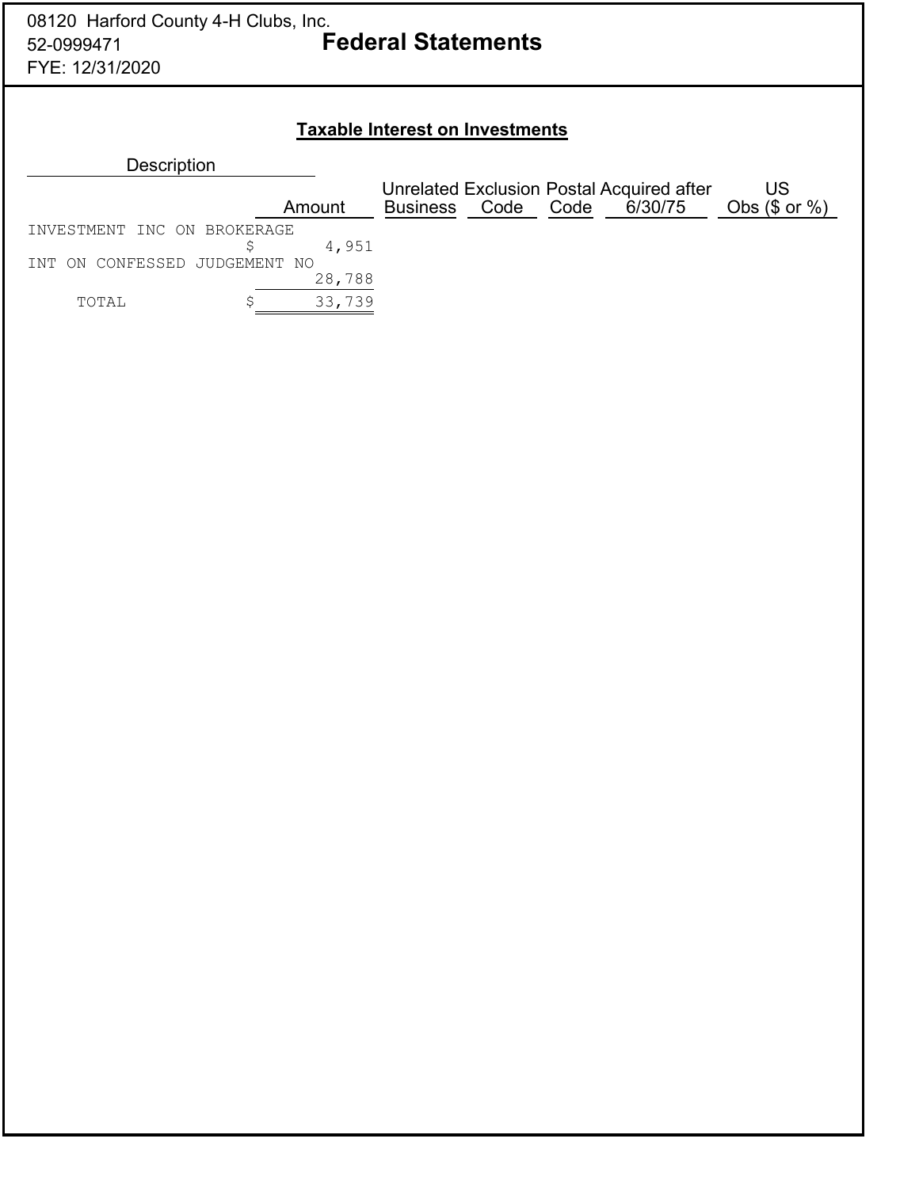### **Taxable Interest on Investments**

| Description |  |
|-------------|--|
|             |  |

|                               |        | Unrelated Exclusion Postal Acquired after |           |  | US      |                    |
|-------------------------------|--------|-------------------------------------------|-----------|--|---------|--------------------|
|                               | Amount | Business                                  | Code Code |  | 6/30/75 | Obs $(\$$ or $%$ ) |
| INVESTMENT INC ON BROKERAGE   |        |                                           |           |  |         |                    |
|                               | 4,951  |                                           |           |  |         |                    |
| INT ON CONFESSED JUDGEMENT NO |        |                                           |           |  |         |                    |
|                               | 28,788 |                                           |           |  |         |                    |
| TOTAL                         | 33,739 |                                           |           |  |         |                    |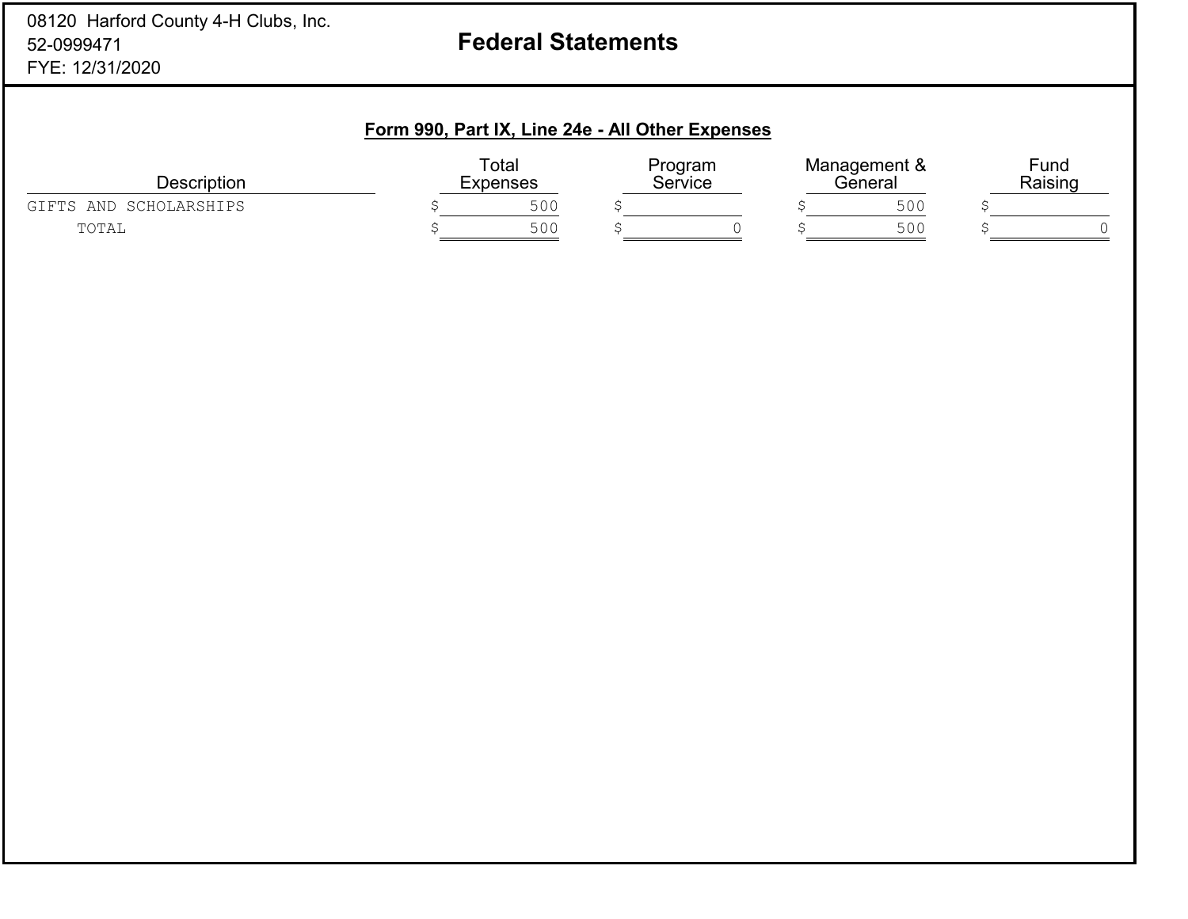### 08120 Harford County 4-H Clubs, Inc. 52-0999471FYE: 12/31/2020

# **Federal Statements**

### **Form 990, Part IX, Line 24e - All Other Expenses**

| <b>Description</b>             | Total<br>Expenses | Program<br>Service |  | Management &<br>′∋eneral |     | Fund<br>Raising |  |
|--------------------------------|-------------------|--------------------|--|--------------------------|-----|-----------------|--|
| SCHOLARSHIPS<br>AND<br>GT FTS. | 500               |                    |  |                          | 500 |                 |  |
| TOTAL                          | 500               |                    |  |                          | 500 |                 |  |